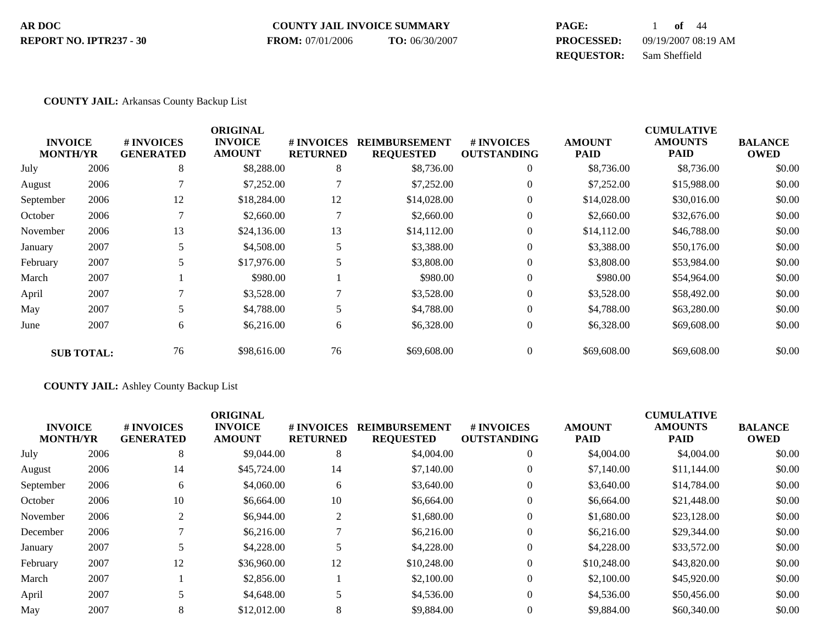#### **COUNTY JAIL INVOICE SUMMARY AR DOC PAGE:** 1 **of** 44 **PROCESSED:** 09/19/2007 08:19 AM **REPORT NO. IPTR237 - 30 FROM:** 07/01/2006 **TO:** 06/30/2007

**REQUESTOR:** Sam Sheffield

## **COUNTY JAIL:** Arkansas County Backup List

| <b>INVOICE</b><br><b>MONTH/YR</b> |                   | # INVOICES<br><b>GENERATED</b> | <b>ORIGINAL</b><br><b>INVOICE</b><br><b>AMOUNT</b> | # INVOICES<br><b>RETURNED</b> | <b>REIMBURSEMENT</b><br><b>REQUESTED</b> | # INVOICES<br><b>OUTSTANDING</b> | <b>AMOUNT</b><br><b>PAID</b> | <b>CUMULATIVE</b><br><b>AMOUNTS</b><br><b>PAID</b> | <b>BALANCE</b><br><b>OWED</b> |
|-----------------------------------|-------------------|--------------------------------|----------------------------------------------------|-------------------------------|------------------------------------------|----------------------------------|------------------------------|----------------------------------------------------|-------------------------------|
| July                              | 2006              | 8                              | \$8,288.00                                         | 8                             | \$8,736.00                               | $\mathbf{0}$                     | \$8,736.00                   | \$8,736.00                                         | \$0.00                        |
| August                            | 2006              |                                | \$7,252.00                                         |                               | \$7,252.00                               | $\theta$                         | \$7,252.00                   | \$15,988.00                                        | \$0.00                        |
| September                         | 2006              | 12                             | \$18,284.00                                        | 12                            | \$14,028.00                              | $\boldsymbol{0}$                 | \$14,028.00                  | \$30,016.00                                        | \$0.00                        |
| October                           | 2006              |                                | \$2,660.00                                         |                               | \$2,660.00                               | $\theta$                         | \$2,660.00                   | \$32,676.00                                        | \$0.00                        |
| November                          | 2006              | 13                             | \$24,136.00                                        | 13                            | \$14,112.00                              | $\boldsymbol{0}$                 | \$14,112.00                  | \$46,788.00                                        | \$0.00                        |
| January                           | 2007              |                                | \$4,508.00                                         | 5                             | \$3,388.00                               | $\theta$                         | \$3,388.00                   | \$50,176.00                                        | \$0.00                        |
| February                          | 2007              |                                | \$17,976.00                                        | 5                             | \$3,808.00                               | $\mathbf{0}$                     | \$3,808.00                   | \$53,984.00                                        | \$0.00                        |
| March                             | 2007              |                                | \$980.00                                           |                               | \$980.00                                 | $\theta$                         | \$980.00                     | \$54,964.00                                        | \$0.00                        |
| April                             | 2007              |                                | \$3,528.00                                         |                               | \$3,528.00                               | $\theta$                         | \$3,528.00                   | \$58,492.00                                        | \$0.00                        |
| May                               | 2007              | 5                              | \$4,788.00                                         | 5                             | \$4,788.00                               | $\theta$                         | \$4,788.00                   | \$63,280.00                                        | \$0.00                        |
| June                              | 2007              | 6                              | \$6,216.00                                         | 6                             | \$6,328.00                               | $\boldsymbol{0}$                 | \$6,328.00                   | \$69,608.00                                        | \$0.00                        |
|                                   | <b>SUB TOTAL:</b> | 76                             | \$98,616.00                                        | 76                            | \$69,608.00                              | $\mathbf{0}$                     | \$69,608.00                  | \$69,608.00                                        | \$0.00                        |

**COUNTY JAIL:** Ashley County Backup List

| <b>INVOICE</b><br><b>MONTH/YR</b> |      | # INVOICES<br><b>GENERATED</b> | <b>ORIGINAL</b><br><b>INVOICE</b><br><b>AMOUNT</b> | # INVOICES<br><b>RETURNED</b> | <b>REIMBURSEMENT</b><br><b>REQUESTED</b> | # INVOICES<br><b>OUTSTANDING</b> | <b>AMOUNT</b><br>PAID | <b>CUMULATIVE</b><br><b>AMOUNTS</b><br><b>PAID</b> | <b>BALANCE</b><br><b>OWED</b> |
|-----------------------------------|------|--------------------------------|----------------------------------------------------|-------------------------------|------------------------------------------|----------------------------------|-----------------------|----------------------------------------------------|-------------------------------|
| July                              | 2006 | 8                              | \$9,044.00                                         | 8                             | \$4,004.00                               | $\overline{0}$                   | \$4,004.00            | \$4,004.00                                         | \$0.00                        |
| August                            | 2006 | 14                             | \$45,724.00                                        | 14                            | \$7,140.00                               | $\mathbf{0}$                     | \$7,140.00            | \$11,144.00                                        | \$0.00                        |
| September                         | 2006 | 6                              | \$4,060.00                                         | 6                             | \$3,640.00                               | $\mathbf{0}$                     | \$3,640.00            | \$14,784.00                                        | \$0.00                        |
| October                           | 2006 | 10                             | \$6,664.00                                         | 10                            | \$6,664.00                               | $\theta$                         | \$6,664.00            | \$21,448.00                                        | \$0.00                        |
| November                          | 2006 | 2                              | \$6,944.00                                         | $\overline{c}$                | \$1,680.00                               | $\mathbf{0}$                     | \$1,680.00            | \$23,128.00                                        | \$0.00                        |
| December                          | 2006 |                                | \$6,216.00                                         |                               | \$6,216.00                               | $\theta$                         | \$6,216.00            | \$29,344.00                                        | \$0.00                        |
| January                           | 2007 |                                | \$4,228.00                                         | 5                             | \$4,228.00                               | $\theta$                         | \$4,228.00            | \$33,572.00                                        | \$0.00                        |
| February                          | 2007 | 12                             | \$36,960.00                                        | 12                            | \$10,248.00                              | $\theta$                         | \$10,248.00           | \$43,820.00                                        | \$0.00                        |
| March                             | 2007 |                                | \$2,856.00                                         |                               | \$2,100.00                               | $\theta$                         | \$2,100.00            | \$45,920.00                                        | \$0.00                        |
| April                             | 2007 | 5                              | \$4,648.00                                         | 5                             | \$4,536.00                               | $\theta$                         | \$4,536.00            | \$50,456.00                                        | \$0.00                        |
| May                               | 2007 | 8                              | \$12,012.00                                        | 8                             | \$9,884.00                               | $\theta$                         | \$9,884.00            | \$60,340.00                                        | \$0.00                        |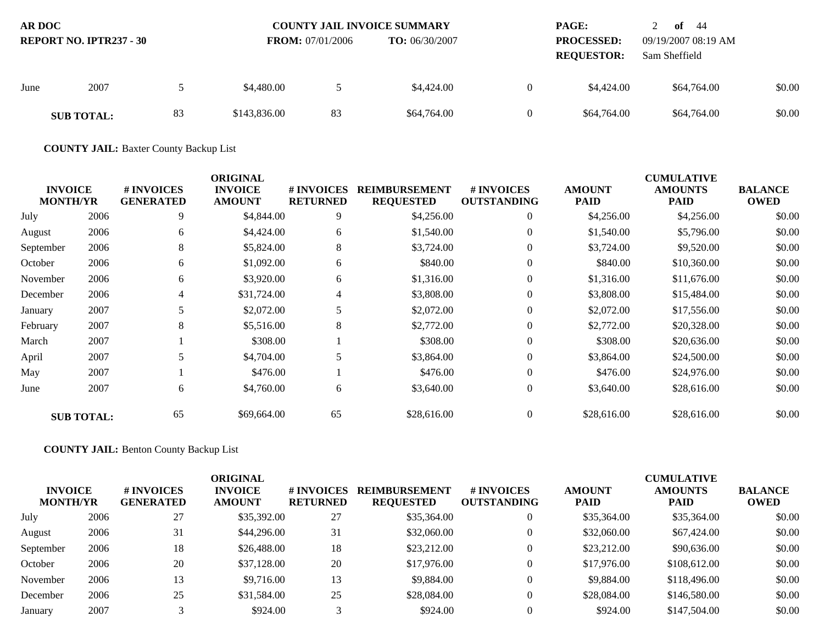| <b>AR DOC</b><br><b>REPORT NO. IPTR237 - 30</b> |                   |    |              | <b>COUNTY JAIL INVOICE SUMMARY</b><br><b>FROM:</b> 07/01/2006<br><b>TO:</b> $06/30/2007$ |             |  | <b>PAGE:</b><br><b>PROCESSED:</b><br><b>REQUESTOR:</b> | of $44$<br>09/19/2007 08:19 AM<br>Sam Sheffield |        |
|-------------------------------------------------|-------------------|----|--------------|------------------------------------------------------------------------------------------|-------------|--|--------------------------------------------------------|-------------------------------------------------|--------|
| June                                            | 2007              |    | \$4,480.00   |                                                                                          | \$4,424.00  |  | \$4,424.00                                             | \$64,764.00                                     | \$0.00 |
|                                                 | <b>SUB TOTAL:</b> | 83 | \$143,836.00 | 83                                                                                       | \$64,764.00 |  | \$64,764.00                                            | \$64,764.00                                     | \$0.00 |

**COUNTY JAIL:** Baxter County Backup List

| <b>INVOICE</b><br><b>MONTH/YR</b> |                   | # INVOICES<br><b>GENERATED</b> | <b>ORIGINAL</b><br><b>INVOICE</b><br><b>AMOUNT</b> | <b># INVOICES</b><br><b>RETURNED</b> | <b>REIMBURSEMENT</b><br><b>REQUESTED</b> | # INVOICES<br><b>OUTSTANDING</b> | <b>AMOUNT</b><br>PAID | <b>CUMULATIVE</b><br><b>AMOUNTS</b><br>PAID | <b>BALANCE</b><br><b>OWED</b> |
|-----------------------------------|-------------------|--------------------------------|----------------------------------------------------|--------------------------------------|------------------------------------------|----------------------------------|-----------------------|---------------------------------------------|-------------------------------|
| July                              | 2006              | 9                              | \$4,844.00                                         | 9                                    | \$4,256.00                               | $\overline{0}$                   | \$4,256.00            | \$4,256.00                                  | \$0.00                        |
| August                            | 2006              | 6                              | \$4,424.00                                         | 6                                    | \$1,540.00                               | $\overline{0}$                   | \$1,540.00            | \$5,796.00                                  | \$0.00                        |
| September                         | 2006              | 8                              | \$5,824.00                                         | 8                                    | \$3,724.00                               | $\overline{0}$                   | \$3,724.00            | \$9,520.00                                  | \$0.00                        |
| October                           | 2006              | 6                              | \$1,092.00                                         | 6                                    | \$840.00                                 | $\Omega$                         | \$840.00              | \$10,360.00                                 | \$0.00                        |
| November                          | 2006              | 6                              | \$3,920.00                                         | 6                                    | \$1,316.00                               | $\overline{0}$                   | \$1,316.00            | \$11,676.00                                 | \$0.00                        |
| December                          | 2006              | 4                              | \$31,724.00                                        | 4                                    | \$3,808.00                               | $\Omega$                         | \$3,808.00            | \$15,484.00                                 | \$0.00                        |
| January                           | 2007              | 5                              | \$2,072.00                                         | 5                                    | \$2,072.00                               | $\Omega$                         | \$2,072.00            | \$17,556.00                                 | \$0.00                        |
| February                          | 2007              | 8                              | \$5,516.00                                         | 8                                    | \$2,772.00                               | $\overline{0}$                   | \$2,772.00            | \$20,328.00                                 | \$0.00                        |
| March                             | 2007              |                                | \$308.00                                           |                                      | \$308.00                                 | $\Omega$                         | \$308.00              | \$20,636.00                                 | \$0.00                        |
| April                             | 2007              | 5                              | \$4,704.00                                         | 5                                    | \$3,864.00                               | $\theta$                         | \$3,864.00            | \$24,500.00                                 | \$0.00                        |
| May                               | 2007              |                                | \$476.00                                           |                                      | \$476.00                                 | $\overline{0}$                   | \$476.00              | \$24,976.00                                 | \$0.00                        |
| June                              | 2007              | 6                              | \$4,760.00                                         | 6                                    | \$3,640.00                               | $\overline{0}$                   | \$3,640.00            | \$28,616.00                                 | \$0.00                        |
|                                   | <b>SUB TOTAL:</b> | 65                             | \$69,664.00                                        | 65                                   | \$28,616.00                              | $\theta$                         | \$28,616.00           | \$28,616.00                                 | \$0.00                        |

**COUNTY JAIL:** Benton County Backup List

| <b>INVOICE</b><br><b>MONTH/YR</b> |      | # INVOICES<br><b>GENERATED</b> | ORIGINAL<br><b>INVOICE</b><br><b>AMOUNT</b> | # INVOICES<br><b>RETURNED</b> | <b>REIMBURSEMENT</b><br><b>REQUESTED</b> | # INVOICES<br><b>OUTSTANDING</b> | <b>AMOUNT</b><br><b>PAID</b> | <b>CUMULATIVE</b><br><b>AMOUNTS</b><br><b>PAID</b> | <b>BALANCE</b><br><b>OWED</b> |
|-----------------------------------|------|--------------------------------|---------------------------------------------|-------------------------------|------------------------------------------|----------------------------------|------------------------------|----------------------------------------------------|-------------------------------|
| July                              | 2006 | 27                             | \$35,392.00                                 | 27                            | \$35,364.00                              | $\theta$                         | \$35,364.00                  | \$35,364.00                                        | \$0.00                        |
| August                            | 2006 | 31                             | \$44,296.00                                 | 31                            | \$32,060.00                              | $\theta$                         | \$32,060.00                  | \$67,424.00                                        | \$0.00                        |
| September                         | 2006 | 18                             | \$26,488.00                                 | 18                            | \$23,212.00                              | $\theta$                         | \$23,212.00                  | \$90,636.00                                        | \$0.00                        |
| October                           | 2006 | 20                             | \$37,128.00                                 | 20                            | \$17,976.00                              | $\theta$                         | \$17,976.00                  | \$108,612.00                                       | \$0.00                        |
| November                          | 2006 | 13                             | \$9,716.00                                  | 13                            | \$9,884.00                               | $\Omega$                         | \$9,884.00                   | \$118,496.00                                       | \$0.00                        |
| December                          | 2006 | 25                             | \$31,584.00                                 | 25                            | \$28,084.00                              | $\Omega$                         | \$28,084.00                  | \$146,580.00                                       | \$0.00                        |
| January                           | 2007 |                                | \$924.00                                    |                               | \$924.00                                 |                                  | \$924.00                     | \$147,504.00                                       | \$0.00                        |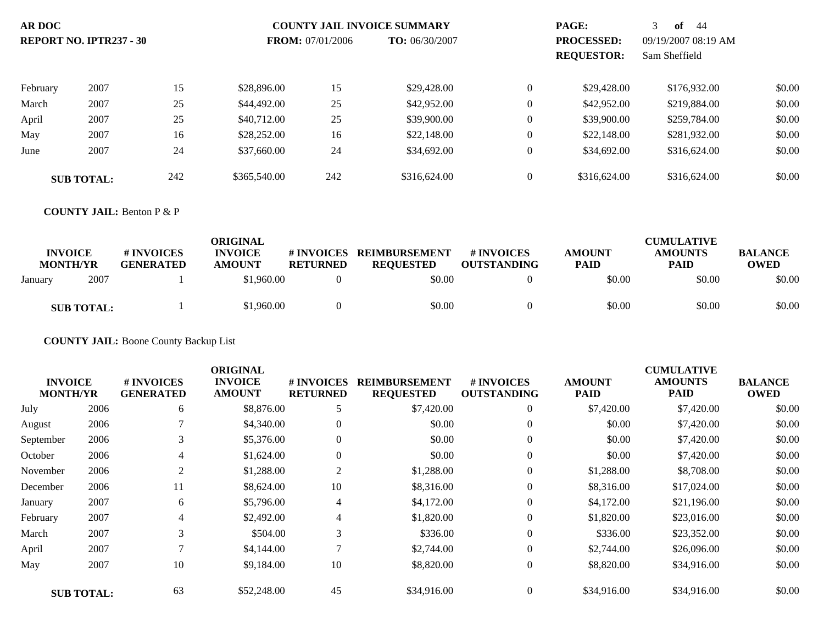| <b>AR DOC</b>                  |                   |     |                         |                | <b>COUNTY JAIL INVOICE SUMMARY</b> |                                        | PAGE:                                | 3<br>of<br>-44 |        |
|--------------------------------|-------------------|-----|-------------------------|----------------|------------------------------------|----------------------------------------|--------------------------------------|----------------|--------|
| <b>REPORT NO. IPTR237 - 30</b> |                   |     | <b>FROM:</b> 07/01/2006 | TO: 06/30/2007 |                                    | <b>PROCESSED:</b><br><b>REQUESTOR:</b> | 09/19/2007 08:19 AM<br>Sam Sheffield |                |        |
|                                |                   |     |                         |                |                                    |                                        |                                      |                |        |
| February                       | 2007              | 15  | \$28,896.00             | 15             | \$29,428.00                        | $\mathbf{0}$                           | \$29,428.00                          | \$176,932.00   | \$0.00 |
| March                          | 2007              | 25  | \$44,492.00             | 25             | \$42,952.00                        | $\mathbf{0}$                           | \$42,952.00                          | \$219,884.00   | \$0.00 |
| April                          | 2007              | 25  | \$40,712.00             | 25             | \$39,900.00                        | $\mathbf{0}$                           | \$39,900.00                          | \$259,784.00   | \$0.00 |
| May                            | 2007              | 16  | \$28,252,00             | 16             | \$22,148.00                        | $\mathbf{0}$                           | \$22,148.00                          | \$281,932.00   | \$0.00 |
| June                           | 2007              | 24  | \$37,660.00             | 24             | \$34,692.00                        | $\mathbf{0}$                           | \$34,692.00                          | \$316,624.00   | \$0.00 |
|                                | <b>SUB TOTAL:</b> | 242 | \$365,540.00            | 242            | \$316,624.00                       | $\theta$                               | \$316,624.00                         | \$316,624.00   | \$0.00 |

#### **COUNTY JAIL:** Benton P & P

| <b>INVOICE</b><br><b>MONTH/YR</b> |                   | # INVOICES<br><b>GENERATED</b> | ORIGINAL<br><b>INVOICE</b><br><b>AMOUNT</b> | # INVOICES<br><b>RETURNED</b> | <b>REIMBURSEMENT</b><br><b>REQUESTED</b> | # INVOICES<br><b>OUTSTANDING</b> | <b>AMOUNT</b><br><b>PAID</b> | <b>CUMULATIVE</b><br><b>AMOUNTS</b><br><b>PAID</b> | <b>BALANCE</b><br><b>OWED</b> |
|-----------------------------------|-------------------|--------------------------------|---------------------------------------------|-------------------------------|------------------------------------------|----------------------------------|------------------------------|----------------------------------------------------|-------------------------------|
| January                           | 2007              |                                | \$1,960.00                                  |                               | \$0.00                                   |                                  | \$0.00                       | \$0.00                                             | \$0.00                        |
|                                   | <b>SUB TOTAL:</b> |                                | \$1,960.00                                  |                               | \$0.00                                   |                                  | \$0.00                       | \$0.00                                             | \$0.00                        |

**COUNTY JAIL:** Boone County Backup List

|                                   |                   |                                | <b>ORIGINAL</b>                 |                                      |                                          |                                  |                              | <b>CUMULATIVE</b>             |                               |
|-----------------------------------|-------------------|--------------------------------|---------------------------------|--------------------------------------|------------------------------------------|----------------------------------|------------------------------|-------------------------------|-------------------------------|
| <b>INVOICE</b><br><b>MONTH/YR</b> |                   | # INVOICES<br><b>GENERATED</b> | <b>INVOICE</b><br><b>AMOUNT</b> | <b># INVOICES</b><br><b>RETURNED</b> | <b>REIMBURSEMENT</b><br><b>REQUESTED</b> | # INVOICES<br><b>OUTSTANDING</b> | <b>AMOUNT</b><br><b>PAID</b> | <b>AMOUNTS</b><br><b>PAID</b> | <b>BALANCE</b><br><b>OWED</b> |
| July                              | 2006              | 6                              | \$8,876.00                      | 5                                    | \$7,420.00                               | $\overline{0}$                   | \$7,420.00                   | \$7,420.00                    | \$0.00                        |
| August                            | 2006              |                                | \$4,340.00                      | $\boldsymbol{0}$                     | \$0.00                                   | $\mathbf{0}$                     | \$0.00                       | \$7,420.00                    | \$0.00                        |
| September                         | 2006              | 3                              | \$5,376.00                      | $\boldsymbol{0}$                     | \$0.00                                   | $\mathbf{0}$                     | \$0.00                       | \$7,420.00                    | \$0.00                        |
| October                           | 2006              | 4                              | \$1,624.00                      | $\boldsymbol{0}$                     | \$0.00                                   | $\mathbf{0}$                     | \$0.00                       | \$7,420.00                    | \$0.00                        |
| November                          | 2006              | 2                              | \$1,288.00                      | 2                                    | \$1,288.00                               | $\overline{0}$                   | \$1,288.00                   | \$8,708.00                    | \$0.00                        |
| December                          | 2006              | 11                             | \$8,624.00                      | 10                                   | \$8,316.00                               | $\theta$                         | \$8,316.00                   | \$17,024.00                   | \$0.00                        |
| January                           | 2007              | 6                              | \$5,796.00                      | $\overline{4}$                       | \$4,172.00                               | $\overline{0}$                   | \$4,172.00                   | \$21,196.00                   | \$0.00                        |
| February                          | 2007              | 4                              | \$2,492.00                      | 4                                    | \$1,820.00                               | $\theta$                         | \$1,820.00                   | \$23,016.00                   | \$0.00                        |
| March                             | 2007              | 3                              | \$504.00                        | 3                                    | \$336.00                                 | $\theta$                         | \$336.00                     | \$23,352.00                   | \$0.00                        |
| April                             | 2007              | ⇁                              | \$4,144.00                      | $\mathcal{I}$                        | \$2,744.00                               | $\mathbf{0}$                     | \$2,744.00                   | \$26,096.00                   | \$0.00                        |
| May                               | 2007              | 10                             | \$9,184.00                      | 10                                   | \$8,820.00                               | $\overline{0}$                   | \$8,820.00                   | \$34,916.00                   | \$0.00                        |
|                                   | <b>SUB TOTAL:</b> | 63                             | \$52,248.00                     | 45                                   | \$34,916.00                              | $\overline{0}$                   | \$34,916.00                  | \$34,916.00                   | \$0.00                        |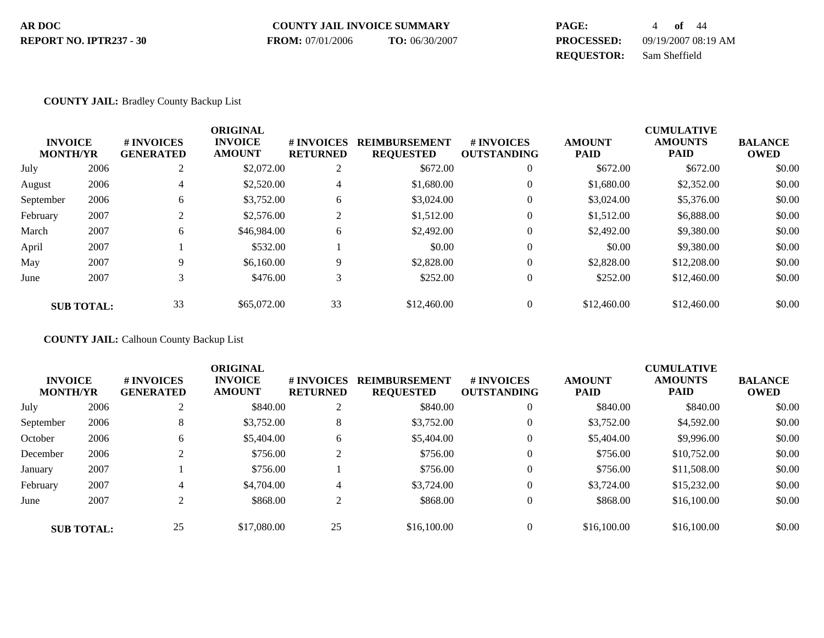| AR DOC                  | <b>COUNTY JAIL INVOICE SUMMARY</b> |                | PAGE:             | <b>of</b> 44        |
|-------------------------|------------------------------------|----------------|-------------------|---------------------|
| REPORT NO. IPTR237 - 30 | <b>FROM:</b> 07/01/2006            | TO: 06/30/2007 | <b>PROCESSED:</b> | 09/19/2007 08:19 AM |
|                         |                                    |                | <b>REQUESTOR:</b> | Sam Sheffield       |

### **COUNTY JAIL:** Bradley County Backup List

|                 |                   |                  | <b>ORIGINAL</b> |                 |                      |                    |               | <b>CUMULATIVE</b> |                |
|-----------------|-------------------|------------------|-----------------|-----------------|----------------------|--------------------|---------------|-------------------|----------------|
| <b>INVOICE</b>  |                   | # INVOICES       | <b>INVOICE</b>  | # INVOICES      | <b>REIMBURSEMENT</b> | <b>#INVOICES</b>   | <b>AMOUNT</b> | <b>AMOUNTS</b>    | <b>BALANCE</b> |
| <b>MONTH/YR</b> |                   | <b>GENERATED</b> | <b>AMOUNT</b>   | <b>RETURNED</b> | <b>REQUESTED</b>     | <b>OUTSTANDING</b> | <b>PAID</b>   | <b>PAID</b>       | <b>OWED</b>    |
| July            | 2006              | ↑                | \$2,072.00      | 2               | \$672.00             | $\boldsymbol{0}$   | \$672.00      | \$672.00          | \$0.00         |
| August          | 2006              | 4                | \$2,520.00      | 4               | \$1,680.00           | $\overline{0}$     | \$1,680.00    | \$2,352.00        | \$0.00         |
| September       | 2006              | 6                | \$3,752.00      | 6               | \$3,024.00           | $\overline{0}$     | \$3,024.00    | \$5,376.00        | \$0.00         |
| February        | 2007              |                  | \$2,576.00      | 2               | \$1,512.00           | $\overline{0}$     | \$1,512.00    | \$6,888.00        | \$0.00         |
| March           | 2007              | 6                | \$46,984.00     | 6               | \$2,492.00           | $\theta$           | \$2,492.00    | \$9,380.00        | \$0.00         |
| April           | 2007              |                  | \$532.00        |                 | \$0.00               | $\theta$           | \$0.00        | \$9,380.00        | \$0.00         |
| May             | 2007              | 9                | \$6,160.00      | 9               | \$2,828.00           | $\overline{0}$     | \$2,828.00    | \$12,208,00       | \$0.00         |
| June            | 2007              | 3                | \$476.00        | 3               | \$252.00             | $\overline{0}$     | \$252.00      | \$12,460.00       | \$0.00         |
|                 | <b>SUB TOTAL:</b> | 33               | \$65,072.00     | 33              | \$12,460.00          | $\overline{0}$     | \$12,460.00   | \$12,460.00       | \$0.00         |

**COUNTY JAIL:** Calhoun County Backup List

| <b>INVOICE</b><br><b>MONTH/YR</b> |                   | # INVOICES<br><b>GENERATED</b> | <b>ORIGINAL</b><br><b>INVOICE</b><br><b>AMOUNT</b> | # INVOICES<br><b>RETURNED</b> | <b>REIMBURSEMENT</b><br><b>REQUESTED</b> | <b>#INVOICES</b><br><b>OUTSTANDING</b> | <b>AMOUNT</b><br><b>PAID</b> | <b>CUMULATIVE</b><br><b>AMOUNTS</b><br><b>PAID</b> | <b>BALANCE</b><br><b>OWED</b> |
|-----------------------------------|-------------------|--------------------------------|----------------------------------------------------|-------------------------------|------------------------------------------|----------------------------------------|------------------------------|----------------------------------------------------|-------------------------------|
| July                              | 2006              | ◠<br>∠                         | \$840.00                                           | $\overline{c}$                | \$840.00                                 | $\mathbf{0}$                           | \$840.00                     | \$840.00                                           | \$0.00                        |
| September                         | 2006              | 8                              | \$3,752.00                                         | 8                             | \$3,752.00                               | $\mathbf{0}$                           | \$3,752.00                   | \$4,592.00                                         | \$0.00                        |
| October                           | 2006              | 6                              | \$5,404.00                                         | b                             | \$5,404.00                               | $\mathbf{0}$                           | \$5,404.00                   | \$9,996.00                                         | \$0.00                        |
| December                          | 2006              |                                | \$756.00                                           | ◠<br>∠                        | \$756.00                                 | $\mathbf{0}$                           | \$756.00                     | \$10,752.00                                        | \$0.00                        |
| January                           | 2007              |                                | \$756.00                                           |                               | \$756.00                                 | $\theta$                               | \$756.00                     | \$11,508.00                                        | \$0.00                        |
| February                          | 2007              | 4                              | \$4,704.00                                         | 4                             | \$3,724.00                               | $\mathbf{0}$                           | \$3,724.00                   | \$15,232.00                                        | \$0.00                        |
| June                              | 2007              | ◠                              | \$868.00                                           | 2                             | \$868.00                                 | $\overline{0}$                         | \$868.00                     | \$16,100.00                                        | \$0.00                        |
|                                   | <b>SUB TOTAL:</b> | 25                             | \$17,080.00                                        | 25                            | \$16,100.00                              | $\theta$                               | \$16,100.00                  | \$16,100.00                                        | \$0.00                        |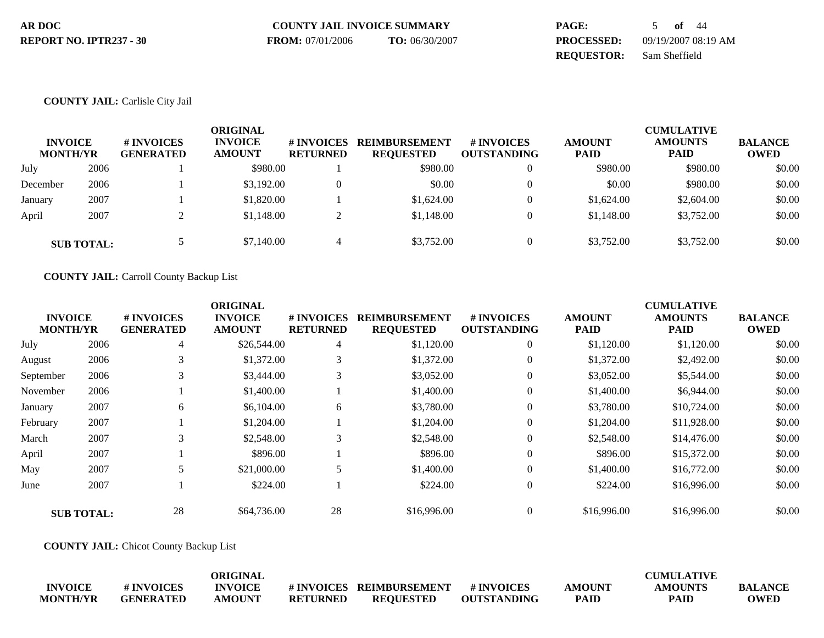| AR DOC                  | <b>COUNTY JAIL INVOICE SUMMARY</b> |                | PAGE:             | $of$ 44             |
|-------------------------|------------------------------------|----------------|-------------------|---------------------|
| REPORT NO. IPTR237 - 30 | <b>FROM:</b> 07/01/2006            | TO: 06/30/2007 | <b>PROCESSED:</b> | 09/19/2007 08:19 AM |
|                         |                                    |                | <b>REOUESTOR:</b> | Sam Sheffield       |

### **COUNTY JAIL:** Carlisle City Jail

| <b>INVOICE</b><br><b>MONTH/YR</b> |                   | # INVOICES<br><b>GENERATED</b> | <b>ORIGINAL</b><br><b>INVOICE</b><br><b>AMOUNT</b> | # INVOICES<br><b>RETURNED</b> | <b>REIMBURSEMENT</b><br><b>REQUESTED</b> | <b>#INVOICES</b><br><b>OUTSTANDING</b> | <b>AMOUNT</b><br><b>PAID</b> | <b>CUMULATIVE</b><br><b>AMOUNTS</b><br><b>PAID</b> | <b>BALANCE</b><br><b>OWED</b> |
|-----------------------------------|-------------------|--------------------------------|----------------------------------------------------|-------------------------------|------------------------------------------|----------------------------------------|------------------------------|----------------------------------------------------|-------------------------------|
| July                              | 2006              |                                | \$980.00                                           |                               | \$980.00                                 |                                        | \$980.00                     | \$980.00                                           | \$0.00                        |
| December                          | 2006              |                                | \$3,192.00                                         | $\theta$                      | \$0.00                                   |                                        | \$0.00                       | \$980.00                                           | \$0.00                        |
| January                           | 2007              |                                | \$1,820.00                                         |                               | \$1,624.00                               |                                        | \$1,624.00                   | \$2,604.00                                         | \$0.00                        |
| April                             | 2007              |                                | \$1,148.00                                         | ി<br>∠                        | \$1,148.00                               |                                        | \$1,148.00                   | \$3,752.00                                         | \$0.00                        |
|                                   | <b>SUB TOTAL:</b> |                                | \$7,140.00                                         | 4                             | \$3,752.00                               |                                        | \$3,752.00                   | \$3,752.00                                         | \$0.00                        |

**COUNTY JAIL:** Carroll County Backup List

|                 |                   |                  | <b>ORIGINAL</b> |                 |                      |                    |               | <b>CUMULATIVE</b> |                |
|-----------------|-------------------|------------------|-----------------|-----------------|----------------------|--------------------|---------------|-------------------|----------------|
| <b>INVOICE</b>  |                   | <b>#INVOICES</b> | <b>INVOICE</b>  | # INVOICES      | <b>REIMBURSEMENT</b> | <b>#INVOICES</b>   | <b>AMOUNT</b> | <b>AMOUNTS</b>    | <b>BALANCE</b> |
| <b>MONTH/YR</b> |                   | <b>GENERATED</b> | <b>AMOUNT</b>   | <b>RETURNED</b> | <b>REQUESTED</b>     | <b>OUTSTANDING</b> | <b>PAID</b>   | <b>PAID</b>       | <b>OWED</b>    |
| July            | 2006              | 4                | \$26,544.00     | 4               | \$1,120.00           | $\overline{0}$     | \$1,120.00    | \$1,120.00        | \$0.00         |
| August          | 2006              | 3                | \$1,372.00      | 3               | \$1,372.00           | $\theta$           | \$1,372.00    | \$2,492.00        | \$0.00         |
| September       | 2006              |                  | \$3,444.00      | 3               | \$3,052.00           | $\mathbf{0}$       | \$3,052.00    | \$5,544.00        | \$0.00         |
| November        | 2006              |                  | \$1,400.00      |                 | \$1,400.00           | $\mathbf{0}$       | \$1,400.00    | \$6,944.00        | \$0.00         |
| January         | 2007              | 6                | \$6,104.00      | 6               | \$3,780.00           | $\theta$           | \$3,780.00    | \$10,724.00       | \$0.00         |
| February        | 2007              |                  | \$1,204.00      |                 | \$1,204.00           | $\mathbf{0}$       | \$1,204.00    | \$11,928.00       | \$0.00         |
| March           | 2007              | 3                | \$2,548.00      | 3               | \$2,548.00           | $\mathbf{0}$       | \$2,548.00    | \$14,476.00       | \$0.00         |
| April           | 2007              |                  | \$896.00        |                 | \$896.00             | $\mathbf{0}$       | \$896.00      | \$15,372.00       | \$0.00         |
| May             | 2007              |                  | \$21,000.00     | 5               | \$1,400.00           | $\Omega$           | \$1,400.00    | \$16,772.00       | \$0.00         |
| June            | 2007              |                  | \$224.00        |                 | \$224.00             | $\mathbf{0}$       | \$224.00      | \$16,996.00       | \$0.00         |
|                 | <b>SUB TOTAL:</b> | 28               | \$64,736.00     | 28              | \$16,996.00          | $\Omega$           | \$16,996.00   | \$16,996.00       | \$0.00         |

**COUNTY JAIL:** Chicot County Backup List

|                 |                  | ORIGINAL       |                 |                         |                    |               | <b>CUMULATIVE</b> |                |
|-----------------|------------------|----------------|-----------------|-------------------------|--------------------|---------------|-------------------|----------------|
| <b>INVOICE</b>  | # INVOICES       | <b>INVOICE</b> |                 | #INVOICES REIMBURSEMENT | # INVOICES         | <b>AMOUNT</b> | <b>AMOUNTS</b>    | <b>BALANCE</b> |
| <b>MONTH/YR</b> | <b>GENERATED</b> | <b>AMOUNT</b>  | <b>RETURNED</b> | REOUESTED               | <b>OUTSTANDING</b> | <b>PAID</b>   | <b>PAID</b>       | <b>OWED</b>    |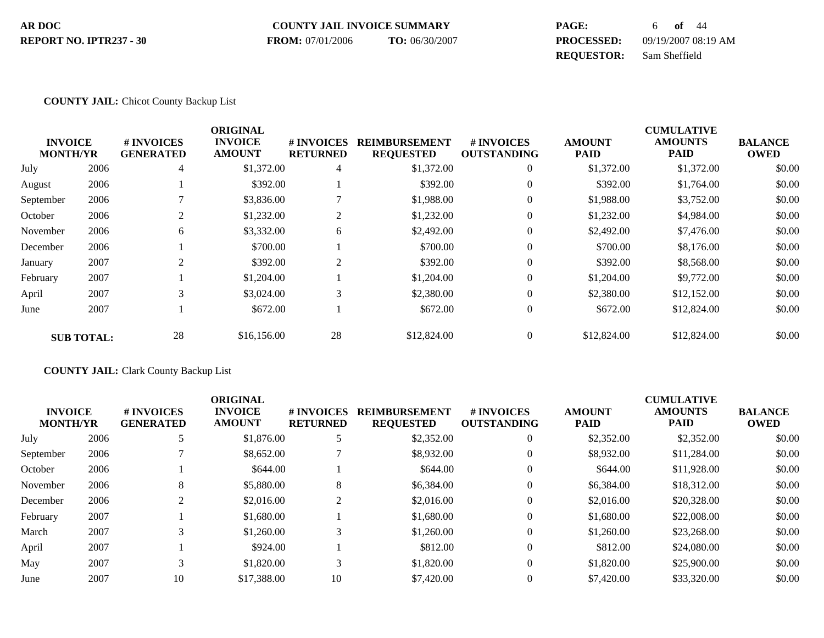| AR DOC                  | <b>COUNTY JAIL INVOICE SUMMARY</b> |                | <b>PAGE:</b>      | of 44               |
|-------------------------|------------------------------------|----------------|-------------------|---------------------|
| REPORT NO. IPTR237 - 30 | <b>FROM:</b> 07/01/2006            | TO: 06/30/2007 | <b>PROCESSED:</b> | 09/19/2007 08:19 AM |
|                         |                                    |                | <b>REOUESTOR:</b> | Sam Sheffield       |

### **COUNTY JAIL:** Chicot County Backup List

|           |                                   |                                | <b>ORIGINAL</b>                 |                               |                                          |                                        |                              | <b>CUMULATIVE</b>             |                               |
|-----------|-----------------------------------|--------------------------------|---------------------------------|-------------------------------|------------------------------------------|----------------------------------------|------------------------------|-------------------------------|-------------------------------|
|           | <b>INVOICE</b><br><b>MONTH/YR</b> | # INVOICES<br><b>GENERATED</b> | <b>INVOICE</b><br><b>AMOUNT</b> | # INVOICES<br><b>RETURNED</b> | <b>REIMBURSEMENT</b><br><b>REQUESTED</b> | <b>#INVOICES</b><br><b>OUTSTANDING</b> | <b>AMOUNT</b><br><b>PAID</b> | <b>AMOUNTS</b><br><b>PAID</b> | <b>BALANCE</b><br><b>OWED</b> |
| July      | 2006                              | 4                              | \$1,372.00                      | 4                             | \$1,372.00                               | $\mathbf{0}$                           | \$1,372.00                   | \$1,372.00                    | \$0.00                        |
| August    | 2006                              |                                | \$392.00                        |                               | \$392.00                                 | $\mathbf{0}$                           | \$392.00                     | \$1,764.00                    | \$0.00                        |
| September | 2006                              |                                | \$3,836.00                      |                               | \$1,988.00                               | $\theta$                               | \$1,988.00                   | \$3,752.00                    | \$0.00                        |
| October   | 2006                              | $\overline{2}$                 | \$1,232.00                      | $\overline{2}$                | \$1,232.00                               | $\mathbf{0}$                           | \$1,232.00                   | \$4,984.00                    | \$0.00                        |
| November  | 2006                              | 6                              | \$3,332.00                      | 6                             | \$2,492.00                               | $\Omega$                               | \$2,492.00                   | \$7,476.00                    | \$0.00                        |
| December  | 2006                              |                                | \$700.00                        |                               | \$700.00                                 | $\theta$                               | \$700.00                     | \$8,176.00                    | \$0.00                        |
| January   | 2007                              | $\overline{2}$                 | \$392.00                        | 2                             | \$392.00                                 | $\theta$                               | \$392.00                     | \$8,568.00                    | \$0.00                        |
| February  | 2007                              |                                | \$1,204.00                      |                               | \$1,204.00                               | $\mathbf{0}$                           | \$1,204.00                   | \$9,772.00                    | \$0.00                        |
| April     | 2007                              | 3                              | \$3,024.00                      | 3                             | \$2,380.00                               | $\mathbf{0}$                           | \$2,380.00                   | \$12,152.00                   | \$0.00                        |
| June      | 2007                              |                                | \$672.00                        |                               | \$672.00                                 | $\mathbf{0}$                           | \$672.00                     | \$12,824.00                   | \$0.00                        |
|           | <b>SUB TOTAL:</b>                 | 28                             | \$16,156.00                     | 28                            | \$12,824.00                              | $\Omega$                               | \$12,824.00                  | \$12,824.00                   | \$0.00                        |

**COUNTY JAIL:** Clark County Backup List

|                 |      |                  | <b>ORIGINAL</b> |                   |                      |                    |               | <b>CUMULATIVE</b> |                |
|-----------------|------|------------------|-----------------|-------------------|----------------------|--------------------|---------------|-------------------|----------------|
| <b>INVOICE</b>  |      | # INVOICES       | <b>INVOICE</b>  | <b># INVOICES</b> | <b>REIMBURSEMENT</b> | <b>#INVOICES</b>   | <b>AMOUNT</b> | <b>AMOUNTS</b>    | <b>BALANCE</b> |
| <b>MONTH/YR</b> |      | <b>GENERATED</b> | <b>AMOUNT</b>   | <b>RETURNED</b>   | <b>REQUESTED</b>     | <b>OUTSTANDING</b> | <b>PAID</b>   | PAID              | <b>OWED</b>    |
| July            | 2006 | 5                | \$1,876.00      | 5                 | \$2,352.00           | $\mathbf{0}$       | \$2,352.00    | \$2,352.00        | \$0.00         |
| September       | 2006 |                  | \$8,652.00      |                   | \$8,932.00           | $\mathbf{0}$       | \$8,932.00    | \$11,284.00       | \$0.00         |
| October         | 2006 |                  | \$644.00        |                   | \$644.00             | $\theta$           | \$644.00      | \$11,928.00       | \$0.00         |
| November        | 2006 | 8                | \$5,880.00      | 8                 | \$6,384.00           | $\theta$           | \$6,384.00    | \$18,312.00       | \$0.00         |
| December        | 2006 |                  | \$2,016.00      | 2                 | \$2,016.00           | $\theta$           | \$2,016.00    | \$20,328.00       | \$0.00         |
| February        | 2007 |                  | \$1,680.00      |                   | \$1,680.00           | $\theta$           | \$1,680.00    | \$22,008.00       | \$0.00         |
| March           | 2007 |                  | \$1,260.00      | 3                 | \$1,260.00           | $\theta$           | \$1,260.00    | \$23,268.00       | \$0.00         |
| April           | 2007 |                  | \$924.00        |                   | \$812.00             | $\Omega$           | \$812.00      | \$24,080.00       | \$0.00         |
| May             | 2007 |                  | \$1,820.00      | 3                 | \$1,820.00           | $\theta$           | \$1,820.00    | \$25,900.00       | \$0.00         |
| June            | 2007 | 10               | \$17,388,00     | 10                | \$7,420.00           | $\Omega$           | \$7,420.00    | \$33,320.00       | \$0.00         |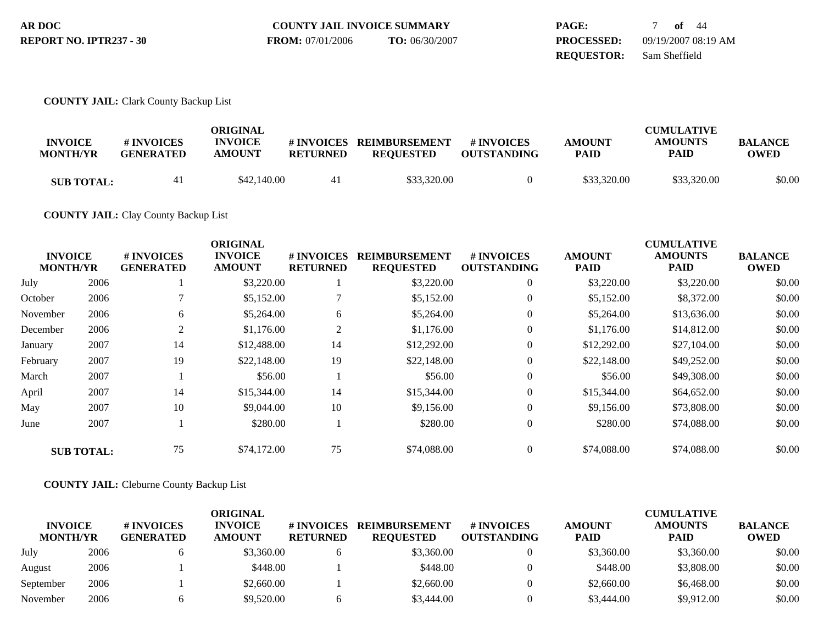| AR DOC                  | <b>COUNTY JAIL INVOICE SUMMARY</b> |                | <b>PAGE:</b>      | of $44$             |
|-------------------------|------------------------------------|----------------|-------------------|---------------------|
| REPORT NO. IPTR237 - 30 | <b>FROM:</b> 07/01/2006            | TO: 06/30/2007 | <b>PROCESSED:</b> | 09/19/2007 08:19 AM |
|                         |                                    |                | <b>REOUESTOR:</b> | Sam Sheffield       |

### **COUNTY JAIL:** Clark County Backup List

| <b>INVOICE</b><br><b>MONTH/YR</b> | # INVOICES<br><b>GENERATED</b> | ORIGINAL<br><b>INVOICE</b><br><b>AMOUNT</b> | # INVOICES<br><b>RETURNED</b> | <b>REIMBURSEMENT</b><br><b>REQUESTED</b> | # INVOICES<br><b>OUTSTANDING</b> | <b>AMOUNT</b><br><b>PAID</b> | <b>CUMULATIVE</b><br><b>AMOUNTS</b><br><b>PAID</b> | <b>BALANCE</b><br>OWED |
|-----------------------------------|--------------------------------|---------------------------------------------|-------------------------------|------------------------------------------|----------------------------------|------------------------------|----------------------------------------------------|------------------------|
| <b>SUB TOTAL:</b>                 | 41                             | \$42,140.00                                 | 41                            | \$33,320.00                              |                                  | \$33,320.00                  | \$33,320.00                                        | \$0.00                 |

## **COUNTY JAIL:** Clay County Backup List

|          | <b>INVOICE</b>    | # INVOICES       | <b>ORIGINAL</b><br><b>INVOICE</b> | # INVOICES      | <b>REIMBURSEMENT</b> | # INVOICES         | <b>AMOUNT</b> | <b>CUMULATIVE</b><br><b>AMOUNTS</b> | <b>BALANCE</b> |
|----------|-------------------|------------------|-----------------------------------|-----------------|----------------------|--------------------|---------------|-------------------------------------|----------------|
|          | <b>MONTH/YR</b>   | <b>GENERATED</b> | <b>AMOUNT</b>                     | <b>RETURNED</b> | <b>REQUESTED</b>     | <b>OUTSTANDING</b> | <b>PAID</b>   | <b>PAID</b>                         | <b>OWED</b>    |
| July     | 2006              |                  | \$3,220.00                        |                 | \$3,220.00           | $\overline{0}$     | \$3,220.00    | \$3,220.00                          | \$0.00         |
| October  | 2006              |                  | \$5,152.00                        | 7               | \$5,152.00           | $\overline{0}$     | \$5,152.00    | \$8,372.00                          | \$0.00         |
| November | 2006              | 6                | \$5,264.00                        | 6               | \$5,264.00           | $\overline{0}$     | \$5,264.00    | \$13,636.00                         | \$0.00         |
| December | 2006              | 2                | \$1,176.00                        | $\overline{2}$  | \$1,176.00           | $\overline{0}$     | \$1,176.00    | \$14,812.00                         | \$0.00         |
| January  | 2007              | 14               | \$12,488.00                       | 14              | \$12,292.00          | $\Omega$           | \$12,292.00   | \$27,104.00                         | \$0.00         |
| February | 2007              | 19               | \$22,148.00                       | 19              | \$22,148.00          | $\overline{0}$     | \$22,148.00   | \$49,252.00                         | \$0.00         |
| March    | 2007              |                  | \$56.00                           |                 | \$56.00              | $\overline{0}$     | \$56.00       | \$49,308.00                         | \$0.00         |
| April    | 2007              | 14               | \$15,344.00                       | 14              | \$15,344.00          | $\theta$           | \$15,344.00   | \$64,652.00                         | \$0.00         |
| May      | 2007              | 10               | \$9,044.00                        | 10              | \$9,156.00           | $\overline{0}$     | \$9,156.00    | \$73,808.00                         | \$0.00         |
| June     | 2007              |                  | \$280.00                          |                 | \$280.00             | $\overline{0}$     | \$280.00      | \$74,088.00                         | \$0.00         |
|          | <b>SUB TOTAL:</b> | 75               | \$74,172.00                       | 75              | \$74,088.00          | $\Omega$           | \$74,088.00   | \$74,088.00                         | \$0.00         |

## **COUNTY JAIL:** Cleburne County Backup List

|                                   |      |                                | ORIGINAL                        |                               |                                          |                                  |                              | <b>CUMULATIVE</b>             |                               |
|-----------------------------------|------|--------------------------------|---------------------------------|-------------------------------|------------------------------------------|----------------------------------|------------------------------|-------------------------------|-------------------------------|
| <b>INVOICE</b><br><b>MONTH/YR</b> |      | # INVOICES<br><b>GENERATED</b> | <b>INVOICE</b><br><b>AMOUNT</b> | # INVOICES<br><b>RETURNED</b> | <b>REIMBURSEMENT</b><br><b>REOUESTED</b> | # INVOICES<br><b>OUTSTANDING</b> | <b>AMOUNT</b><br><b>PAID</b> | <b>AMOUNTS</b><br><b>PAID</b> | <b>BALANCE</b><br><b>OWED</b> |
| July                              | 2006 |                                | \$3,360.00                      |                               | \$3,360.00                               |                                  | \$3,360.00                   | \$3,360.00                    | \$0.00                        |
| August                            | 2006 |                                | \$448.00                        |                               | \$448.00                                 |                                  | \$448.00                     | \$3,808.00                    | \$0.00                        |
| September                         | 2006 |                                | \$2,660.00                      |                               | \$2,660.00                               |                                  | \$2,660.00                   | \$6,468.00                    | \$0.00                        |
| November                          | 2006 |                                | \$9,520.00                      |                               | \$3,444.00                               |                                  | \$3,444.00                   | \$9.912.00                    | \$0.00                        |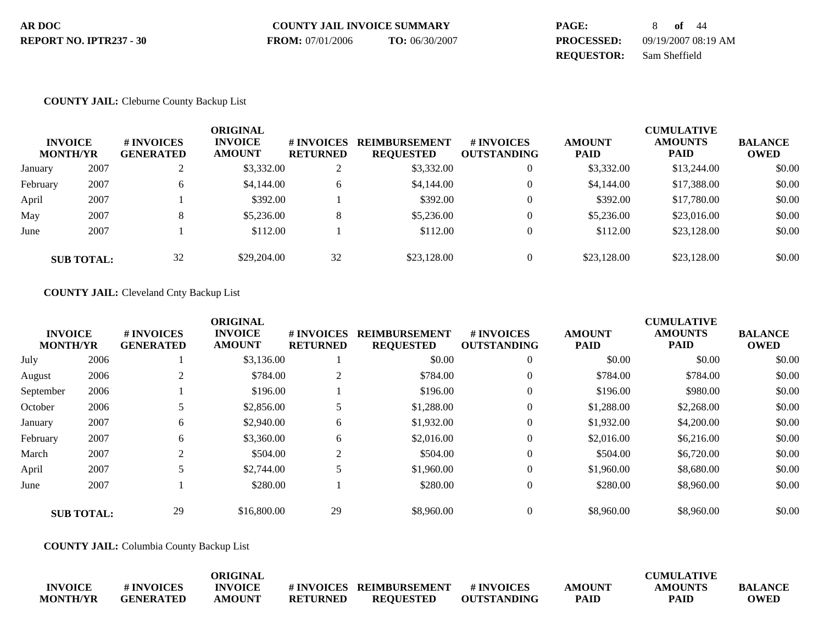| AR DOC                  | <b>COUNTY JAIL INVOICE SUMMARY</b> |                | PAGE:             | 8 of 44             |
|-------------------------|------------------------------------|----------------|-------------------|---------------------|
| REPORT NO. IPTR237 - 30 | <b>FROM:</b> 07/01/2006            | TO: 06/30/2007 | <b>PROCESSED:</b> | 09/19/2007 08:19 AM |
|                         |                                    |                | <b>REOUESTOR:</b> | Sam Sheffield       |

### **COUNTY JAIL:** Cleburne County Backup List

|          | <b>INVOICE</b><br><b>MONTH/YR</b> | # INVOICES<br><b>GENERATED</b> | ORIGINAL<br><b>INVOICE</b><br><b>AMOUNT</b> | # INVOICES<br><b>RETURNED</b> | <b>REIMBURSEMENT</b><br><b>REQUESTED</b> | <b>#INVOICES</b><br><b>OUTSTANDING</b> | <b>AMOUNT</b><br><b>PAID</b> | <b>CUMULATIVE</b><br><b>AMOUNTS</b><br><b>PAID</b> | <b>BALANCE</b><br><b>OWED</b> |
|----------|-----------------------------------|--------------------------------|---------------------------------------------|-------------------------------|------------------------------------------|----------------------------------------|------------------------------|----------------------------------------------------|-------------------------------|
| January  | 2007                              | ∠                              | \$3,332.00                                  | 2                             | \$3,332.00                               | $\mathbf{0}$                           | \$3,332.00                   | \$13,244.00                                        | \$0.00                        |
| February | 2007                              | 6                              | \$4,144.00                                  | 6                             | \$4,144.00                               | $\mathbf{0}$                           | \$4,144.00                   | \$17,388.00                                        | \$0.00                        |
| April    | 2007                              |                                | \$392.00                                    |                               | \$392.00                                 | $\mathbf{0}$                           | \$392.00                     | \$17,780.00                                        | \$0.00                        |
| May      | 2007                              | 8                              | \$5,236.00                                  | 8                             | \$5,236.00                               | $\theta$                               | \$5,236.00                   | \$23,016.00                                        | \$0.00                        |
| June     | 2007                              |                                | \$112.00                                    |                               | \$112.00                                 | $\Omega$                               | \$112.00                     | \$23,128.00                                        | \$0.00                        |
|          | <b>SUB TOTAL:</b>                 | 32                             | \$29,204.00                                 | 32                            | \$23,128.00                              | $\mathbf{0}$                           | \$23,128.00                  | \$23,128,00                                        | \$0.00                        |

## **COUNTY JAIL:** Cleveland Cnty Backup List

|           | <b>INVOICE</b><br><b>MONTH/YR</b> | <b>#INVOICES</b><br><b>GENERATED</b> | <b>ORIGINAL</b><br><b>INVOICE</b><br><b>AMOUNT</b> | # INVOICES<br><b>RETURNED</b> | <b>REIMBURSEMENT</b><br><b>REQUESTED</b> | <b>#INVOICES</b><br><b>OUTSTANDING</b> | <b>AMOUNT</b><br><b>PAID</b> | <b>CUMULATIVE</b><br><b>AMOUNTS</b><br><b>PAID</b> | <b>BALANCE</b><br><b>OWED</b> |
|-----------|-----------------------------------|--------------------------------------|----------------------------------------------------|-------------------------------|------------------------------------------|----------------------------------------|------------------------------|----------------------------------------------------|-------------------------------|
| July      | 2006                              |                                      | \$3,136.00                                         |                               | \$0.00                                   | $\overline{0}$                         | \$0.00                       | \$0.00                                             | \$0.00                        |
| August    | 2006                              |                                      | \$784.00                                           | $\overline{2}$                | \$784.00                                 | $\overline{0}$                         | \$784.00                     | \$784.00                                           | \$0.00                        |
| September | 2006                              |                                      | \$196.00                                           |                               | \$196.00                                 | $\overline{0}$                         | \$196.00                     | \$980.00                                           | \$0.00                        |
| October   | 2006                              | 5                                    | \$2,856.00                                         | 5                             | \$1,288.00                               | $\overline{0}$                         | \$1,288.00                   | \$2,268.00                                         | \$0.00                        |
| January   | 2007                              | 6                                    | \$2,940.00                                         | 6                             | \$1,932.00                               | $\overline{0}$                         | \$1,932.00                   | \$4,200.00                                         | \$0.00                        |
| February  | 2007                              | 6                                    | \$3,360.00                                         | 6                             | \$2,016.00                               | $\overline{0}$                         | \$2,016.00                   | \$6,216.00                                         | \$0.00                        |
| March     | 2007                              | $\overline{2}$                       | \$504.00                                           | $\overline{c}$                | \$504.00                                 | $\overline{0}$                         | \$504.00                     | \$6,720.00                                         | \$0.00                        |
| April     | 2007                              | 5                                    | \$2,744.00                                         | 5                             | \$1,960.00                               | $\overline{0}$                         | \$1,960.00                   | \$8,680.00                                         | \$0.00                        |
| June      | 2007                              |                                      | \$280.00                                           |                               | \$280.00                                 | $\overline{0}$                         | \$280.00                     | \$8,960.00                                         | \$0.00                        |
|           | <b>SUB TOTAL:</b>                 | 29                                   | \$16,800.00                                        | 29                            | \$8,960.00                               | $\overline{0}$                         | \$8,960.00                   | \$8,960.00                                         | \$0.00                        |

**COUNTY JAIL:** Columbia County Backup List

|                 |                  | ORIGINAL       |                 |                         |                    |               | <b>CUMULATIVE</b> |                |
|-----------------|------------------|----------------|-----------------|-------------------------|--------------------|---------------|-------------------|----------------|
| <b>INVOICE</b>  | # INVOICES       | <b>INVOICE</b> |                 | #INVOICES REIMBURSEMENT | # INVOICES         | <b>AMOUNT</b> | <b>AMOUNTS</b>    | <b>BALANCE</b> |
| <b>MONTH/YR</b> | <b>GENERATED</b> | <b>AMOUNT</b>  | <b>RETURNED</b> | REOUESTED               | <b>OUTSTANDING</b> | <b>PAID</b>   | <b>PAID</b>       | OWED           |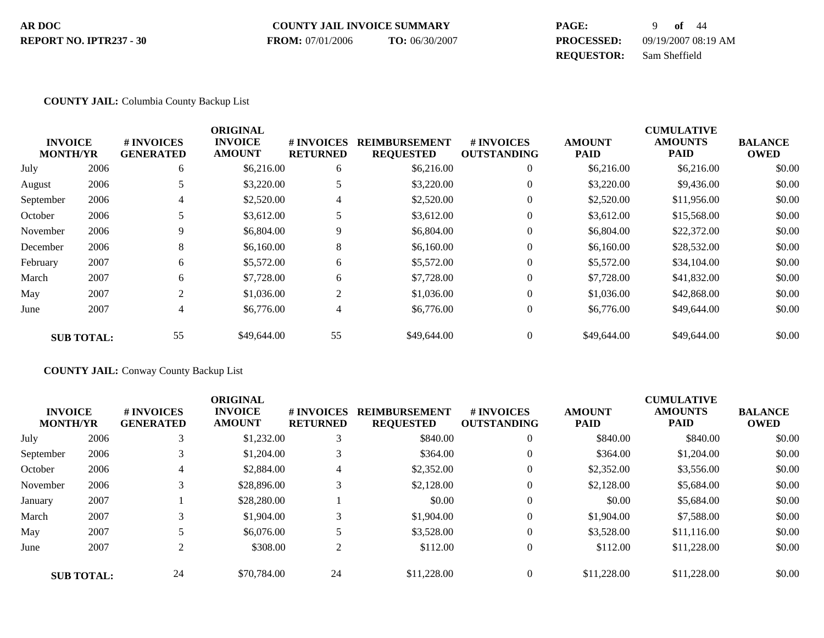#### **COUNTY JAIL INVOICE SUMMARY AR DOC PAGE:** 9 **of** 44 **PROCESSED:** 09/19/2007 08:19 AM **REPORT NO. IPTR237 - 30 FROM:** 07/01/2006 **TO:** 06/30/2007

# **REQUESTOR:** Sam Sheffield

## **COUNTY JAIL:** Columbia County Backup List

|                                   |                   |                                | <b>ORIGINAL</b>                 |                                     |                                          |                                         |                              | <b>CUMULATIVE</b>             |                               |
|-----------------------------------|-------------------|--------------------------------|---------------------------------|-------------------------------------|------------------------------------------|-----------------------------------------|------------------------------|-------------------------------|-------------------------------|
| <b>INVOICE</b><br><b>MONTH/YR</b> |                   | # INVOICES<br><b>GENERATED</b> | <b>INVOICE</b><br><b>AMOUNT</b> | <b>#INVOICES</b><br><b>RETURNED</b> | <b>REIMBURSEMENT</b><br><b>REQUESTED</b> | <b># INVOICES</b><br><b>OUTSTANDING</b> | <b>AMOUNT</b><br><b>PAID</b> | <b>AMOUNTS</b><br><b>PAID</b> | <b>BALANCE</b><br><b>OWED</b> |
| July                              | 2006              | 6                              | \$6,216.00                      | 6                                   | \$6,216.00                               | $\mathbf{0}$                            | \$6,216.00                   | \$6,216.00                    | \$0.00                        |
| August                            | 2006              |                                | \$3,220.00                      | 5                                   | \$3,220.00                               | $\mathbf{0}$                            | \$3,220.00                   | \$9,436.00                    | \$0.00                        |
| September                         | 2006              | 4                              | \$2,520.00                      | 4                                   | \$2,520.00                               | $\theta$                                | \$2,520.00                   | \$11,956.00                   | \$0.00                        |
| October                           | 2006              |                                | \$3,612.00                      | 5                                   | \$3,612.00                               | $\theta$                                | \$3,612.00                   | \$15,568.00                   | \$0.00                        |
| November                          | 2006              | 9                              | \$6,804.00                      | 9                                   | \$6,804.00                               | $\mathbf{0}$                            | \$6,804.00                   | \$22,372.00                   | \$0.00                        |
| December                          | 2006              | 8                              | \$6,160.00                      | 8                                   | \$6,160.00                               | $\mathbf{0}$                            | \$6,160.00                   | \$28,532.00                   | \$0.00                        |
| February                          | 2007              | 6                              | \$5,572.00                      | 6                                   | \$5,572.00                               | $\theta$                                | \$5,572.00                   | \$34,104.00                   | \$0.00                        |
| March                             | 2007              | 6                              | \$7,728.00                      | 6                                   | \$7,728.00                               | $\theta$                                | \$7,728.00                   | \$41,832.00                   | \$0.00                        |
| May                               | 2007              | 2                              | \$1,036.00                      | 2                                   | \$1,036.00                               | $\mathbf{0}$                            | \$1,036.00                   | \$42,868.00                   | \$0.00                        |
| June                              | 2007              | 4                              | \$6,776.00                      | 4                                   | \$6,776.00                               | $\mathbf{0}$                            | \$6,776.00                   | \$49,644.00                   | \$0.00                        |
|                                   | <b>SUB TOTAL:</b> | 55                             | \$49,644.00                     | 55                                  | \$49,644.00                              | $\Omega$                                | \$49,644.00                  | \$49,644.00                   | \$0.00                        |

**COUNTY JAIL:** Conway County Backup List

| <b>INVOICE</b><br><b>MONTH/YR</b> |                   | # INVOICES<br><b>GENERATED</b> | <b>ORIGINAL</b><br><b>INVOICE</b><br><b>AMOUNT</b> | # INVOICES<br><b>RETURNED</b> | <b>REIMBURSEMENT</b><br><b>REQUESTED</b> | <b>#INVOICES</b><br><b>OUTSTANDING</b> | <b>AMOUNT</b><br><b>PAID</b> | <b>CUMULATIVE</b><br><b>AMOUNTS</b><br><b>PAID</b> | <b>BALANCE</b><br><b>OWED</b> |
|-----------------------------------|-------------------|--------------------------------|----------------------------------------------------|-------------------------------|------------------------------------------|----------------------------------------|------------------------------|----------------------------------------------------|-------------------------------|
| July                              | 2006              |                                | \$1,232.00                                         | 3                             | \$840.00                                 | $\theta$                               | \$840.00                     | \$840.00                                           | \$0.00                        |
| September                         | 2006              |                                | \$1,204.00                                         | 3                             | \$364.00                                 | $\theta$                               | \$364.00                     | \$1,204.00                                         | \$0.00                        |
| October                           | 2006              | 4                              | \$2,884.00                                         | $\overline{4}$                | \$2,352.00                               | $\overline{0}$                         | \$2,352.00                   | \$3,556.00                                         | \$0.00                        |
| November                          | 2006              |                                | \$28,896.00                                        |                               | \$2,128,00                               | $\overline{0}$                         | \$2,128.00                   | \$5,684.00                                         | \$0.00                        |
| January                           | 2007              |                                | \$28,280,00                                        |                               | \$0.00                                   | $\overline{0}$                         | \$0.00                       | \$5,684.00                                         | \$0.00                        |
| March                             | 2007              |                                | \$1,904.00                                         | 3                             | \$1,904.00                               | $\theta$                               | \$1,904.00                   | \$7,588.00                                         | \$0.00                        |
| May                               | 2007              |                                | \$6,076.00                                         | $\overline{\phantom{a}}$<br>J | \$3,528.00                               | $\theta$                               | \$3,528.00                   | \$11,116.00                                        | \$0.00                        |
| June                              | 2007              |                                | \$308.00                                           | $\sim$<br>∠                   | \$112.00                                 | $\theta$                               | \$112.00                     | \$11,228.00                                        | \$0.00                        |
|                                   | <b>SUB TOTAL:</b> | 24                             | \$70,784.00                                        | 24                            | \$11,228.00                              | $\theta$                               | \$11,228.00                  | \$11,228.00                                        | \$0.00                        |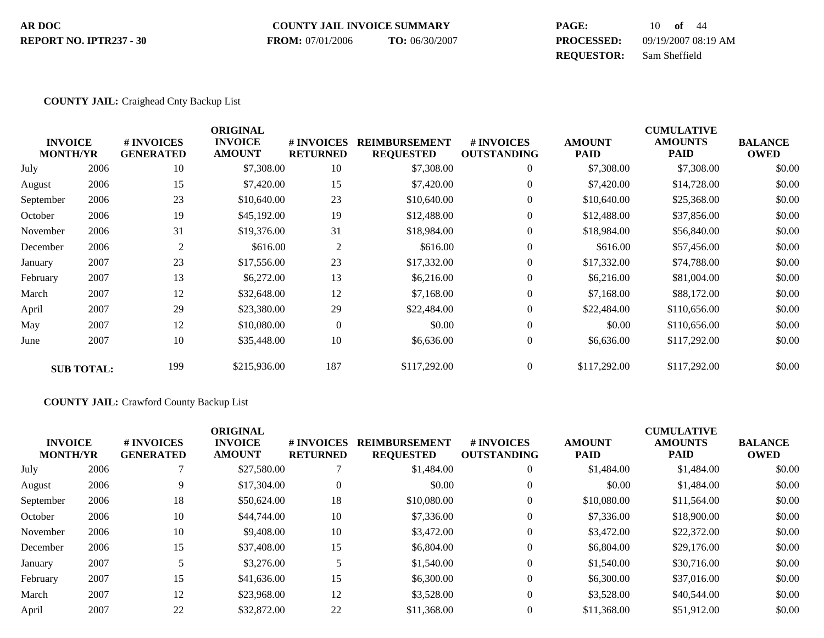#### **COUNTY JAIL INVOICE SUMMARY AR DOC PAGE:** 10 **of** 44 **PROCESSED:** 09/19/2007 08:19 AM **REPORT NO. IPTR237 - 30 FROM:** 07/01/2006 **TO:** 06/30/2007

**REQUESTOR:** Sam Sheffield

#### **COUNTY JAIL:** Craighead Cnty Backup List

| <b>INVOICE</b><br><b>MONTH/YR</b> |                   | # INVOICES<br><b>GENERATED</b> | <b>ORIGINAL</b><br><b>INVOICE</b><br><b>AMOUNT</b> | # INVOICES<br><b>RETURNED</b> | <b>REIMBURSEMENT</b><br><b>REQUESTED</b> | # INVOICES<br><b>OUTSTANDING</b> | <b>AMOUNT</b><br><b>PAID</b> | <b>CUMULATIVE</b><br><b>AMOUNTS</b><br><b>PAID</b> | <b>BALANCE</b><br><b>OWED</b> |
|-----------------------------------|-------------------|--------------------------------|----------------------------------------------------|-------------------------------|------------------------------------------|----------------------------------|------------------------------|----------------------------------------------------|-------------------------------|
| July                              | 2006              | 10                             | \$7,308.00                                         | 10                            | \$7,308.00                               | $\mathbf{0}$                     | \$7,308.00                   | \$7,308.00                                         | \$0.00                        |
| August                            | 2006              | 15                             | \$7,420.00                                         | 15                            | \$7,420.00                               | $\boldsymbol{0}$                 | \$7,420.00                   | \$14,728.00                                        | \$0.00                        |
| September                         | 2006              | 23                             | \$10,640.00                                        | 23                            | \$10,640.00                              | $\overline{0}$                   | \$10,640.00                  | \$25,368.00                                        | \$0.00                        |
| October                           | 2006              | 19                             | \$45,192.00                                        | 19                            | \$12,488.00                              | $\overline{0}$                   | \$12,488.00                  | \$37,856.00                                        | \$0.00                        |
| November                          | 2006              | 31                             | \$19,376.00                                        | 31                            | \$18,984.00                              | $\overline{0}$                   | \$18,984.00                  | \$56,840.00                                        | \$0.00                        |
| December                          | 2006              | $\overline{2}$                 | \$616.00                                           | $\overline{2}$                | \$616.00                                 | $\mathbf{0}$                     | \$616.00                     | \$57,456.00                                        | \$0.00                        |
| January                           | 2007              | 23                             | \$17,556.00                                        | 23                            | \$17,332.00                              | $\mathbf{0}$                     | \$17,332.00                  | \$74,788.00                                        | \$0.00                        |
| February                          | 2007              | 13                             | \$6,272.00                                         | 13                            | \$6,216.00                               | $\mathbf{0}$                     | \$6,216.00                   | \$81,004.00                                        | \$0.00                        |
| March                             | 2007              | 12                             | \$32,648.00                                        | 12                            | \$7,168.00                               | $\mathbf{0}$                     | \$7,168.00                   | \$88,172.00                                        | \$0.00                        |
| April                             | 2007              | 29                             | \$23,380.00                                        | 29                            | \$22,484.00                              | $\Omega$                         | \$22,484.00                  | \$110,656.00                                       | \$0.00                        |
| May                               | 2007              | 12                             | \$10,080.00                                        | $\boldsymbol{0}$              | \$0.00                                   | $\mathbf{0}$                     | \$0.00                       | \$110,656.00                                       | \$0.00                        |
| June                              | 2007              | 10                             | \$35,448.00                                        | 10                            | \$6,636.00                               | $\mathbf{0}$                     | \$6,636.00                   | \$117,292.00                                       | \$0.00                        |
|                                   | <b>SUB TOTAL:</b> | 199                            | \$215,936.00                                       | 187                           | \$117,292.00                             | $\mathbf{0}$                     | \$117,292.00                 | \$117,292.00                                       | \$0.00                        |

#### **COUNTY JAIL:** Crawford County Backup List

| <b>INVOICE</b><br><b>MONTH/YR</b> |      | # INVOICES<br><b>GENERATED</b> | <b>ORIGINAL</b><br><b>INVOICE</b><br><b>AMOUNT</b> | # INVOICES<br><b>RETURNED</b> | <b>REIMBURSEMENT</b><br><b>REQUESTED</b> | # INVOICES<br><b>OUTSTANDING</b> | <b>AMOUNT</b><br><b>PAID</b> | <b>CUMULATIVE</b><br><b>AMOUNTS</b><br><b>PAID</b> | <b>BALANCE</b><br><b>OWED</b> |
|-----------------------------------|------|--------------------------------|----------------------------------------------------|-------------------------------|------------------------------------------|----------------------------------|------------------------------|----------------------------------------------------|-------------------------------|
| July                              | 2006 |                                | \$27,580.00                                        | ⇁                             | \$1,484.00                               | $\overline{0}$                   | \$1,484.00                   | \$1,484.00                                         | \$0.00                        |
| August                            | 2006 | 9                              | \$17,304.00                                        | $\boldsymbol{0}$              | \$0.00                                   | $\overline{0}$                   | \$0.00                       | \$1,484.00                                         | \$0.00                        |
| September                         | 2006 | 18                             | \$50,624.00                                        | 18                            | \$10,080.00                              | $\overline{0}$                   | \$10,080.00                  | \$11,564.00                                        | \$0.00                        |
| October                           | 2006 | 10                             | \$44,744.00                                        | 10                            | \$7,336.00                               | $\overline{0}$                   | \$7,336.00                   | \$18,900.00                                        | \$0.00                        |
| November                          | 2006 | 10                             | \$9,408.00                                         | 10                            | \$3,472.00                               | $\overline{0}$                   | \$3,472.00                   | \$22,372.00                                        | \$0.00                        |
| December                          | 2006 | 15                             | \$37,408.00                                        | 15                            | \$6,804.00                               | $\overline{0}$                   | \$6,804.00                   | \$29,176.00                                        | \$0.00                        |
| January                           | 2007 |                                | \$3,276.00                                         | 5                             | \$1,540.00                               | $\overline{0}$                   | \$1,540.00                   | \$30,716.00                                        | \$0.00                        |
| February                          | 2007 | 15                             | \$41,636.00                                        | 15                            | \$6,300.00                               | $\theta$                         | \$6,300.00                   | \$37,016.00                                        | \$0.00                        |
| March                             | 2007 | 12                             | \$23,968.00                                        | 12                            | \$3,528.00                               | $\overline{0}$                   | \$3,528.00                   | \$40,544.00                                        | \$0.00                        |
| April                             | 2007 | 22                             | \$32,872.00                                        | 22                            | \$11,368.00                              | $\theta$                         | \$11,368.00                  | \$51,912.00                                        | \$0.00                        |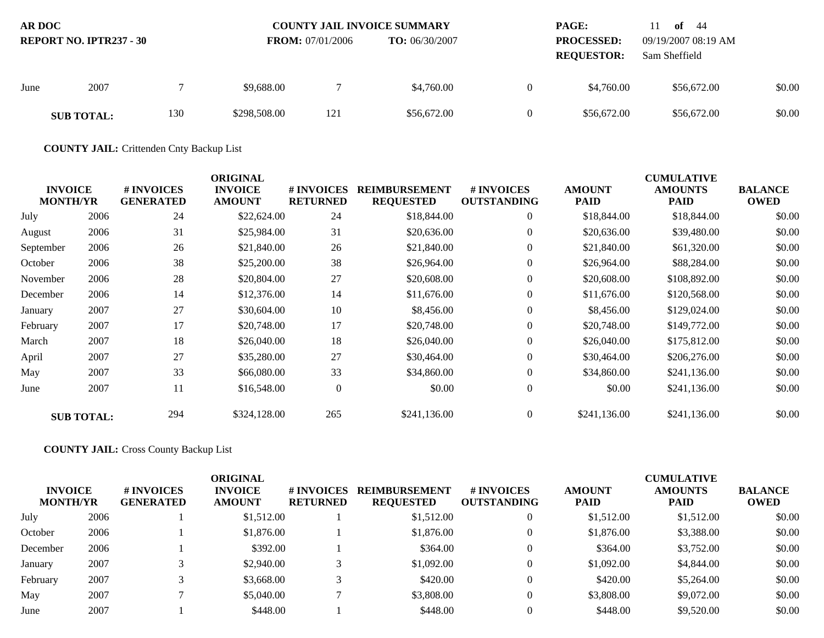| <b>AR DOC</b><br><b>REPORT NO. IPTR237 - 30</b> |                   |     | <b>FROM:</b> 07/01/2006 | <b>COUNTY JAIL INVOICE SUMMARY</b><br><b>TO:</b> $06/30/2007$ |             | <b>PAGE:</b><br><b>PROCESSED:</b><br><b>REQUESTOR:</b> | of $44$<br>H<br>09/19/2007 08:19 AM<br>Sam Sheffield |             |        |
|-------------------------------------------------|-------------------|-----|-------------------------|---------------------------------------------------------------|-------------|--------------------------------------------------------|------------------------------------------------------|-------------|--------|
| June                                            | 2007              |     | \$9.688.00              |                                                               | \$4,760.00  | $\Omega$                                               | \$4,760.00                                           | \$56,672.00 | \$0.00 |
|                                                 | <b>SUB TOTAL:</b> | 130 | \$298,508.00            | 121                                                           | \$56,672.00 |                                                        | \$56,672.00                                          | \$56,672.00 | \$0.00 |

**COUNTY JAIL:** Crittenden Cnty Backup List

| <b>INVOICE</b><br><b>MONTH/YR</b> |                   | # INVOICES<br><b>GENERATED</b> | <b>ORIGINAL</b><br><b>INVOICE</b><br><b>AMOUNT</b> | <b>#INVOICES</b><br><b>RETURNED</b> | <b>REIMBURSEMENT</b><br><b>REQUESTED</b> | # INVOICES<br><b>OUTSTANDING</b> | <b>AMOUNT</b><br><b>PAID</b> | <b>CUMULATIVE</b><br><b>AMOUNTS</b><br>PAID | <b>BALANCE</b><br><b>OWED</b> |
|-----------------------------------|-------------------|--------------------------------|----------------------------------------------------|-------------------------------------|------------------------------------------|----------------------------------|------------------------------|---------------------------------------------|-------------------------------|
| July                              | 2006              | 24                             | \$22,624.00                                        | 24                                  | \$18,844.00                              | $\overline{0}$                   | \$18,844.00                  | \$18,844.00                                 | \$0.00                        |
| August                            | 2006              | 31                             | \$25,984.00                                        | 31                                  | \$20,636.00                              | $\overline{0}$                   | \$20,636.00                  | \$39,480.00                                 | \$0.00                        |
| September                         | 2006              | 26                             | \$21,840.00                                        | 26                                  | \$21,840.00                              | $\theta$                         | \$21,840.00                  | \$61,320.00                                 | \$0.00                        |
| October                           | 2006              | 38                             | \$25,200.00                                        | 38                                  | \$26,964.00                              | $\overline{0}$                   | \$26,964.00                  | \$88,284.00                                 | \$0.00                        |
| November                          | 2006              | 28                             | \$20,804.00                                        | 27                                  | \$20,608.00                              | $\overline{0}$                   | \$20,608.00                  | \$108,892.00                                | \$0.00                        |
| December                          | 2006              | 14                             | \$12,376.00                                        | 14                                  | \$11,676.00                              | $\theta$                         | \$11,676.00                  | \$120,568.00                                | \$0.00                        |
| January                           | 2007              | 27                             | \$30,604.00                                        | 10                                  | \$8,456.00                               | $\overline{0}$                   | \$8,456.00                   | \$129,024.00                                | \$0.00                        |
| February                          | 2007              | 17                             | \$20,748.00                                        | 17                                  | \$20,748.00                              | $\overline{0}$                   | \$20,748.00                  | \$149,772.00                                | \$0.00                        |
| March                             | 2007              | 18                             | \$26,040.00                                        | 18                                  | \$26,040.00                              | $\theta$                         | \$26,040.00                  | \$175,812.00                                | \$0.00                        |
| April                             | 2007              | 27                             | \$35,280.00                                        | 27                                  | \$30,464.00                              | $\overline{0}$                   | \$30,464.00                  | \$206,276.00                                | \$0.00                        |
| May                               | 2007              | 33                             | \$66,080.00                                        | 33                                  | \$34,860.00                              | $\overline{0}$                   | \$34,860.00                  | \$241,136.00                                | \$0.00                        |
| June                              | 2007              | 11                             | \$16,548.00                                        | $\boldsymbol{0}$                    | \$0.00                                   | $\overline{0}$                   | \$0.00                       | \$241,136.00                                | \$0.00                        |
|                                   | <b>SUB TOTAL:</b> | 294                            | \$324,128.00                                       | 265                                 | \$241,136.00                             | $\theta$                         | \$241,136.00                 | \$241,136.00                                | \$0.00                        |

**COUNTY JAIL:** Cross County Backup List

| <b>INVOICE</b><br><b>MONTH/YR</b> |      | # INVOICES<br><b>GENERATED</b> | ORIGINAL<br><b>INVOICE</b><br><b>AMOUNT</b> | # INVOICES<br><b>RETURNED</b> | <b>REIMBURSEMENT</b><br><b>REQUESTED</b> | # INVOICES<br><b>OUTSTANDING</b> | <b>AMOUNT</b><br><b>PAID</b> | <b>CUMULATIVE</b><br><b>AMOUNTS</b><br><b>PAID</b> | <b>BALANCE</b><br><b>OWED</b> |
|-----------------------------------|------|--------------------------------|---------------------------------------------|-------------------------------|------------------------------------------|----------------------------------|------------------------------|----------------------------------------------------|-------------------------------|
| July                              | 2006 |                                | \$1,512.00                                  |                               | \$1,512.00                               | $\mathbf{0}$                     | \$1,512.00                   | \$1,512.00                                         | \$0.00                        |
| October                           | 2006 |                                | \$1,876.00                                  |                               | \$1,876.00                               | $\Omega$                         | \$1,876.00                   | \$3,388.00                                         | \$0.00                        |
| December                          | 2006 |                                | \$392.00                                    |                               | \$364.00                                 | $\theta$                         | \$364.00                     | \$3,752.00                                         | \$0.00                        |
| January                           | 2007 |                                | \$2,940.00                                  |                               | \$1,092.00                               | $\theta$                         | \$1,092.00                   | \$4,844.00                                         | \$0.00                        |
| February                          | 2007 |                                | \$3,668.00                                  |                               | \$420.00                                 | $\Omega$                         | \$420.00                     | \$5,264.00                                         | \$0.00                        |
| May                               | 2007 |                                | \$5,040.00                                  |                               | \$3,808.00                               | $\Omega$                         | \$3,808.00                   | \$9,072.00                                         | \$0.00                        |
| June                              | 2007 |                                | \$448.00                                    |                               | \$448.00                                 |                                  | \$448.00                     | \$9,520.00                                         | \$0.00                        |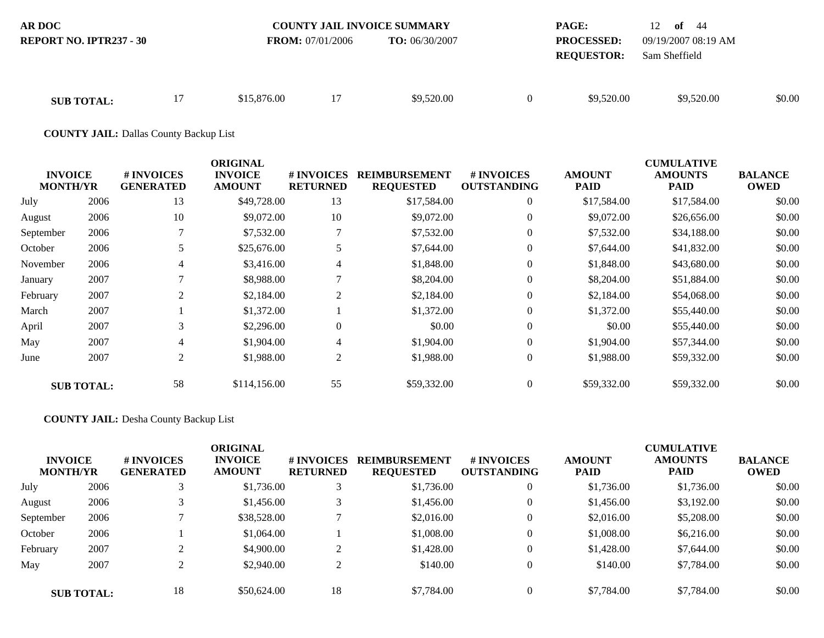| <b>AR DOC</b><br><b>REPORT NO. IPTR237 - 30</b> |    | <b>FROM:</b> $07/01/2006$ |    | <b>COUNTY JAIL INVOICE SUMMARY</b><br><b>TO:</b> 06/30/2007 |          | <b>PAGE:</b><br><b>PROCESSED:</b><br><b>REQUESTOR:</b> | 12 <b>of</b> 44<br>09/19/2007 08:19 AM<br>Sam Sheffield |        |
|-------------------------------------------------|----|---------------------------|----|-------------------------------------------------------------|----------|--------------------------------------------------------|---------------------------------------------------------|--------|
| <b>SUB TOTAL:</b>                               | 17 | \$15,876.00               | 17 | \$9,520.00                                                  | $\theta$ | \$9,520.00                                             | \$9,520.00                                              | \$0.00 |

**COUNTY JAIL:** Dallas County Backup List

|                                   |                   |                                | <b>ORIGINAL</b>                 |                               |                                          |                                  |                              | <b>CUMULATIVE</b>      |                               |
|-----------------------------------|-------------------|--------------------------------|---------------------------------|-------------------------------|------------------------------------------|----------------------------------|------------------------------|------------------------|-------------------------------|
| <b>INVOICE</b><br><b>MONTH/YR</b> |                   | # INVOICES<br><b>GENERATED</b> | <b>INVOICE</b><br><b>AMOUNT</b> | # INVOICES<br><b>RETURNED</b> | <b>REIMBURSEMENT</b><br><b>REQUESTED</b> | # INVOICES<br><b>OUTSTANDING</b> | <b>AMOUNT</b><br><b>PAID</b> | <b>AMOUNTS</b><br>PAID | <b>BALANCE</b><br><b>OWED</b> |
| July                              | 2006              | 13                             | \$49,728.00                     | 13                            | \$17,584.00                              | $\overline{0}$                   | \$17,584.00                  | \$17,584.00            | \$0.00                        |
| August                            | 2006              | 10                             | \$9,072.00                      | 10                            | \$9,072.00                               | $\Omega$                         | \$9,072.00                   | \$26,656.00            | \$0.00                        |
| September                         | 2006              |                                | \$7,532.00                      | 7                             | \$7,532.00                               | $\overline{0}$                   | \$7,532.00                   | \$34,188.00            | \$0.00                        |
| October                           | 2006              | 5                              | \$25,676.00                     | 5                             | \$7,644.00                               | $\Omega$                         | \$7,644.00                   | \$41,832.00            | \$0.00                        |
| November                          | 2006              | 4                              | \$3,416.00                      | 4                             | \$1,848.00                               | $\overline{0}$                   | \$1,848.00                   | \$43,680.00            | \$0.00                        |
| January                           | 2007              |                                | \$8,988.00                      | 7                             | \$8,204.00                               | $\Omega$                         | \$8,204.00                   | \$51,884.00            | \$0.00                        |
| February                          | 2007              | $\overline{2}$                 | \$2,184.00                      | $\overline{c}$                | \$2,184.00                               | $\Omega$                         | \$2,184.00                   | \$54,068.00            | \$0.00                        |
| March                             | 2007              |                                | \$1,372.00                      |                               | \$1,372.00                               | $\Omega$                         | \$1,372.00                   | \$55,440.00            | \$0.00                        |
| April                             | 2007              | 3                              | \$2,296.00                      | $\boldsymbol{0}$              | \$0.00                                   | $\Omega$                         | \$0.00                       | \$55,440.00            | \$0.00                        |
| May                               | 2007              | 4                              | \$1,904.00                      | $\overline{4}$                | \$1,904.00                               | $\Omega$                         | \$1,904.00                   | \$57,344.00            | \$0.00                        |
| June                              | 2007              | 2                              | \$1,988.00                      | $\overline{c}$                | \$1,988.00                               | $\overline{0}$                   | \$1,988.00                   | \$59,332.00            | \$0.00                        |
|                                   | <b>SUB TOTAL:</b> | 58                             | \$114,156.00                    | 55                            | \$59,332.00                              | $\Omega$                         | \$59,332.00                  | \$59,332.00            | \$0.00                        |

## **COUNTY JAIL:** Desha County Backup List

| <b>INVOICE</b><br><b>MONTH/YR</b> |                   | # INVOICES<br><b>GENERATED</b> | <b>ORIGINAL</b><br><b>INVOICE</b><br><b>AMOUNT</b> | <b>#INVOICES</b><br><b>RETURNED</b> | <b>REIMBURSEMENT</b><br><b>REQUESTED</b> | # INVOICES<br><b>OUTSTANDING</b> | <b>AMOUNT</b><br><b>PAID</b> | <b>CUMULATIVE</b><br><b>AMOUNTS</b><br><b>PAID</b> | <b>BALANCE</b><br><b>OWED</b> |
|-----------------------------------|-------------------|--------------------------------|----------------------------------------------------|-------------------------------------|------------------------------------------|----------------------------------|------------------------------|----------------------------------------------------|-------------------------------|
| July                              | 2006              |                                | \$1,736.00                                         | 3                                   | \$1,736.00                               | $\mathbf{0}$                     | \$1,736.00                   | \$1,736.00                                         | \$0.00                        |
| August                            | 2006              |                                | \$1,456.00                                         | 3                                   | \$1,456.00                               | $\overline{0}$                   | \$1,456.00                   | \$3,192.00                                         | \$0.00                        |
| September                         | 2006              |                                | \$38,528.00                                        |                                     | \$2,016.00                               | $\overline{0}$                   | \$2,016.00                   | \$5,208.00                                         | \$0.00                        |
| October                           | 2006              |                                | \$1,064.00                                         |                                     | \$1,008.00                               | $\overline{0}$                   | \$1,008.00                   | \$6,216.00                                         | \$0.00                        |
| February                          | 2007              |                                | \$4,900.00                                         | ◠                                   | \$1,428.00                               | $\overline{0}$                   | \$1,428.00                   | \$7,644.00                                         | \$0.00                        |
| May                               | 2007              |                                | \$2,940.00                                         | Δ                                   | \$140.00                                 | $\overline{0}$                   | \$140.00                     | \$7,784.00                                         | \$0.00                        |
|                                   | <b>SUB TOTAL:</b> | 18                             | \$50,624.00                                        | 18                                  | \$7,784.00                               | $\Omega$                         | \$7,784.00                   | \$7,784.00                                         | \$0.00                        |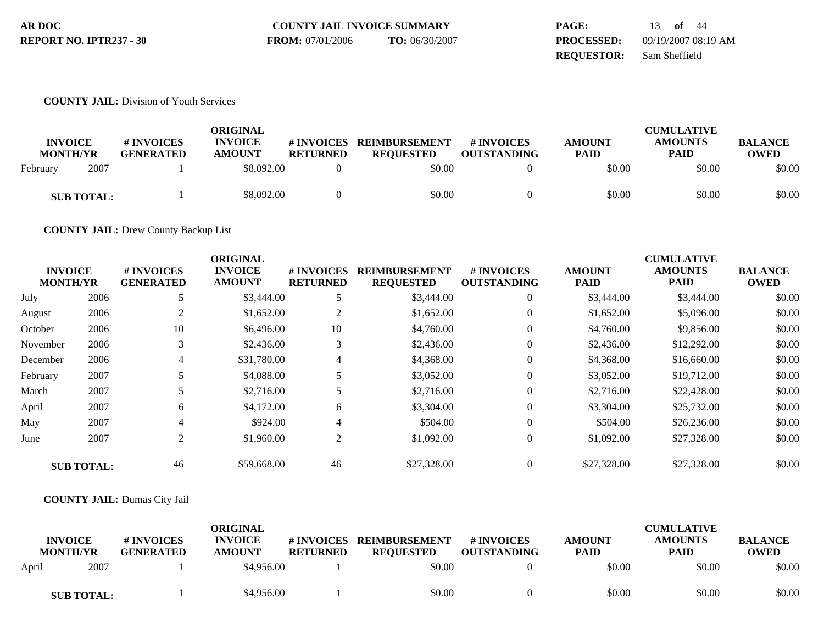| AR DOC                  | <b>COUNTY JAIL INVOICE SUMMARY</b> |                | <b>PAGE:</b>      | 13 <b>of</b> 44     |
|-------------------------|------------------------------------|----------------|-------------------|---------------------|
| REPORT NO. IPTR237 - 30 | <b>FROM:</b> 07/01/2006            | TO: 06/30/2007 | <b>PROCESSED:</b> | 09/19/2007 08:19 AM |
|                         |                                    |                | <b>REOUESTOR:</b> | Sam Sheffield       |

#### **COUNTY JAIL:** Division of Youth Services

| <b>INVOICE</b><br><b>MONTH/YR</b> | # INVOICES<br><b>GENERATED</b> | ORIGINAL<br><b>INVOICE</b><br><b>AMOUNT</b> | # INVOICES<br><b>RETURNED</b> | <b>REIMBURSEMENT</b><br><b>REOUESTED</b> | # INVOICES<br><b>OUTSTANDING</b> | <b>AMOUNT</b><br><b>PAID</b> | <b>CUMULATIVE</b><br><b>AMOUNTS</b><br><b>PAID</b> | <b>BALANCE</b><br><b>OWED</b> |
|-----------------------------------|--------------------------------|---------------------------------------------|-------------------------------|------------------------------------------|----------------------------------|------------------------------|----------------------------------------------------|-------------------------------|
| 2007<br>February                  |                                | \$8,092.00                                  |                               | \$0.00                                   |                                  | \$0.00                       | \$0.00                                             | \$0.00                        |
| <b>SUB TOTAL:</b>                 |                                | \$8,092.00                                  |                               | \$0.00                                   |                                  | \$0.00                       | \$0.00                                             | \$0.00                        |

**COUNTY JAIL:** Drew County Backup List

|          | <b>INVOICE</b><br><b>MONTH/YR</b> | # INVOICES<br><b>GENERATED</b> | <b>ORIGINAL</b><br><b>INVOICE</b><br><b>AMOUNT</b> | # INVOICES<br><b>RETURNED</b> | <b>REIMBURSEMENT</b><br><b>REQUESTED</b> | # INVOICES<br><b>OUTSTANDING</b> | <b>AMOUNT</b><br><b>PAID</b> | <b>CUMULATIVE</b><br><b>AMOUNTS</b><br>PAID | <b>BALANCE</b><br><b>OWED</b> |
|----------|-----------------------------------|--------------------------------|----------------------------------------------------|-------------------------------|------------------------------------------|----------------------------------|------------------------------|---------------------------------------------|-------------------------------|
| July     | 2006                              | 5                              | \$3,444.00                                         | 5                             | \$3,444.00                               | $\overline{0}$                   | \$3,444.00                   | \$3,444.00                                  | \$0.00                        |
| August   | 2006                              | 2                              | \$1,652.00                                         | 2                             | \$1,652.00                               | $\Omega$                         | \$1,652.00                   | \$5,096.00                                  | \$0.00                        |
| October  | 2006                              | 10                             | \$6,496.00                                         | 10                            | \$4,760.00                               | $\overline{0}$                   | \$4,760.00                   | \$9,856.00                                  | \$0.00                        |
| November | 2006                              | 3                              | \$2,436.00                                         | 3                             | \$2,436.00                               | $\overline{0}$                   | \$2,436.00                   | \$12,292.00                                 | \$0.00                        |
| December | 2006                              | 4                              | \$31,780.00                                        | 4                             | \$4,368.00                               | $\Omega$                         | \$4,368.00                   | \$16,660.00                                 | \$0.00                        |
| February | 2007                              | 5                              | \$4,088.00                                         | 5                             | \$3,052.00                               | $\Omega$                         | \$3,052.00                   | \$19,712.00                                 | \$0.00                        |
| March    | 2007                              | 5                              | \$2,716.00                                         | 5                             | \$2,716.00                               | $\overline{0}$                   | \$2,716.00                   | \$22,428.00                                 | \$0.00                        |
| April    | 2007                              | 6                              | \$4,172.00                                         | 6                             | \$3,304.00                               | $\Omega$                         | \$3,304.00                   | \$25,732.00                                 | \$0.00                        |
| May      | 2007                              | 4                              | \$924.00                                           | 4                             | \$504.00                                 | $\Omega$                         | \$504.00                     | \$26,236.00                                 | \$0.00                        |
| June     | 2007                              | $\overline{2}$                 | \$1,960.00                                         | $\overline{2}$                | \$1,092.00                               | $\overline{0}$                   | \$1,092.00                   | \$27,328.00                                 | \$0.00                        |
|          | <b>SUB TOTAL:</b>                 | 46                             | \$59,668.00                                        | 46                            | \$27,328.00                              | $\Omega$                         | \$27,328.00                  | \$27,328.00                                 | \$0.00                        |

### **COUNTY JAIL:** Dumas City Jail

| <b>INVOICE</b><br><b>MONTH/YR</b> | # INVOICES<br><b>GENERATED</b> | <b>ORIGINAL</b><br><b>INVOICE</b><br><b>AMOUNT</b> | # INVOICES<br><b>RETURNED</b> | <b>REIMBURSEMENT</b><br><b>REQUESTED</b> | # INVOICES<br><b>OUTSTANDING</b> | <b>AMOUNT</b><br><b>PAID</b> | <b>CUMULATIVE</b><br><b>AMOUNTS</b><br><b>PAID</b> | <b>BALANCE</b><br><b>OWED</b> |
|-----------------------------------|--------------------------------|----------------------------------------------------|-------------------------------|------------------------------------------|----------------------------------|------------------------------|----------------------------------------------------|-------------------------------|
| 2007<br>April                     |                                | \$4,956.00                                         |                               | \$0.00                                   |                                  | \$0.00                       | \$0.00                                             | \$0.00                        |
| <b>SUB TOTAL:</b>                 |                                | \$4,956.00                                         |                               | \$0.00                                   |                                  | \$0.00                       | \$0.00                                             | \$0.00                        |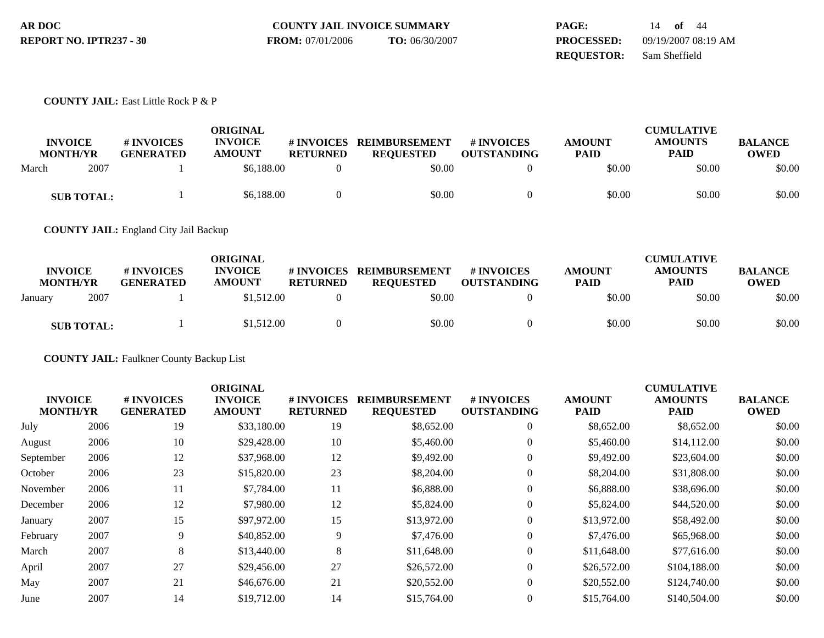| AR DOC                  | <b>COUNTY JAIL INVOICE SUMMARY</b> |                | PAGE:             | of $44$<br>14       |
|-------------------------|------------------------------------|----------------|-------------------|---------------------|
| REPORT NO. IPTR237 - 30 | <b>FROM:</b> 07/01/2006            | TO: 06/30/2007 | <b>PROCESSED:</b> | 09/19/2007 08:19 AM |
|                         |                                    |                | <b>REOUESTOR:</b> | Sam Sheffield       |

#### **COUNTY JAIL:** East Little Rock P & P

| <b>INVOICE</b><br><b>MONTH/YR</b> |                   | # INVOICES<br><b>GENERATED</b> | <b>ORIGINAL</b><br><b>INVOICE</b><br><b>AMOUNT</b> | # INVOICES<br><b>RETURNED</b> | <b>REIMBURSEMENT</b><br><b>REQUESTED</b> | <b>#INVOICES</b><br><b>OUTSTANDING</b> | <b>AMOUNT</b><br><b>PAID</b> | <b>CUMULATIVE</b><br><b>AMOUNTS</b><br>PAID | <b>BALANCE</b><br>OWED |
|-----------------------------------|-------------------|--------------------------------|----------------------------------------------------|-------------------------------|------------------------------------------|----------------------------------------|------------------------------|---------------------------------------------|------------------------|
| March                             | 2007              |                                | \$6,188,00                                         |                               | \$0.00                                   |                                        | \$0.00                       | \$0.00                                      | \$0.00                 |
|                                   | <b>SUB TOTAL:</b> |                                | \$6,188,00                                         |                               | \$0.00                                   |                                        | \$0.00                       | \$0.00                                      | \$0.00                 |

**COUNTY JAIL:** England City Jail Backup

| <b>INVOICE</b><br><b>MONTH/YR</b> | # INVOICES<br><b>GENERATED</b> | ORIGINAL<br><b>INVOICE</b><br><b>AMOUNT</b> | # INVOICES<br><b>RETURNED</b> | <b>REIMBURSEMENT</b><br><b>REOUESTED</b> | # INVOICES<br><b>OUTSTANDING</b> | <b>AMOUNT</b><br><b>PAID</b> | <b>CUMULATIVE</b><br><b>AMOUNTS</b><br><b>PAID</b> | <b>BALANCE</b><br><b>OWED</b> |
|-----------------------------------|--------------------------------|---------------------------------------------|-------------------------------|------------------------------------------|----------------------------------|------------------------------|----------------------------------------------------|-------------------------------|
| 2007<br>January                   |                                | \$1,512.00                                  |                               | \$0.00                                   |                                  | \$0.00                       | \$0.00                                             | \$0.00                        |
| <b>SUB TOTAL:</b>                 |                                | \$1,512.00                                  |                               | \$0.00                                   |                                  | \$0.00                       | \$0.00                                             | \$0.00                        |

**COUNTY JAIL:** Faulkner County Backup List

|                                   |      |                                | <b>ORIGINAL</b>                 |                                      |                                          |                                  |                              | <b>CUMULATIVE</b>             |                        |
|-----------------------------------|------|--------------------------------|---------------------------------|--------------------------------------|------------------------------------------|----------------------------------|------------------------------|-------------------------------|------------------------|
| <b>INVOICE</b><br><b>MONTH/YR</b> |      | # INVOICES<br><b>GENERATED</b> | <b>INVOICE</b><br><b>AMOUNT</b> | <b># INVOICES</b><br><b>RETURNED</b> | <b>REIMBURSEMENT</b><br><b>REQUESTED</b> | # INVOICES<br><b>OUTSTANDING</b> | <b>AMOUNT</b><br><b>PAID</b> | <b>AMOUNTS</b><br><b>PAID</b> | <b>BALANCE</b><br>OWED |
| July                              | 2006 | 19                             | \$33,180.00                     | 19                                   | \$8,652.00                               | $\mathbf{0}$                     | \$8,652.00                   | \$8,652.00                    | \$0.00                 |
| August                            | 2006 | 10                             | \$29,428.00                     | 10                                   | \$5,460.00                               | $\overline{0}$                   | \$5,460.00                   | \$14,112.00                   | \$0.00                 |
| September                         | 2006 | 12                             | \$37,968.00                     | 12                                   | \$9,492.00                               | $\overline{0}$                   | \$9,492.00                   | \$23,604.00                   | \$0.00                 |
| October                           | 2006 | 23                             | \$15,820.00                     | 23                                   | \$8,204.00                               | $\overline{0}$                   | \$8,204.00                   | \$31,808.00                   | \$0.00                 |
| November                          | 2006 | 11                             | \$7,784.00                      | 11                                   | \$6,888.00                               | $\mathbf{0}$                     | \$6,888.00                   | \$38,696.00                   | \$0.00                 |
| December                          | 2006 | 12                             | \$7,980.00                      | 12                                   | \$5,824.00                               | $\mathbf{0}$                     | \$5,824.00                   | \$44,520.00                   | \$0.00                 |
| January                           | 2007 | 15                             | \$97,972.00                     | 15                                   | \$13,972.00                              | $\overline{0}$                   | \$13,972.00                  | \$58,492.00                   | \$0.00                 |
| February                          | 2007 | 9                              | \$40,852.00                     | 9                                    | \$7,476.00                               | $\mathbf{0}$                     | \$7,476.00                   | \$65,968.00                   | \$0.00                 |
| March                             | 2007 | 8                              | \$13,440.00                     | 8                                    | \$11,648.00                              | $\theta$                         | \$11,648.00                  | \$77,616.00                   | \$0.00                 |
| April                             | 2007 | 27                             | \$29,456.00                     | 27                                   | \$26,572.00                              | $\overline{0}$                   | \$26,572.00                  | \$104,188.00                  | \$0.00                 |
| May                               | 2007 | 21                             | \$46,676.00                     | 21                                   | \$20,552.00                              | $\theta$                         | \$20,552.00                  | \$124,740.00                  | \$0.00                 |
| June                              | 2007 | 14                             | \$19,712.00                     | 14                                   | \$15,764.00                              | $\overline{0}$                   | \$15,764.00                  | \$140,504.00                  | \$0.00                 |
|                                   |      |                                |                                 |                                      |                                          |                                  |                              |                               |                        |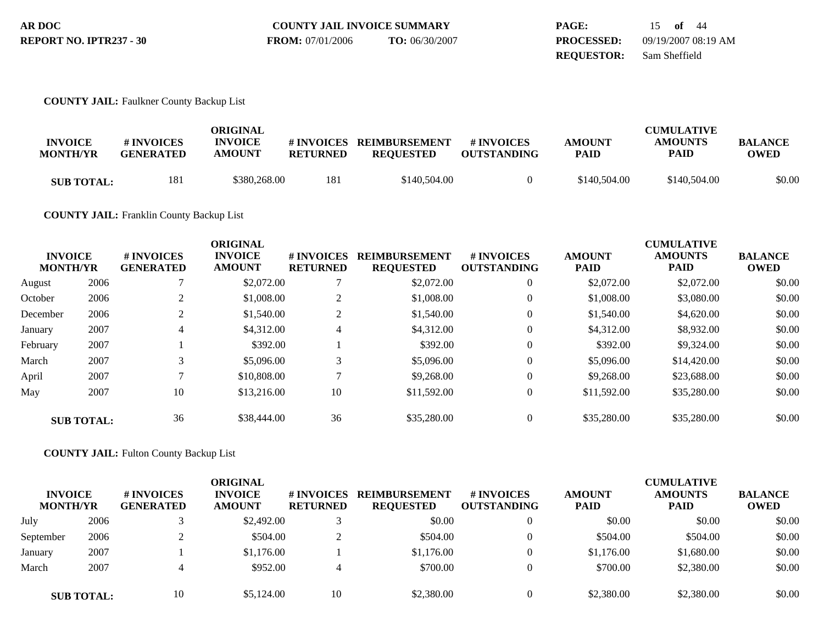| AR DOC                  | <b>COUNTY JAIL INVOICE SUMMARY</b> |                | PAGE:             | 15 of 44            |
|-------------------------|------------------------------------|----------------|-------------------|---------------------|
| REPORT NO. IPTR237 - 30 | <b>FROM:</b> 07/01/2006            | TO: 06/30/2007 | <b>PROCESSED:</b> | 09/19/2007 08:19 AM |
|                         |                                    |                | <b>REOUESTOR:</b> | Sam Sheffield       |

### **COUNTY JAIL:** Faulkner County Backup List

| <b>INVOICE</b><br><b>MONTH/YR</b> | # INVOICES<br><b>GENERATED</b> | ORIGINAL<br><b>INVOICE</b><br><b>AMOUNT</b> | <b>RETURNED</b> | #INVOICES REIMBURSEMENT<br><b>REOUESTED</b> | # INVOICES<br><b>OUTSTANDING</b> | <b>AMOUNT</b><br><b>PAID</b> | <b>CUMULATIVE</b><br><b>AMOUNTS</b><br><b>PAID</b> | <b>BALANCE</b><br><b>OWED</b> |
|-----------------------------------|--------------------------------|---------------------------------------------|-----------------|---------------------------------------------|----------------------------------|------------------------------|----------------------------------------------------|-------------------------------|
| <b>SUB TOTAL:</b>                 | 181                            | \$380.268.00                                | 181             | \$140,504.00                                | 0                                | \$140,504.00                 | \$140,504.00                                       | \$0.00                        |

## **COUNTY JAIL:** Franklin County Backup List

| <b>INVOICE</b><br><b>MONTH/YR</b> |                   | # INVOICES<br><b>GENERATED</b> | <b>ORIGINAL</b><br><b>INVOICE</b><br><b>AMOUNT</b> | # INVOICES<br><b>RETURNED</b> | <b>REIMBURSEMENT</b><br><b>REQUESTED</b> | <b>#INVOICES</b><br><b>OUTSTANDING</b> | <b>AMOUNT</b><br><b>PAID</b> | <b>CUMULATIVE</b><br><b>AMOUNTS</b><br>PAID | <b>BALANCE</b><br><b>OWED</b> |
|-----------------------------------|-------------------|--------------------------------|----------------------------------------------------|-------------------------------|------------------------------------------|----------------------------------------|------------------------------|---------------------------------------------|-------------------------------|
| August                            | 2006              |                                | \$2,072.00                                         |                               | \$2,072.00                               | $\overline{0}$                         | \$2,072.00                   | \$2,072.00                                  | \$0.00                        |
| October                           | 2006              |                                | \$1,008.00                                         | $\overline{2}$                | \$1,008.00                               | $\theta$                               | \$1,008.00                   | \$3,080.00                                  | \$0.00                        |
| December                          | 2006              | $\mathfrak{D}$                 | \$1,540.00                                         | $\overline{2}$                | \$1,540.00                               | $\theta$                               | \$1,540.00                   | \$4,620.00                                  | \$0.00                        |
| January                           | 2007              | 4                              | \$4,312.00                                         | 4                             | \$4,312.00                               | $\mathbf{0}$                           | \$4,312.00                   | \$8,932.00                                  | \$0.00                        |
| February                          | 2007              |                                | \$392.00                                           |                               | \$392.00                                 | $\theta$                               | \$392.00                     | \$9,324.00                                  | \$0.00                        |
| March                             | 2007              | 3                              | \$5,096.00                                         | 3                             | \$5,096.00                               | $\Omega$                               | \$5,096.00                   | \$14,420.00                                 | \$0.00                        |
| April                             | 2007              |                                | \$10,808.00                                        | $\mathbf{\tau}$               | \$9,268,00                               | $\Omega$                               | \$9,268.00                   | \$23,688.00                                 | \$0.00                        |
| May                               | 2007              | 10                             | \$13,216.00                                        | 10                            | \$11,592.00                              | $\overline{0}$                         | \$11,592.00                  | \$35,280.00                                 | \$0.00                        |
|                                   | <b>SUB TOTAL:</b> | 36                             | \$38,444.00                                        | 36                            | \$35,280.00                              | $\Omega$                               | \$35,280.00                  | \$35,280.00                                 | \$0.00                        |

**COUNTY JAIL:** Fulton County Backup List

| <b>INVOICE</b><br><b>MONTH/YR</b> |                   | <b># INVOICES</b><br><b>GENERATED</b> | ORIGINAL<br><b>INVOICE</b><br><b>AMOUNT</b> | # INVOICES<br><b>RETURNED</b> | <b>REIMBURSEMENT</b><br><b>REQUESTED</b> | # INVOICES<br><b>OUTSTANDING</b> | <b>AMOUNT</b><br><b>PAID</b> | <b>CUMULATIVE</b><br><b>AMOUNTS</b><br><b>PAID</b> | <b>BALANCE</b><br><b>OWED</b> |
|-----------------------------------|-------------------|---------------------------------------|---------------------------------------------|-------------------------------|------------------------------------------|----------------------------------|------------------------------|----------------------------------------------------|-------------------------------|
| July                              | 2006              |                                       | \$2,492.00                                  |                               | \$0.00                                   |                                  | \$0.00                       | \$0.00                                             | \$0.00                        |
| September                         | 2006              |                                       | \$504.00                                    |                               | \$504.00                                 |                                  | \$504.00                     | \$504.00                                           | \$0.00                        |
| January                           | 2007              |                                       | \$1,176.00                                  |                               | \$1,176.00                               |                                  | \$1,176.00                   | \$1,680.00                                         | \$0.00                        |
| March                             | 2007              |                                       | \$952.00                                    | 4                             | \$700.00                                 |                                  | \$700.00                     | \$2,380.00                                         | \$0.00                        |
|                                   | <b>SUB TOTAL:</b> | 10                                    | \$5,124.00                                  | 10                            | \$2,380.00                               |                                  | \$2,380.00                   | \$2,380.00                                         | \$0.00                        |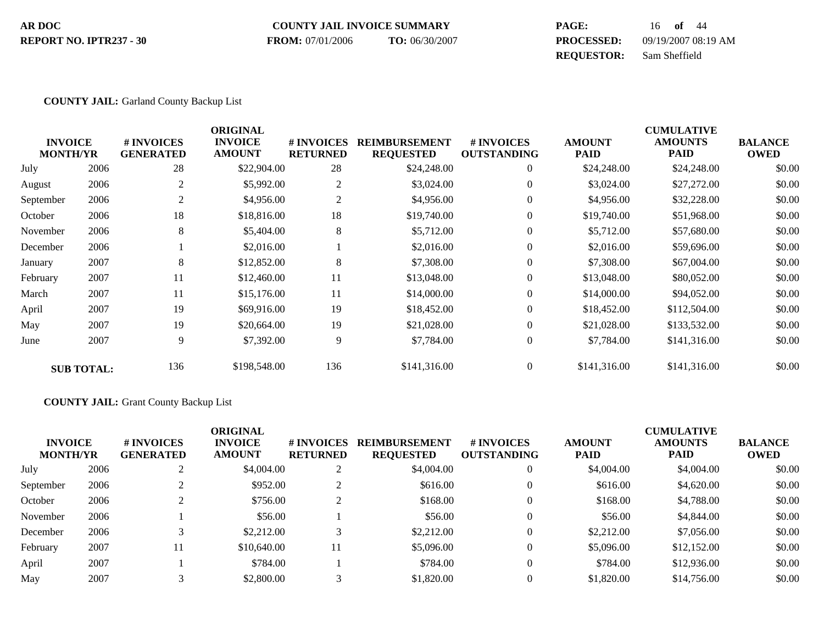#### **COUNTY JAIL INVOICE SUMMARY AR DOC PAGE:** 16 **of** 44 **PROCESSED:** 09/19/2007 08:19 AM **REPORT NO. IPTR237 - 30 FROM:** 07/01/2006 **TO:** 06/30/2007

**REQUESTOR:** Sam Sheffield

#### **COUNTY JAIL:** Garland County Backup List

| <b>INVOICE</b><br><b>MONTH/YR</b> |                   | # INVOICES<br><b>GENERATED</b> | <b>ORIGINAL</b><br><b>INVOICE</b><br><b>AMOUNT</b> | # INVOICES<br><b>RETURNED</b> | <b>REIMBURSEMENT</b><br><b>REQUESTED</b> | # INVOICES<br><b>OUTSTANDING</b> | <b>AMOUNT</b><br><b>PAID</b> | <b>CUMULATIVE</b><br><b>AMOUNTS</b><br><b>PAID</b> | <b>BALANCE</b><br><b>OWED</b> |
|-----------------------------------|-------------------|--------------------------------|----------------------------------------------------|-------------------------------|------------------------------------------|----------------------------------|------------------------------|----------------------------------------------------|-------------------------------|
| July                              | 2006              | 28                             | \$22,904.00                                        | 28                            | \$24,248.00                              | $\overline{0}$                   | \$24,248.00                  | \$24,248.00                                        | \$0.00                        |
| August                            | 2006              |                                | \$5,992.00                                         | $\overline{2}$                | \$3,024.00                               | $\mathbf{0}$                     | \$3,024.00                   | \$27,272.00                                        | \$0.00                        |
| September                         | 2006              |                                | \$4,956.00                                         | 2                             | \$4,956.00                               | $\overline{0}$                   | \$4,956.00                   | \$32,228.00                                        | \$0.00                        |
| October                           | 2006              | 18                             | \$18,816.00                                        | 18                            | \$19,740.00                              | $\overline{0}$                   | \$19,740.00                  | \$51,968.00                                        | \$0.00                        |
| November                          | 2006              | 8                              | \$5,404.00                                         | 8                             | \$5,712.00                               | $\mathbf{0}$                     | \$5,712.00                   | \$57,680.00                                        | \$0.00                        |
| December                          | 2006              |                                | \$2,016.00                                         |                               | \$2,016.00                               | $\overline{0}$                   | \$2,016.00                   | \$59,696.00                                        | \$0.00                        |
| January                           | 2007              | 8                              | \$12,852.00                                        | 8                             | \$7,308.00                               | $\overline{0}$                   | \$7,308.00                   | \$67,004.00                                        | \$0.00                        |
| February                          | 2007              | 11                             | \$12,460.00                                        | 11                            | \$13,048.00                              | $\overline{0}$                   | \$13,048.00                  | \$80,052.00                                        | \$0.00                        |
| March                             | 2007              | 11                             | \$15,176.00                                        | 11                            | \$14,000.00                              | $\overline{0}$                   | \$14,000.00                  | \$94,052.00                                        | \$0.00                        |
| April                             | 2007              | 19                             | \$69,916.00                                        | 19                            | \$18,452.00                              | $\theta$                         | \$18,452.00                  | \$112,504.00                                       | \$0.00                        |
| May                               | 2007              | 19                             | \$20,664.00                                        | 19                            | \$21,028.00                              | $\overline{0}$                   | \$21,028.00                  | \$133,532.00                                       | \$0.00                        |
| June                              | 2007              | 9                              | \$7,392.00                                         | 9                             | \$7,784.00                               | $\mathbf{0}$                     | \$7,784.00                   | \$141,316.00                                       | \$0.00                        |
|                                   | <b>SUB TOTAL:</b> | 136                            | \$198,548.00                                       | 136                           | \$141,316.00                             | $\overline{0}$                   | \$141,316.00                 | \$141,316.00                                       | \$0.00                        |

#### **COUNTY JAIL:** Grant County Backup List

| <b>INVOICE</b><br><b>MONTH/YR</b> |      | # INVOICES<br><b>GENERATED</b> | <b>ORIGINAL</b><br><b>INVOICE</b><br><b>AMOUNT</b> | <b>#INVOICES</b><br><b>RETURNED</b> | <b>REIMBURSEMENT</b><br><b>REQUESTED</b> | <b>#INVOICES</b><br><b>OUTSTANDING</b> | <b>AMOUNT</b><br><b>PAID</b> | <b>CUMULATIVE</b><br><b>AMOUNTS</b><br><b>PAID</b> | <b>BALANCE</b><br><b>OWED</b> |
|-----------------------------------|------|--------------------------------|----------------------------------------------------|-------------------------------------|------------------------------------------|----------------------------------------|------------------------------|----------------------------------------------------|-------------------------------|
| July                              | 2006 |                                | \$4,004.00                                         | $\sim$<br>∠                         | \$4,004.00                               |                                        | \$4,004.00                   | \$4,004.00                                         | \$0.00                        |
| September                         | 2006 |                                | \$952.00                                           | ∠                                   | \$616.00                                 |                                        | \$616.00                     | \$4,620.00                                         | \$0.00                        |
| October                           | 2006 |                                | \$756.00                                           | ∠                                   | \$168.00                                 |                                        | \$168.00                     | \$4,788.00                                         | \$0.00                        |
| November                          | 2006 |                                | \$56.00                                            |                                     | \$56.00                                  |                                        | \$56.00                      | \$4,844.00                                         | \$0.00                        |
| December                          | 2006 |                                | \$2,212.00                                         | $\sim$                              | \$2,212.00                               |                                        | \$2,212.00                   | \$7,056.00                                         | \$0.00                        |
| February                          | 2007 |                                | \$10,640.00                                        | 11                                  | \$5,096.00                               |                                        | \$5,096.00                   | \$12,152.00                                        | \$0.00                        |
| April                             | 2007 |                                | \$784.00                                           |                                     | \$784.00                                 |                                        | \$784.00                     | \$12,936.00                                        | \$0.00                        |
| May                               | 2007 |                                | \$2,800.00                                         |                                     | \$1,820.00                               |                                        | \$1,820.00                   | \$14,756.00                                        | \$0.00                        |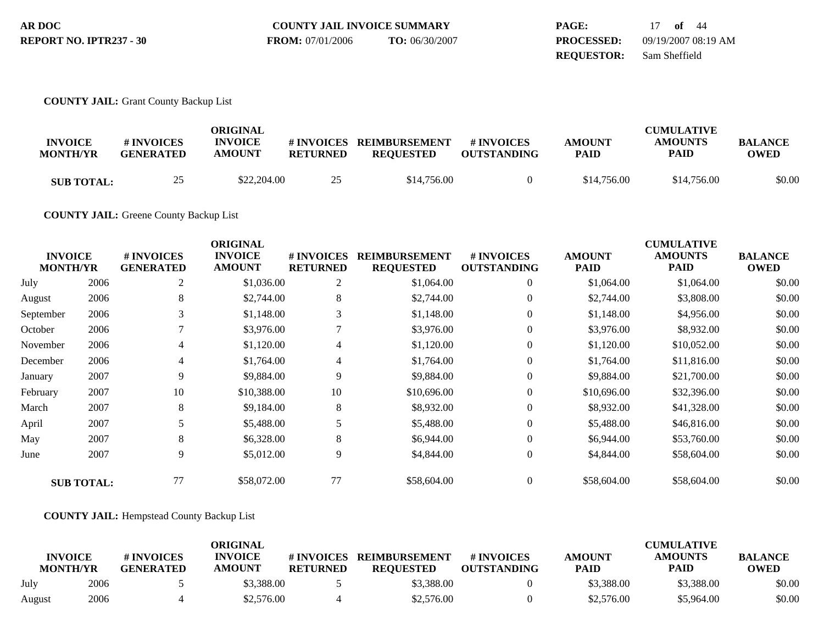| AR DOC                  | <b>COUNTY JAIL INVOICE SUMMARY</b> |                | <b>PAGE:</b>      | $of$ 44             |
|-------------------------|------------------------------------|----------------|-------------------|---------------------|
| REPORT NO. IPTR237 - 30 | <b>FROM:</b> 07/01/2006            | TO: 06/30/2007 | <b>PROCESSED:</b> | 09/19/2007 08:19 AM |
|                         |                                    |                | <b>REOUESTOR:</b> | Sam Sheffield       |

### **COUNTY JAIL:** Grant County Backup List

| <b>INVOICE</b><br><b>MONTH/YR</b> | # INVOICES<br><b>GENERATED</b> | ORIGINAL<br><b>INVOICE</b><br><b>AMOUNT</b> | # INVOICES<br><b>RETURNED</b> | <b>REIMBURSEMENT</b><br><b>REQUESTED</b> | # INVOICES<br><b>OUTSTANDING</b> | <b>AMOUNT</b><br><b>PAID</b> | <b>CUMULATIVE</b><br><b>AMOUNTS</b><br>PAID | <b>BALANCE</b><br><b>OWED</b> |
|-----------------------------------|--------------------------------|---------------------------------------------|-------------------------------|------------------------------------------|----------------------------------|------------------------------|---------------------------------------------|-------------------------------|
| <b>SUB TOTAL:</b>                 | 25<br>ري                       | \$22,204.00                                 | つち                            | \$14,756.00                              |                                  | \$14,756.00                  | \$14,756.00                                 | \$0.00                        |

**COUNTY JAIL:** Greene County Backup List

| <b>MONTH/YR</b> | <b>INVOICE</b>    | # INVOICES<br><b>GENERATED</b> | <b>ORIGINAL</b><br><b>INVOICE</b><br><b>AMOUNT</b> | # INVOICES<br><b>RETURNED</b> | <b>REIMBURSEMENT</b><br><b>REQUESTED</b> | <b># INVOICES</b><br><b>OUTSTANDING</b> | <b>AMOUNT</b><br><b>PAID</b> | <b>CUMULATIVE</b><br><b>AMOUNTS</b><br><b>PAID</b> | <b>BALANCE</b><br><b>OWED</b> |
|-----------------|-------------------|--------------------------------|----------------------------------------------------|-------------------------------|------------------------------------------|-----------------------------------------|------------------------------|----------------------------------------------------|-------------------------------|
| July            | 2006              | $\overline{c}$                 | \$1,036.00                                         | $\overline{c}$                | \$1,064.00                               | $\overline{0}$                          | \$1,064.00                   | \$1,064.00                                         | \$0.00                        |
| August          | 2006              | 8                              | \$2,744.00                                         | 8                             | \$2,744.00                               | $\overline{0}$                          | \$2,744.00                   | \$3,808.00                                         | \$0.00                        |
| September       | 2006              | 3                              | \$1,148.00                                         | 3                             | \$1,148.00                               | $\theta$                                | \$1,148.00                   | \$4,956.00                                         | \$0.00                        |
| October         | 2006              |                                | \$3,976.00                                         | 7                             | \$3,976.00                               | $\overline{0}$                          | \$3,976.00                   | \$8,932.00                                         | \$0.00                        |
| November        | 2006              | 4                              | \$1,120.00                                         | 4                             | \$1,120.00                               | $\overline{0}$                          | \$1,120.00                   | \$10,052.00                                        | \$0.00                        |
| December        | 2006              | 4                              | \$1,764.00                                         | 4                             | \$1,764.00                               | $\theta$                                | \$1,764.00                   | \$11,816.00                                        | \$0.00                        |
| January         | 2007              | 9                              | \$9,884.00                                         | 9                             | \$9,884.00                               | $\overline{0}$                          | \$9,884.00                   | \$21,700.00                                        | \$0.00                        |
| February        | 2007              | 10                             | \$10,388.00                                        | 10                            | \$10,696.00                              | $\theta$                                | \$10,696.00                  | \$32,396.00                                        | \$0.00                        |
| March           | 2007              | 8                              | \$9,184.00                                         | 8                             | \$8,932.00                               | $\theta$                                | \$8,932.00                   | \$41,328.00                                        | \$0.00                        |
| April           | 2007              | 5                              | \$5,488.00                                         | 5                             | \$5,488.00                               | $\overline{0}$                          | \$5,488.00                   | \$46,816.00                                        | \$0.00                        |
| May             | 2007              | 8                              | \$6,328.00                                         | 8                             | \$6,944.00                               | $\overline{0}$                          | \$6,944.00                   | \$53,760.00                                        | \$0.00                        |
| June            | 2007              | 9                              | \$5,012.00                                         | 9                             | \$4,844.00                               | $\overline{0}$                          | \$4,844.00                   | \$58,604.00                                        | \$0.00                        |
|                 | <b>SUB TOTAL:</b> | 77                             | \$58,072.00                                        | 77                            | \$58,604.00                              | $\Omega$                                | \$58,604.00                  | \$58,604.00                                        | \$0.00                        |

**COUNTY JAIL:** Hempstead County Backup List

|                                   |      | # INVOICES       | ORIGINAL<br><b>INVOICE</b> | # INVOICES      | <b>REIMBURSEMENT</b> | # INVOICES         | <b>AMOUNT</b> | <b>CUMULATIVE</b><br><b>AMOUNTS</b> | <b>BALANCE</b> |
|-----------------------------------|------|------------------|----------------------------|-----------------|----------------------|--------------------|---------------|-------------------------------------|----------------|
| <b>INVOICE</b><br><b>MONTH/YR</b> |      | <b>GENERATED</b> | <b>AMOUNT</b>              | <b>RETURNED</b> | <b>REOUESTED</b>     | <b>OUTSTANDING</b> | <b>PAID</b>   | <b>PAID</b>                         | <b>OWED</b>    |
| July                              | 2006 |                  | \$3,388.00                 |                 | \$3,388.00           |                    | \$3,388.00    | \$3,388,00                          | \$0.00         |
| August                            | 2006 |                  | \$2,576.00                 |                 | \$2,576.00           |                    | \$2,576.00    | \$5,964.00                          | \$0.00         |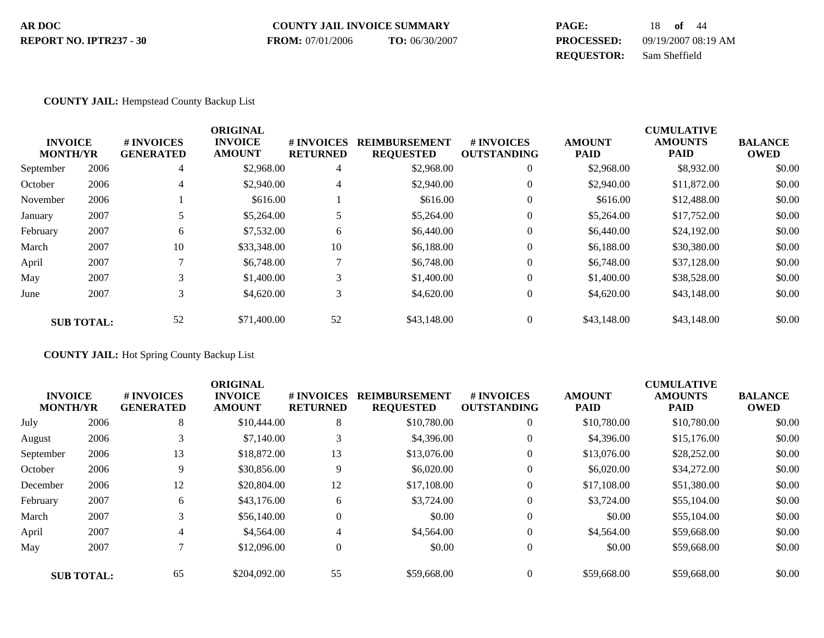#### **COUNTY JAIL INVOICE SUMMARY AR DOC PAGE:** 18 **of** 44 **PROCESSED:** 09/19/2007 08:19 AM **REQUESTOR:** Sam Sheffield **REPORT NO. IPTR237 - 30 FROM:** 07/01/2006 **TO:** 06/30/2007

#### **COUNTY JAIL:** Hempstead County Backup List

|           |                                   |                                | <b>ORIGINAL</b>                 |                                     |                                          |                                        |                              | <b>CUMULATIVE</b>             |                               |
|-----------|-----------------------------------|--------------------------------|---------------------------------|-------------------------------------|------------------------------------------|----------------------------------------|------------------------------|-------------------------------|-------------------------------|
|           | <b>INVOICE</b><br><b>MONTH/YR</b> | # INVOICES<br><b>GENERATED</b> | <b>INVOICE</b><br><b>AMOUNT</b> | <b>#INVOICES</b><br><b>RETURNED</b> | <b>REIMBURSEMENT</b><br><b>REQUESTED</b> | <b>#INVOICES</b><br><b>OUTSTANDING</b> | <b>AMOUNT</b><br><b>PAID</b> | <b>AMOUNTS</b><br><b>PAID</b> | <b>BALANCE</b><br><b>OWED</b> |
|           |                                   |                                |                                 |                                     |                                          |                                        |                              |                               |                               |
| September | 2006                              | 4                              | \$2,968.00                      | 4                                   | \$2,968.00                               | $\mathbf{0}$                           | \$2,968.00                   | \$8,932.00                    | \$0.00                        |
| October   | 2006                              | 4                              | \$2,940.00                      | 4                                   | \$2,940.00                               | $\mathbf{0}$                           | \$2,940.00                   | \$11,872.00                   | \$0.00                        |
| November  | 2006                              |                                | \$616.00                        |                                     | \$616.00                                 | $\mathbf{0}$                           | \$616.00                     | \$12,488.00                   | \$0.00                        |
| January   | 2007                              |                                | \$5,264.00                      | 5                                   | \$5,264.00                               | $\mathbf{0}$                           | \$5,264.00                   | \$17,752.00                   | \$0.00                        |
| February  | 2007                              | 6                              | \$7,532.00                      | 6                                   | \$6,440.00                               | $\mathbf{0}$                           | \$6,440.00                   | \$24,192.00                   | \$0.00                        |
| March     | 2007                              | 10                             | \$33,348.00                     | 10                                  | \$6,188.00                               | $\mathbf{0}$                           | \$6,188,00                   | \$30,380,00                   | \$0.00                        |
| April     | 2007                              |                                | \$6,748.00                      | $\mathcal{L}$                       | \$6,748.00                               | $\theta$                               | \$6,748.00                   | \$37,128.00                   | \$0.00                        |
| May       | 2007                              | 3                              | \$1,400.00                      | 3                                   | \$1,400.00                               | $\mathbf{0}$                           | \$1,400.00                   | \$38,528.00                   | \$0.00                        |
| June      | 2007                              | 3                              | \$4,620.00                      | 3                                   | \$4,620.00                               | $\mathbf{0}$                           | \$4,620.00                   | \$43,148.00                   | \$0.00                        |
|           | <b>SUB TOTAL:</b>                 | 52                             | \$71,400.00                     | 52                                  | \$43,148.00                              | $\mathbf{0}$                           | \$43,148.00                  | \$43,148.00                   | \$0.00                        |

**COUNTY JAIL:** Hot Spring County Backup List

|                 |                   |                  | <b>ORIGINAL</b> |                  |                      |                    |               | <b>CUMULATIVE</b> |                |
|-----------------|-------------------|------------------|-----------------|------------------|----------------------|--------------------|---------------|-------------------|----------------|
| <b>INVOICE</b>  |                   | <b>#INVOICES</b> | <b>INVOICE</b>  | # INVOICES       | <b>REIMBURSEMENT</b> | <b>#INVOICES</b>   | <b>AMOUNT</b> | <b>AMOUNTS</b>    | <b>BALANCE</b> |
| <b>MONTH/YR</b> |                   | <b>GENERATED</b> | <b>AMOUNT</b>   | <b>RETURNED</b>  | <b>REQUESTED</b>     | <b>OUTSTANDING</b> | <b>PAID</b>   | <b>PAID</b>       | <b>OWED</b>    |
| July            | 2006              | 8                | \$10,444.00     | 8                | \$10,780.00          | $\mathbf{0}$       | \$10,780.00   | \$10,780.00       | \$0.00         |
| August          | 2006              |                  | \$7,140.00      | 3                | \$4,396.00           | $\mathbf{0}$       | \$4,396.00    | \$15,176.00       | \$0.00         |
| September       | 2006              | 13               | \$18,872.00     | 13               | \$13,076.00          | $\theta$           | \$13,076.00   | \$28,252.00       | \$0.00         |
| October         | 2006              | 9                | \$30,856.00     | 9                | \$6,020.00           | $\theta$           | \$6,020.00    | \$34,272.00       | \$0.00         |
| December        | 2006              | 12               | \$20,804.00     | 12               | \$17,108.00          | $\mathbf{0}$       | \$17,108.00   | \$51,380.00       | \$0.00         |
| February        | 2007              | 6                | \$43,176.00     | 6                | \$3,724.00           | $\theta$           | \$3,724.00    | \$55,104.00       | \$0.00         |
| March           | 2007              |                  | \$56,140.00     | $\boldsymbol{0}$ | \$0.00               | $\mathbf{0}$       | \$0.00        | \$55,104.00       | \$0.00         |
| April           | 2007              | 4                | \$4,564.00      | $\overline{4}$   | \$4,564.00           | $\mathbf{0}$       | \$4,564.00    | \$59,668.00       | \$0.00         |
| May             | 2007              |                  | \$12,096.00     | $\boldsymbol{0}$ | \$0.00               | $\mathbf{0}$       | \$0.00        | \$59,668.00       | \$0.00         |
|                 | <b>SUB TOTAL:</b> | 65               | \$204,092.00    | 55               | \$59,668.00          | $\theta$           | \$59,668.00   | \$59,668.00       | \$0.00         |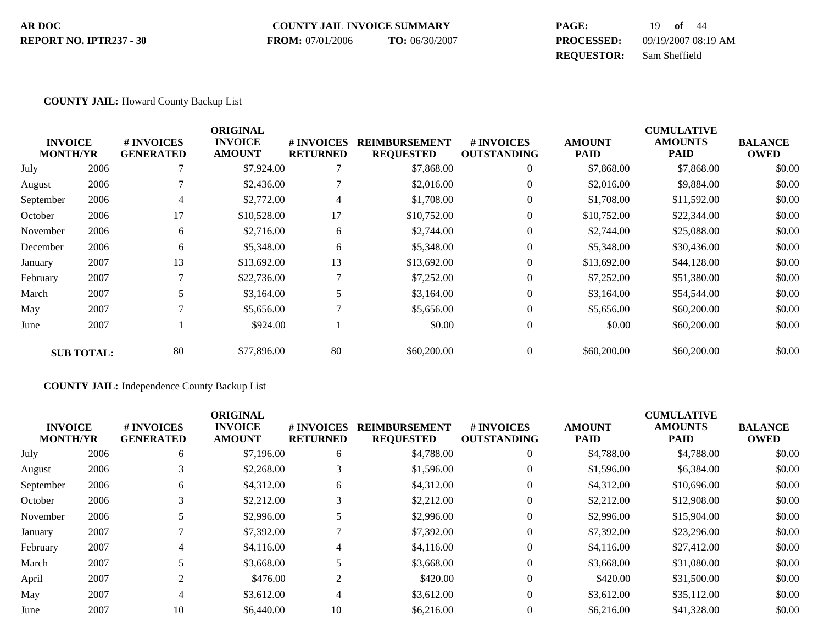#### **COUNTY JAIL INVOICE SUMMARY AR DOC PAGE:** 19 **of** 44 **PROCESSED:** 09/19/2007 08:19 AM **REPORT NO. IPTR237 - 30 FROM:** 07/01/2006 **TO:** 06/30/2007

**REQUESTOR:** Sam Sheffield

#### **COUNTY JAIL:** Howard County Backup List

|                                   |                   |                                       | <b>ORIGINAL</b>                 |                               |                                          |                                        |                       | <b>CUMULATIVE</b>      |                               |
|-----------------------------------|-------------------|---------------------------------------|---------------------------------|-------------------------------|------------------------------------------|----------------------------------------|-----------------------|------------------------|-------------------------------|
| <b>INVOICE</b><br><b>MONTH/YR</b> |                   | <b># INVOICES</b><br><b>GENERATED</b> | <b>INVOICE</b><br><b>AMOUNT</b> | # INVOICES<br><b>RETURNED</b> | <b>REIMBURSEMENT</b><br><b>REQUESTED</b> | <b>#INVOICES</b><br><b>OUTSTANDING</b> | <b>AMOUNT</b><br>PAID | <b>AMOUNTS</b><br>PAID | <b>BALANCE</b><br><b>OWED</b> |
| July                              | 2006              |                                       | \$7,924.00                      |                               | \$7,868.00                               | $\boldsymbol{0}$                       | \$7,868.00            | \$7,868.00             | \$0.00                        |
| August                            | 2006              |                                       | \$2,436.00                      |                               | \$2,016.00                               | $\mathbf{0}$                           | \$2,016.00            | \$9,884.00             | \$0.00                        |
| September                         | 2006              | 4                                     | \$2,772.00                      | 4                             | \$1,708.00                               | $\mathbf{0}$                           | \$1,708.00            | \$11,592.00            | \$0.00                        |
| October                           | 2006              | 17                                    | \$10,528.00                     | 17                            | \$10,752.00                              | $\mathbf{0}$                           | \$10,752.00           | \$22,344.00            | \$0.00                        |
| November                          | 2006              | 6                                     | \$2,716.00                      | 6                             | \$2,744.00                               | $\mathbf{0}$                           | \$2,744.00            | \$25,088.00            | \$0.00                        |
| December                          | 2006              | 6                                     | \$5,348.00                      | 6                             | \$5,348.00                               | $\mathbf{0}$                           | \$5,348.00            | \$30,436.00            | \$0.00                        |
| January                           | 2007              | 13                                    | \$13,692.00                     | 13                            | \$13,692.00                              | $\mathbf{0}$                           | \$13,692.00           | \$44,128.00            | \$0.00                        |
| February                          | 2007              |                                       | \$22,736.00                     | $\mathcal{I}$                 | \$7,252.00                               | $\Omega$                               | \$7,252.00            | \$51,380.00            | \$0.00                        |
| March                             | 2007              | 5                                     | \$3,164.00                      | 5                             | \$3,164.00                               | $\mathbf{0}$                           | \$3,164.00            | \$54,544.00            | \$0.00                        |
| May                               | 2007              |                                       | \$5,656.00                      | 7                             | \$5,656.00                               | $\Omega$                               | \$5,656.00            | \$60,200.00            | \$0.00                        |
| June                              | 2007              |                                       | \$924.00                        |                               | \$0.00                                   | $\mathbf{0}$                           | \$0.00                | \$60,200.00            | \$0.00                        |
|                                   | <b>SUB TOTAL:</b> | 80                                    | \$77,896.00                     | 80                            | \$60,200,00                              | $\mathbf{0}$                           | \$60,200.00           | \$60,200.00            | \$0.00                        |

**COUNTY JAIL:** Independence County Backup List

|                 |      |                  | <b>ORIGINAL</b> |                 |                      |                    |               | <b>CUMULATIVE</b> |                |
|-----------------|------|------------------|-----------------|-----------------|----------------------|--------------------|---------------|-------------------|----------------|
| <b>INVOICE</b>  |      | # INVOICES       | <b>INVOICE</b>  | # INVOICES      | <b>REIMBURSEMENT</b> | <b>#INVOICES</b>   | <b>AMOUNT</b> | <b>AMOUNTS</b>    | <b>BALANCE</b> |
| <b>MONTH/YR</b> |      | <b>GENERATED</b> | <b>AMOUNT</b>   | <b>RETURNED</b> | <b>REQUESTED</b>     | <b>OUTSTANDING</b> | <b>PAID</b>   | <b>PAID</b>       | <b>OWED</b>    |
| July            | 2006 | 6                | \$7,196.00      | 6               | \$4,788.00           | $\overline{0}$     | \$4,788.00    | \$4,788.00        | \$0.00         |
| August          | 2006 |                  | \$2,268.00      | 3               | \$1,596.00           | $\mathbf{0}$       | \$1,596.00    | \$6,384.00        | \$0.00         |
| September       | 2006 | 6                | \$4,312.00      | 6               | \$4,312.00           | $\theta$           | \$4,312.00    | \$10,696.00       | \$0.00         |
| October         | 2006 |                  | \$2,212.00      | 3               | \$2,212.00           | $\theta$           | \$2,212.00    | \$12,908.00       | \$0.00         |
| November        | 2006 |                  | \$2,996.00      | 5               | \$2,996.00           | $\theta$           | \$2,996.00    | \$15,904.00       | \$0.00         |
| January         | 2007 |                  | \$7,392.00      |                 | \$7,392.00           | $\theta$           | \$7,392.00    | \$23,296.00       | \$0.00         |
| February        | 2007 | 4                | \$4,116.00      | 4               | \$4,116.00           | $\theta$           | \$4,116.00    | \$27,412.00       | \$0.00         |
| March           | 2007 |                  | \$3,668.00      | 5               | \$3,668.00           | $\mathbf{0}$       | \$3,668.00    | \$31,080.00       | \$0.00         |
| April           | 2007 | $\overline{2}$   | \$476.00        | $\overline{c}$  | \$420.00             | $\theta$           | \$420.00      | \$31,500.00       | \$0.00         |
| May             | 2007 | 4                | \$3,612.00      | $\overline{4}$  | \$3,612.00           | $\theta$           | \$3,612.00    | \$35,112.00       | \$0.00         |
| June            | 2007 | 10               | \$6,440.00      | 10              | \$6,216.00           | $\theta$           | \$6,216.00    | \$41,328.00       | \$0.00         |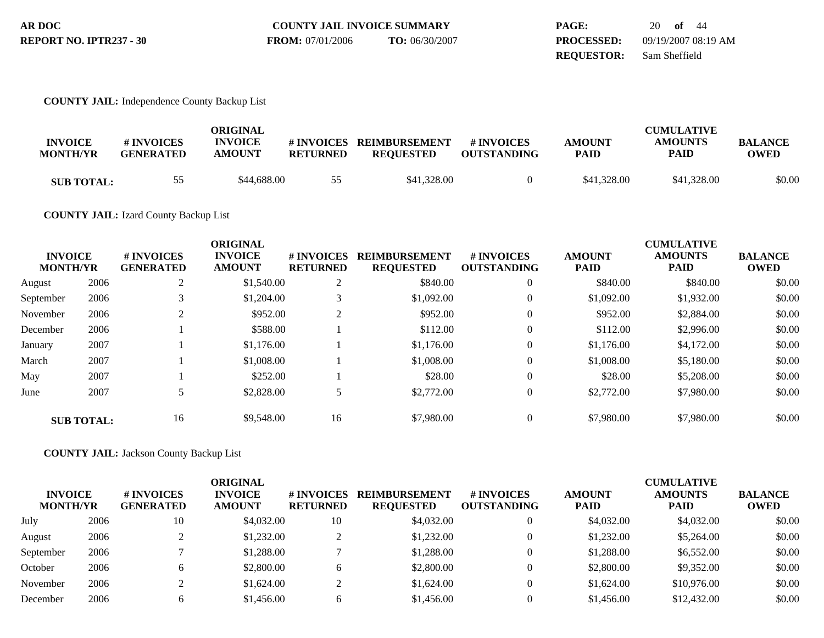| AR DOC                  | <b>COUNTY JAIL INVOICE SUMMARY</b> |                | <b>PAGE:</b>      | 20 of 44            |
|-------------------------|------------------------------------|----------------|-------------------|---------------------|
| REPORT NO. IPTR237 - 30 | <b>FROM:</b> 07/01/2006            | TO: 06/30/2007 | <b>PROCESSED:</b> | 09/19/2007 08:19 AM |
|                         |                                    |                | <b>REOUESTOR:</b> | Sam Sheffield       |

### **COUNTY JAIL:** Independence County Backup List

| <b>INVOICE</b><br><b>MONTH/YR</b> | # INVOICES<br><b>GENERATED</b> | ORIGINAL<br><b>INVOICE</b><br><b>AMOUNT</b> | <b>RETURNED</b> | #INVOICES REIMBURSEMENT<br><b>REOUESTED</b> | # INVOICES<br><b>OUTSTANDING</b> | <b>AMOUNT</b><br><b>PAID</b> | <b>CUMULATIVE</b><br><b>AMOUNTS</b><br><b>PAID</b> | <b>BALANCE</b><br><b>OWED</b> |
|-----------------------------------|--------------------------------|---------------------------------------------|-----------------|---------------------------------------------|----------------------------------|------------------------------|----------------------------------------------------|-------------------------------|
| <b>SUB TOTAL:</b>                 | 55                             | \$44,688,00                                 | 55              | \$41,328.00                                 |                                  | \$41,328.00                  | \$41,328.00                                        | \$0.00                        |

## **COUNTY JAIL:** Izard County Backup List

| <b>INVOICE</b><br><b>MONTH/YR</b> |                   | # INVOICES<br><b>GENERATED</b> | <b>ORIGINAL</b><br><b>INVOICE</b><br><b>AMOUNT</b> | # INVOICES<br><b>RETURNED</b> | <b>REIMBURSEMENT</b><br><b>REQUESTED</b> | # INVOICES<br><b>OUTSTANDING</b> | <b>AMOUNT</b><br><b>PAID</b> | <b>CUMULATIVE</b><br><b>AMOUNTS</b><br><b>PAID</b> | <b>BALANCE</b><br><b>OWED</b> |
|-----------------------------------|-------------------|--------------------------------|----------------------------------------------------|-------------------------------|------------------------------------------|----------------------------------|------------------------------|----------------------------------------------------|-------------------------------|
| August                            | 2006              | ◠                              | \$1,540.00                                         | 2                             | \$840.00                                 | $\overline{0}$                   | \$840.00                     | \$840.00                                           | \$0.00                        |
| September                         | 2006              |                                | \$1,204.00                                         |                               | \$1,092.00                               | $\overline{0}$                   | \$1,092.00                   | \$1,932.00                                         | \$0.00                        |
| November                          | 2006              | ↑                              | \$952.00                                           | $\overline{2}$                | \$952.00                                 | $\theta$                         | \$952.00                     | \$2,884.00                                         | \$0.00                        |
| December                          | 2006              |                                | \$588.00                                           |                               | \$112.00                                 | $\theta$                         | \$112.00                     | \$2,996.00                                         | \$0.00                        |
| January                           | 2007              |                                | \$1,176.00                                         |                               | \$1,176.00                               | $\theta$                         | \$1,176.00                   | \$4,172.00                                         | \$0.00                        |
| March                             | 2007              |                                | \$1,008.00                                         |                               | \$1,008.00                               | $\theta$                         | \$1,008.00                   | \$5,180.00                                         | \$0.00                        |
| May                               | 2007              |                                | \$252.00                                           |                               | \$28.00                                  | $\mathbf{0}$                     | \$28.00                      | \$5,208.00                                         | \$0.00                        |
| June                              | 2007              |                                | \$2,828.00                                         |                               | \$2,772.00                               | $\mathbf{0}$                     | \$2,772.00                   | \$7,980.00                                         | \$0.00                        |
|                                   | <b>SUB TOTAL:</b> | 16                             | \$9,548.00                                         | 16                            | \$7,980.00                               | $\Omega$                         | \$7,980.00                   | \$7,980.00                                         | \$0.00                        |

**COUNTY JAIL:** Jackson County Backup List

| <b>INVOICE</b><br><b>MONTH/YR</b> |      | # INVOICES<br><b>GENERATED</b> | ORIGINAL<br><b>INVOICE</b><br><b>AMOUNT</b> | # INVOICES<br><b>RETURNED</b> | <b>REIMBURSEMENT</b><br><b>REQUESTED</b> | <b># INVOICES</b><br><b>OUTSTANDING</b> | <b>AMOUNT</b><br><b>PAID</b> | <b>CUMULATIVE</b><br><b>AMOUNTS</b><br><b>PAID</b> | <b>BALANCE</b><br><b>OWED</b> |
|-----------------------------------|------|--------------------------------|---------------------------------------------|-------------------------------|------------------------------------------|-----------------------------------------|------------------------------|----------------------------------------------------|-------------------------------|
| July                              | 2006 | 10                             | \$4,032.00                                  | 10                            | \$4,032.00                               |                                         | \$4,032.00                   | \$4,032.00                                         | \$0.00                        |
| August                            | 2006 |                                | \$1,232.00                                  | ◠                             | \$1,232.00                               |                                         | \$1,232.00                   | \$5,264.00                                         | \$0.00                        |
| September                         | 2006 |                                | \$1,288.00                                  |                               | \$1,288.00                               |                                         | \$1,288.00                   | \$6,552.00                                         | \$0.00                        |
| October                           | 2006 | h                              | \$2,800.00                                  | h                             | \$2,800.00                               |                                         | \$2,800.00                   | \$9,352.00                                         | \$0.00                        |
| November                          | 2006 |                                | \$1,624.00                                  |                               | \$1,624.00                               |                                         | \$1,624.00                   | \$10,976.00                                        | \$0.00                        |
| December                          | 2006 | h                              | \$1,456.00                                  |                               | \$1,456.00                               |                                         | \$1,456.00                   | \$12,432.00                                        | \$0.00                        |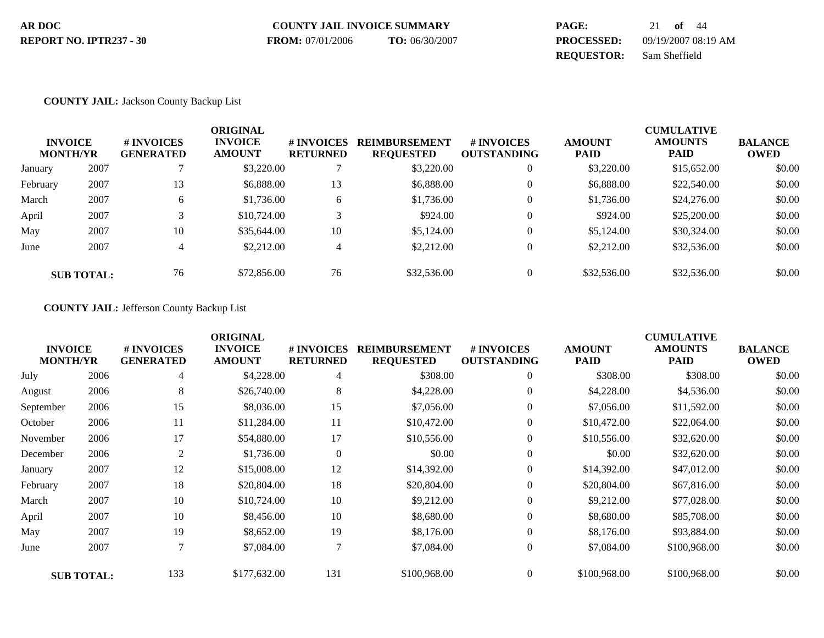| AR DOC                  | <b>COUNTY JAIL INVOICE SUMMARY</b> |                | PAGE:             | 21 of $44$          |
|-------------------------|------------------------------------|----------------|-------------------|---------------------|
| REPORT NO. IPTR237 - 30 | <b>FROM:</b> 07/01/2006            | TO: 06/30/2007 | <b>PROCESSED:</b> | 09/19/2007 08:19 AM |
|                         |                                    |                | <b>REOUESTOR:</b> | Sam Sheffield       |

### **COUNTY JAIL:** Jackson County Backup List

| <b>INVOICE</b><br><b>MONTH/YR</b><br>2007<br>January |                   | <b>#INVOICES</b><br><b>GENERATED</b> | <b>ORIGINAL</b><br><b>INVOICE</b><br><b>AMOUNT</b> | # INVOICES<br><b>RETURNED</b> | <b>REIMBURSEMENT</b><br><b>REQUESTED</b> | # INVOICES<br><b>OUTSTANDING</b> | <b>AMOUNT</b><br><b>PAID</b> | <b>CUMULATIVE</b><br><b>AMOUNTS</b><br><b>PAID</b> | <b>BALANCE</b><br><b>OWED</b> |
|------------------------------------------------------|-------------------|--------------------------------------|----------------------------------------------------|-------------------------------|------------------------------------------|----------------------------------|------------------------------|----------------------------------------------------|-------------------------------|
|                                                      |                   |                                      | \$3,220.00                                         |                               | \$3,220.00                               | $\mathbf{0}$                     | \$3,220.00                   | \$15,652.00                                        | \$0.00                        |
| February                                             | 2007              | 13                                   | \$6,888.00                                         | 13                            | \$6,888.00                               | $\theta$                         | \$6,888.00                   | \$22,540.00                                        | \$0.00                        |
| March                                                | 2007              | 6                                    | \$1,736.00                                         | 6                             | \$1,736.00                               | $\theta$                         | \$1,736.00                   | \$24,276.00                                        | \$0.00                        |
| April                                                | 2007              |                                      | \$10,724.00                                        | 3                             | \$924.00                                 | $\theta$                         | \$924.00                     | \$25,200.00                                        | \$0.00                        |
| May                                                  | 2007              | 10                                   | \$35,644.00                                        | 10                            | \$5,124.00                               | $\theta$                         | \$5,124.00                   | \$30,324.00                                        | \$0.00                        |
| June                                                 | 2007              | 4                                    | \$2,212.00                                         | 4                             | \$2,212.00                               | $\Omega$                         | \$2,212.00                   | \$32,536.00                                        | \$0.00                        |
|                                                      | <b>SUB TOTAL:</b> | 76                                   | \$72,856.00                                        | 76                            | \$32,536.00                              | $\Omega$                         | \$32,536.00                  | \$32,536.00                                        | \$0.00                        |

## **COUNTY JAIL:** Jefferson County Backup List

| <b>INVOICE</b><br><b>MONTH/YR</b> |                   | <b>#INVOICES</b><br><b>GENERATED</b> | <b>ORIGINAL</b><br><b>INVOICE</b><br><b>AMOUNT</b> | # INVOICES<br><b>RETURNED</b> | <b>REIMBURSEMENT</b><br><b>REQUESTED</b> | # INVOICES<br><b>OUTSTANDING</b> | <b>AMOUNT</b><br><b>PAID</b> | <b>CUMULATIVE</b><br><b>AMOUNTS</b><br><b>PAID</b> | <b>BALANCE</b><br><b>OWED</b> |
|-----------------------------------|-------------------|--------------------------------------|----------------------------------------------------|-------------------------------|------------------------------------------|----------------------------------|------------------------------|----------------------------------------------------|-------------------------------|
| July                              | 2006              | 4                                    | \$4,228.00                                         | 4                             | \$308.00                                 | $\overline{0}$                   | \$308.00                     | \$308.00                                           | \$0.00                        |
| August                            | 2006              | 8                                    | \$26,740.00                                        | $\,8\,$                       | \$4,228.00                               | $\overline{0}$                   | \$4,228.00                   | \$4,536.00                                         | \$0.00                        |
| September                         | 2006              | 15                                   | \$8,036.00                                         | 15                            | \$7,056.00                               | $\overline{0}$                   | \$7,056.00                   | \$11,592.00                                        | \$0.00                        |
| October                           | 2006              | 11                                   | \$11,284.00                                        | 11                            | \$10,472.00                              | $\overline{0}$                   | \$10,472.00                  | \$22,064.00                                        | \$0.00                        |
| November                          | 2006              | 17                                   | \$54,880.00                                        | 17                            | \$10,556.00                              | $\theta$                         | \$10,556.00                  | \$32,620.00                                        | \$0.00                        |
| December                          | 2006              | $\overline{2}$                       | \$1,736.00                                         | $\overline{0}$                | \$0.00                                   | $\theta$                         | \$0.00                       | \$32,620.00                                        | \$0.00                        |
| January                           | 2007              | 12                                   | \$15,008.00                                        | 12                            | \$14,392.00                              | $\overline{0}$                   | \$14,392.00                  | \$47,012.00                                        | \$0.00                        |
| February                          | 2007              | 18                                   | \$20,804.00                                        | 18                            | \$20,804.00                              | $\theta$                         | \$20,804.00                  | \$67,816.00                                        | \$0.00                        |
| March                             | 2007              | 10                                   | \$10,724.00                                        | 10                            | \$9,212.00                               | $\overline{0}$                   | \$9,212.00                   | \$77,028.00                                        | \$0.00                        |
| April                             | 2007              | 10                                   | \$8,456.00                                         | 10                            | \$8,680.00                               | $\overline{0}$                   | \$8,680.00                   | \$85,708.00                                        | \$0.00                        |
| May                               | 2007              | 19                                   | \$8,652.00                                         | 19                            | \$8,176.00                               | $\theta$                         | \$8,176.00                   | \$93,884.00                                        | \$0.00                        |
| June                              | 2007              | 7                                    | \$7,084.00                                         | 7                             | \$7,084.00                               | $\mathbf{0}$                     | \$7,084.00                   | \$100,968.00                                       | \$0.00                        |
|                                   | <b>SUB TOTAL:</b> | 133                                  | \$177,632.00                                       | 131                           | \$100,968.00                             | $\theta$                         | \$100,968.00                 | \$100,968.00                                       | \$0.00                        |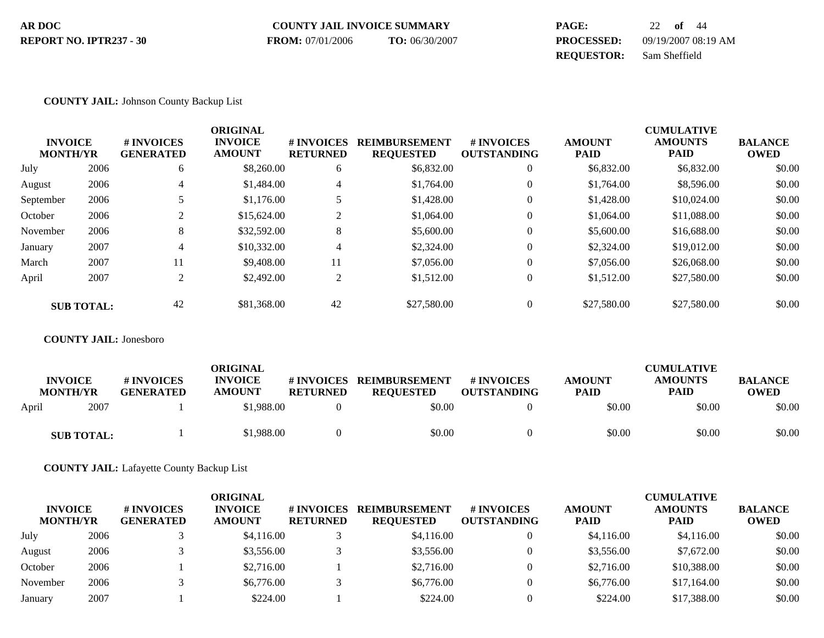| AR DOC                  | <b>COUNTY JAIL INVOICE SUMMARY</b> |                | PAGE:             | 22 of 44            |
|-------------------------|------------------------------------|----------------|-------------------|---------------------|
| REPORT NO. IPTR237 - 30 | <b>FROM:</b> 07/01/2006            | TO: 06/30/2007 | <b>PROCESSED:</b> | 09/19/2007 08:19 AM |
|                         |                                    |                | <b>REOUESTOR:</b> | Sam Sheffield       |

### **COUNTY JAIL:** Johnson County Backup List

|                 |                   |                  | <b>ORIGINAL</b> |                 |                      |                    |               | <b>CUMULATIVE</b> |                |
|-----------------|-------------------|------------------|-----------------|-----------------|----------------------|--------------------|---------------|-------------------|----------------|
| <b>INVOICE</b>  |                   | # INVOICES       | <b>INVOICE</b>  | # INVOICES      | <b>REIMBURSEMENT</b> | <b>#INVOICES</b>   | <b>AMOUNT</b> | <b>AMOUNTS</b>    | <b>BALANCE</b> |
| <b>MONTH/YR</b> |                   | <b>GENERATED</b> | <b>AMOUNT</b>   | <b>RETURNED</b> | <b>REQUESTED</b>     | <b>OUTSTANDING</b> | <b>PAID</b>   | <b>PAID</b>       | <b>OWED</b>    |
| July            | 2006              | 6                | \$8,260.00      | 6               | \$6,832.00           | $\overline{0}$     | \$6,832.00    | \$6,832.00        | \$0.00         |
| August          | 2006              | 4                | \$1,484.00      | 4               | \$1,764.00           | $\overline{0}$     | \$1,764.00    | \$8,596.00        | \$0.00         |
| September       | 2006              | 5                | \$1,176.00      | 5               | \$1,428.00           | $\overline{0}$     | \$1,428.00    | \$10,024.00       | \$0.00         |
| October         | 2006              |                  | \$15,624.00     | $\overline{2}$  | \$1,064.00           | $\overline{0}$     | \$1,064.00    | \$11,088.00       | \$0.00         |
| November        | 2006              | 8                | \$32,592.00     | 8               | \$5,600.00           | $\overline{0}$     | \$5,600.00    | \$16,688.00       | \$0.00         |
| January         | 2007              | 4                | \$10,332.00     | 4               | \$2,324.00           | $\Omega$           | \$2,324.00    | \$19,012.00       | \$0.00         |
| March           | 2007              | 11               | \$9,408.00      | 11              | \$7,056.00           | $\Omega$           | \$7,056.00    | \$26,068.00       | \$0.00         |
| April           | 2007              | $\mathfrak{D}$   | \$2,492.00      | $\overline{c}$  | \$1,512.00           | $\overline{0}$     | \$1,512.00    | \$27,580.00       | \$0.00         |
|                 | <b>SUB TOTAL:</b> | 42               | \$81,368.00     | 42              | \$27,580.00          | $\Omega$           | \$27,580.00   | \$27,580.00       | \$0.00         |

#### **COUNTY JAIL:** Jonesboro

|       | <b>INVOICE</b><br><b>MONTH/YR</b> | # INVOICES<br><b>GENERATED</b> | <b>ORIGINAL</b><br><b>INVOICE</b><br><b>AMOUNT</b> | # INVOICES<br><b>RETURNED</b> | <b>REIMBURSEMENT</b><br><b>REOUESTED</b> | # INVOICES<br><b>OUTSTANDING</b> | <b>AMOUNT</b><br><b>PAID</b> | <b>CUMULATIVE</b><br><b>AMOUNTS</b><br><b>PAID</b> | <b>BALANCE</b><br><b>OWED</b> |
|-------|-----------------------------------|--------------------------------|----------------------------------------------------|-------------------------------|------------------------------------------|----------------------------------|------------------------------|----------------------------------------------------|-------------------------------|
| April | 2007                              |                                | \$1,988.00                                         |                               | \$0.00                                   |                                  | \$0.00                       | \$0.00                                             | \$0.00                        |
|       | <b>SUB TOTAL:</b>                 |                                | \$1,988.00                                         |                               | \$0.00                                   |                                  | \$0.00                       | \$0.00                                             | \$0.00                        |

**COUNTY JAIL:** Lafayette County Backup List

| <b>INVOICE</b><br><b>MONTH/YR</b> |      | # INVOICES<br><b>GENERATED</b> | <b>ORIGINAL</b><br><b>INVOICE</b><br><b>AMOUNT</b> | # INVOICES<br><b>RETURNED</b> | <b>REIMBURSEMENT</b><br><b>REQUESTED</b> | <b># INVOICES</b><br><b>OUTSTANDING</b> | <b>AMOUNT</b><br><b>PAID</b> | <b>CUMULATIVE</b><br><b>AMOUNTS</b><br><b>PAID</b> | <b>BALANCE</b><br><b>OWED</b> |
|-----------------------------------|------|--------------------------------|----------------------------------------------------|-------------------------------|------------------------------------------|-----------------------------------------|------------------------------|----------------------------------------------------|-------------------------------|
| July                              | 2006 |                                | \$4,116.00                                         |                               | \$4,116.00                               |                                         | \$4,116.00                   | \$4,116.00                                         | \$0.00                        |
| August                            | 2006 |                                | \$3,556.00                                         |                               | \$3,556.00                               |                                         | \$3,556.00                   | \$7,672.00                                         | \$0.00                        |
| October                           | 2006 |                                | \$2,716.00                                         |                               | \$2,716.00                               |                                         | \$2,716.00                   | \$10,388.00                                        | \$0.00                        |
| November                          | 2006 |                                | \$6,776.00                                         |                               | \$6,776.00                               |                                         | \$6,776.00                   | \$17,164.00                                        | \$0.00                        |
| January                           | 2007 |                                | \$224.00                                           |                               | \$224.00                                 |                                         | \$224.00                     | \$17,388,00                                        | \$0.00                        |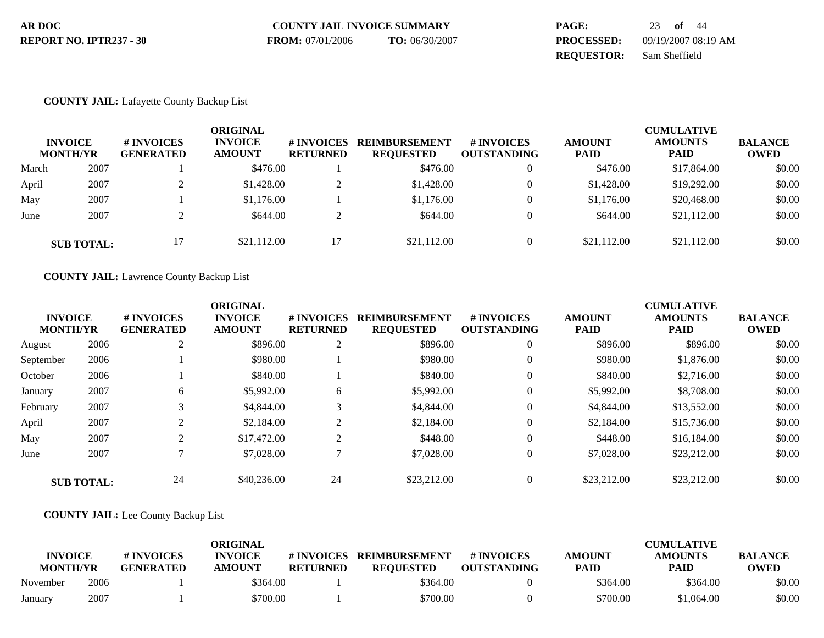| AR DOC                  | <b>COUNTY JAIL INVOICE SUMMARY</b> |                | <b>PAGE:</b>      | 23 of 44            |
|-------------------------|------------------------------------|----------------|-------------------|---------------------|
| REPORT NO. IPTR237 - 30 | <b>FROM:</b> 07/01/2006            | TO: 06/30/2007 | <b>PROCESSED:</b> | 09/19/2007 08:19 AM |
|                         |                                    |                | <b>REOUESTOR:</b> | Sam Sheffield       |

## **COUNTY JAIL:** Lafayette County Backup List

| <b>INVOICE</b><br><b>MONTH/YR</b> |                   | # INVOICES<br><b>GENERATED</b> | ORIGINAL<br><b>INVOICE</b><br><b>AMOUNT</b> | # INVOICES<br><b>RETURNED</b> | <b>REIMBURSEMENT</b><br><b>REQUESTED</b> | <b>#INVOICES</b><br><b>OUTSTANDING</b> | <b>AMOUNT</b><br><b>PAID</b> | <b>CUMULATIVE</b><br><b>AMOUNTS</b><br><b>PAID</b> | <b>BALANCE</b><br><b>OWED</b> |
|-----------------------------------|-------------------|--------------------------------|---------------------------------------------|-------------------------------|------------------------------------------|----------------------------------------|------------------------------|----------------------------------------------------|-------------------------------|
| March                             | 2007              |                                | \$476.00                                    |                               | \$476.00                                 | $\theta$                               | \$476.00                     | \$17,864.00                                        | \$0.00                        |
| April                             | 2007              |                                | \$1,428.00                                  | ◠<br>∠                        | \$1,428.00                               | 0                                      | \$1,428.00                   | \$19,292.00                                        | \$0.00                        |
| May                               | 2007              |                                | \$1,176.00                                  |                               | \$1,176.00                               | $\theta$                               | \$1,176.00                   | \$20,468.00                                        | \$0.00                        |
| June                              | 2007              |                                | \$644.00                                    | ◠<br>∠                        | \$644.00                                 | $\Omega$                               | \$644.00                     | \$21,112.00                                        | \$0.00                        |
|                                   | <b>SUB TOTAL:</b> | 17                             | \$21,112.00                                 | 17                            | \$21,112.00                              | $\Omega$                               | \$21,112.00                  | \$21,112.00                                        | \$0.00                        |

**COUNTY JAIL:** Lawrence County Backup List

|                                   |                   |                                | <b>ORIGINAL</b>                 |                               |                                          |                                        |                              | <b>CUMULATIVE</b>             |                               |
|-----------------------------------|-------------------|--------------------------------|---------------------------------|-------------------------------|------------------------------------------|----------------------------------------|------------------------------|-------------------------------|-------------------------------|
| <b>INVOICE</b><br><b>MONTH/YR</b> |                   | # INVOICES<br><b>GENERATED</b> | <b>INVOICE</b><br><b>AMOUNT</b> | # INVOICES<br><b>RETURNED</b> | <b>REIMBURSEMENT</b><br><b>REQUESTED</b> | <b>#INVOICES</b><br><b>OUTSTANDING</b> | <b>AMOUNT</b><br><b>PAID</b> | <b>AMOUNTS</b><br><b>PAID</b> | <b>BALANCE</b><br><b>OWED</b> |
| August                            | 2006              | $\bigcap$                      | \$896.00                        | $\bigcap$<br>Z                | \$896.00                                 | $\mathbf{0}$                           | \$896.00                     | \$896.00                      | \$0.00                        |
| September                         | 2006              |                                | \$980.00                        |                               | \$980.00                                 | $\overline{0}$                         | \$980.00                     | \$1,876.00                    | \$0.00                        |
| October                           | 2006              |                                | \$840.00                        |                               | \$840.00                                 | $\Omega$                               | \$840.00                     | \$2,716.00                    | \$0.00                        |
| January                           | 2007              | 6                              | \$5,992.00                      | 6                             | \$5,992.00                               | $\theta$                               | \$5,992.00                   | \$8,708.00                    | \$0.00                        |
| February                          | 2007              |                                | \$4,844.00                      | 3                             | \$4,844.00                               | $\theta$                               | \$4,844.00                   | \$13,552.00                   | \$0.00                        |
| April                             | 2007              |                                | \$2,184.00                      | ◠<br>∠                        | \$2,184.00                               | $\theta$                               | \$2,184.00                   | \$15,736.00                   | \$0.00                        |
| May                               | 2007              | 2                              | \$17,472.00                     | $\bigcap$<br>∠                | \$448.00                                 | $\mathbf{0}$                           | \$448.00                     | \$16,184.00                   | \$0.00                        |
| June                              | 2007              |                                | \$7,028.00                      |                               | \$7,028.00                               | $\theta$                               | \$7,028.00                   | \$23,212.00                   | \$0.00                        |
|                                   | <b>SUB TOTAL:</b> | 24                             | \$40,236.00                     | 24                            | \$23,212.00                              | $\theta$                               | \$23,212.00                  | \$23,212.00                   | \$0.00                        |

**COUNTY JAIL:** Lee County Backup List

|                                   |      |                                | <b>ORIGINAL</b>                 |                               |                                   |                                  |                              | <b>CUMULATIVE</b>             |                               |
|-----------------------------------|------|--------------------------------|---------------------------------|-------------------------------|-----------------------------------|----------------------------------|------------------------------|-------------------------------|-------------------------------|
| <b>INVOICE</b><br><b>MONTH/YR</b> |      | # INVOICES<br><b>GENERATED</b> | <b>INVOICE</b><br><b>AMOUNT</b> | # INVOICES<br><b>RETURNED</b> | REIMBURSEMENT<br><b>REQUESTED</b> | # INVOICES<br><b>OUTSTANDING</b> | <b>AMOUNT</b><br><b>PAID</b> | <b>AMOUNTS</b><br><b>PAID</b> | <b>BALANCE</b><br><b>OWED</b> |
| November                          | 2006 |                                | \$364.00                        |                               | \$364.00                          |                                  | \$364.00                     | \$364.00                      | \$0.00                        |
| January                           | 2007 |                                | \$700.00                        |                               | \$700.00                          |                                  | \$700.00                     | \$1.064.00                    | \$0.00                        |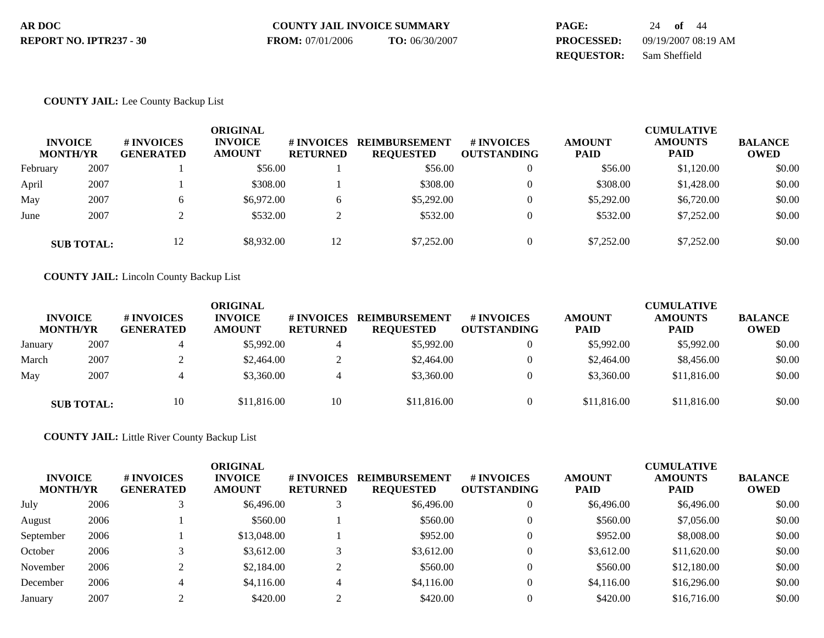| AR DOC                  | <b>COUNTY JAIL INVOICE SUMMARY</b> |                | <b>PAGE:</b>      | 24 <b>of</b> 44     |
|-------------------------|------------------------------------|----------------|-------------------|---------------------|
| REPORT NO. IPTR237 - 30 | <b>FROM:</b> 07/01/2006            | TO: 06/30/2007 | <b>PROCESSED:</b> | 09/19/2007 08:19 AM |
|                         |                                    |                | <b>REOUESTOR:</b> | Sam Sheffield       |

### **COUNTY JAIL:** Lee County Backup List

| <b>INVOICE</b><br><b>MONTH/YR</b> |                   | # INVOICES<br><b>GENERATED</b> | <b>ORIGINAL</b><br><b>INVOICE</b><br><b>AMOUNT</b> | # INVOICES<br><b>RETURNED</b> | <b>REIMBURSEMENT</b><br><b>REQUESTED</b> | <b>#INVOICES</b><br><b>OUTSTANDING</b> | <b>AMOUNT</b><br><b>PAID</b> | <b>CUMULATIVE</b><br><b>AMOUNTS</b><br><b>PAID</b> | <b>BALANCE</b><br><b>OWED</b> |
|-----------------------------------|-------------------|--------------------------------|----------------------------------------------------|-------------------------------|------------------------------------------|----------------------------------------|------------------------------|----------------------------------------------------|-------------------------------|
| February                          | 2007              |                                | \$56.00                                            |                               | \$56.00                                  | $\overline{0}$                         | \$56.00                      | \$1,120.00                                         | \$0.00                        |
| April                             | 2007              |                                | \$308.00                                           |                               | \$308.00                                 |                                        | \$308.00                     | \$1,428.00                                         | \$0.00                        |
| May                               | 2007              | 6                              | \$6,972.00                                         | O                             | \$5,292.00                               |                                        | \$5,292.00                   | \$6,720.00                                         | \$0.00                        |
| June                              | 2007              |                                | \$532.00                                           | ◠<br>∠                        | \$532.00                                 |                                        | \$532.00                     | \$7,252.00                                         | \$0.00                        |
|                                   | <b>SUB TOTAL:</b> | 12                             | \$8,932.00                                         | 12                            | \$7,252.00                               |                                        | \$7,252.00                   | \$7,252.00                                         | \$0.00                        |

**COUNTY JAIL:** Lincoln County Backup List

| <b>INVOICE</b><br><b>MONTH/YR</b> |                   | # INVOICES<br><b>GENERATED</b> | <b>ORIGINAL</b><br><b>INVOICE</b><br><b>AMOUNT</b> | <b>#INVOICES</b><br><b>RETURNED</b> | <b>REIMBURSEMENT</b><br><b>REOUESTED</b> | # INVOICES<br><b>OUTSTANDING</b> | <b>AMOUNT</b><br><b>PAID</b> | <b>CUMULATIVE</b><br><b>AMOUNTS</b><br><b>PAID</b> | <b>BALANCE</b><br><b>OWED</b> |
|-----------------------------------|-------------------|--------------------------------|----------------------------------------------------|-------------------------------------|------------------------------------------|----------------------------------|------------------------------|----------------------------------------------------|-------------------------------|
| January                           | 2007              |                                | \$5,992.00                                         |                                     | \$5,992.00                               |                                  | \$5,992.00                   | \$5,992.00                                         | \$0.00                        |
| March                             | 2007              |                                | \$2,464.00                                         | ∠                                   | \$2,464.00                               |                                  | \$2,464.00                   | \$8,456.00                                         | \$0.00                        |
| May                               | 2007              |                                | \$3,360.00                                         |                                     | \$3,360.00                               |                                  | \$3,360.00                   | \$11,816.00                                        | \$0.00                        |
|                                   | <b>SUB TOTAL:</b> | 10                             | \$11,816.00                                        | 10                                  | \$11,816.00                              |                                  | \$11,816.00                  | \$11,816.00                                        | \$0.00                        |

**COUNTY JAIL:** Little River County Backup List

| <b>INVOICE</b><br><b>MONTH/YR</b> |      | <b>#INVOICES</b><br><b>GENERATED</b> | ORIGINAL<br><b>INVOICE</b><br><b>AMOUNT</b> | # INVOICES<br><b>RETURNED</b> | <b>REIMBURSEMENT</b><br><b>REQUESTED</b> | <b>#INVOICES</b><br><b>OUTSTANDING</b> | <b>AMOUNT</b><br><b>PAID</b> | <b>CUMULATIVE</b><br><b>AMOUNTS</b><br><b>PAID</b> | <b>BALANCE</b><br><b>OWED</b> |
|-----------------------------------|------|--------------------------------------|---------------------------------------------|-------------------------------|------------------------------------------|----------------------------------------|------------------------------|----------------------------------------------------|-------------------------------|
| July                              | 2006 |                                      | \$6,496.00                                  |                               | \$6,496.00                               |                                        | \$6,496.00                   | \$6,496.00                                         | \$0.00                        |
| August                            | 2006 |                                      | \$560.00                                    |                               | \$560.00                                 |                                        | \$560.00                     | \$7,056.00                                         | \$0.00                        |
| September                         | 2006 |                                      | \$13,048.00                                 |                               | \$952.00                                 |                                        | \$952.00                     | \$8,008.00                                         | \$0.00                        |
| October                           | 2006 |                                      | \$3,612.00                                  |                               | \$3,612.00                               |                                        | \$3,612.00                   | \$11,620.00                                        | \$0.00                        |
| November                          | 2006 |                                      | \$2,184.00                                  |                               | \$560.00                                 |                                        | \$560.00                     | \$12,180.00                                        | \$0.00                        |
| December                          | 2006 | 4                                    | \$4,116.00                                  |                               | \$4,116.00                               |                                        | \$4,116.00                   | \$16,296.00                                        | \$0.00                        |
| January                           | 2007 |                                      | \$420.00                                    |                               | \$420.00                                 |                                        | \$420.00                     | \$16,716.00                                        | \$0.00                        |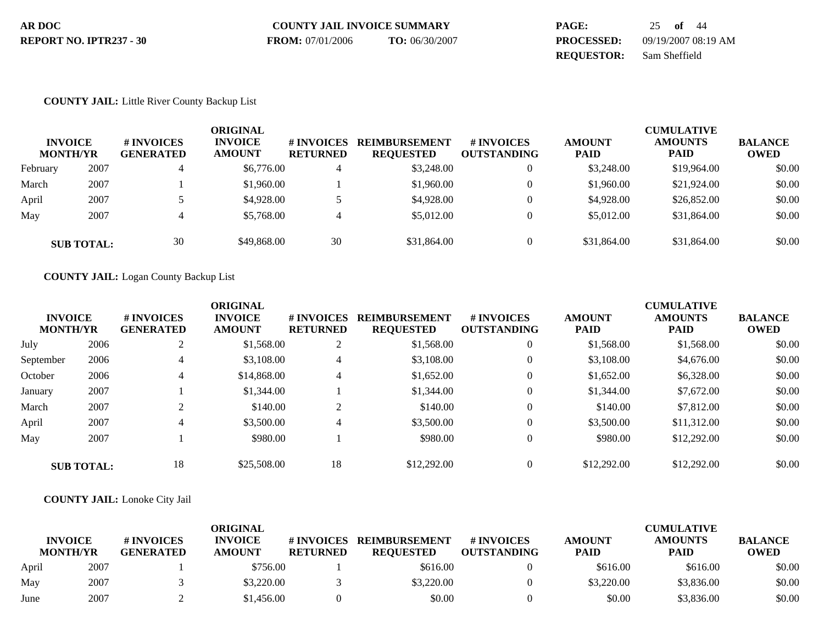| AR DOC                  | <b>COUNTY JAIL INVOICE SUMMARY</b> |                | PAGE:             | 25 of 44            |
|-------------------------|------------------------------------|----------------|-------------------|---------------------|
| REPORT NO. IPTR237 - 30 | <b>FROM:</b> 07/01/2006            | TO: 06/30/2007 | <b>PROCESSED:</b> | 09/19/2007 08:19 AM |
|                         |                                    |                | <b>REOUESTOR:</b> | Sam Sheffield       |

### **COUNTY JAIL:** Little River County Backup List

| <b>INVOICE</b><br><b>MONTH/YR</b> |                   | # INVOICES<br><b>GENERATED</b> | <b>ORIGINAL</b><br><b>INVOICE</b><br><b>AMOUNT</b> | # INVOICES<br><b>RETURNED</b> | <b>REIMBURSEMENT</b><br><b>REQUESTED</b> | <b>#INVOICES</b><br><b>OUTSTANDING</b> | <b>AMOUNT</b><br><b>PAID</b> | <b>CUMULATIVE</b><br><b>AMOUNTS</b><br><b>PAID</b> | <b>BALANCE</b><br><b>OWED</b> |
|-----------------------------------|-------------------|--------------------------------|----------------------------------------------------|-------------------------------|------------------------------------------|----------------------------------------|------------------------------|----------------------------------------------------|-------------------------------|
| February                          | 2007              | 4                              | \$6,776.00                                         | 4                             | \$3,248,00                               | 0                                      | \$3,248.00                   | \$19,964.00                                        | \$0.00                        |
| March                             | 2007              |                                | \$1,960.00                                         |                               | \$1,960.00                               |                                        | \$1,960.00                   | \$21,924.00                                        | \$0.00                        |
| April                             | 2007              |                                | \$4,928.00                                         |                               | \$4,928,00                               |                                        | \$4,928.00                   | \$26,852.00                                        | \$0.00                        |
| May                               | 2007              |                                | \$5,768.00                                         | $\overline{4}$                | \$5,012.00                               |                                        | \$5,012.00                   | \$31,864.00                                        | \$0.00                        |
|                                   | <b>SUB TOTAL:</b> | 30                             | \$49,868.00                                        | 30                            | \$31,864.00                              |                                        | \$31,864.00                  | \$31,864.00                                        | \$0.00                        |

### **COUNTY JAIL:** Logan County Backup List

| <b>INVOICE</b><br><b>MONTH/YR</b> |                   | <b># INVOICES</b><br><b>GENERATED</b> | <b>ORIGINAL</b><br><b>INVOICE</b><br><b>AMOUNT</b> | # INVOICES<br><b>RETURNED</b> | <b>REIMBURSEMENT</b><br><b>REQUESTED</b> | <b>#INVOICES</b><br><b>OUTSTANDING</b> | <b>AMOUNT</b><br><b>PAID</b> | <b>CUMULATIVE</b><br><b>AMOUNTS</b><br><b>PAID</b> | <b>BALANCE</b><br>OWED |
|-----------------------------------|-------------------|---------------------------------------|----------------------------------------------------|-------------------------------|------------------------------------------|----------------------------------------|------------------------------|----------------------------------------------------|------------------------|
| July                              | 2006              | 2                                     | \$1,568.00                                         | 2                             | \$1,568.00                               | $\boldsymbol{0}$                       | \$1,568.00                   | \$1,568.00                                         | \$0.00                 |
| September                         | 2006              | 4                                     | \$3,108.00                                         | 4                             | \$3,108.00                               | $\overline{0}$                         | \$3,108.00                   | \$4,676.00                                         | \$0.00                 |
| October                           | 2006              | 4                                     | \$14,868,00                                        | 4                             | \$1.652.00                               | $\theta$                               | \$1,652.00                   | \$6,328.00                                         | \$0.00                 |
| January                           | 2007              |                                       | \$1,344.00                                         |                               | \$1,344.00                               | $\mathbf{0}$                           | \$1,344.00                   | \$7,672.00                                         | \$0.00                 |
| March                             | 2007              |                                       | \$140.00                                           | $\sqrt{2}$<br>∠               | \$140.00                                 | $\Omega$                               | \$140.00                     | \$7,812.00                                         | \$0.00                 |
| April                             | 2007              | 4                                     | \$3,500.00                                         | 4                             | \$3,500.00                               | $\theta$                               | \$3,500.00                   | \$11,312.00                                        | \$0.00                 |
| May                               | 2007              |                                       | \$980.00                                           |                               | \$980.00                                 | $\theta$                               | \$980.00                     | \$12,292.00                                        | \$0.00                 |
|                                   | <b>SUB TOTAL:</b> | 18                                    | \$25,508.00                                        | 18                            | \$12,292.00                              | 0                                      | \$12,292.00                  | \$12,292.00                                        | \$0.00                 |

### **COUNTY JAIL:** Lonoke City Jail

| <b>INVOICE</b><br><b>MONTH/YR</b> |      | # INVOICES<br><b>GENERATED</b> | ORIGINAL<br><b>INVOICE</b><br><b>AMOUNT</b> | # INVOICES<br><b>RETURNED</b> | <b>REIMBURSEMENT</b><br><b>REQUESTED</b> | # INVOICES<br><b>OUTSTANDING</b> | <b>AMOUNT</b><br><b>PAID</b> | <b>CUMULATIVE</b><br><b>AMOUNTS</b><br>PAID | <b>BALANCE</b><br><b>OWED</b> |
|-----------------------------------|------|--------------------------------|---------------------------------------------|-------------------------------|------------------------------------------|----------------------------------|------------------------------|---------------------------------------------|-------------------------------|
| April                             | 2007 |                                | \$756.00                                    |                               | \$616.00                                 |                                  | \$616.00                     | \$616.00                                    | \$0.00                        |
| May                               | 2007 |                                | \$3,220.00                                  |                               | \$3,220.00                               |                                  | \$3,220.00                   | \$3,836.00                                  | \$0.00                        |
| June                              | 2007 |                                | \$1,456.00                                  |                               | \$0.00                                   |                                  | \$0.00                       | \$3,836.00                                  | \$0.00                        |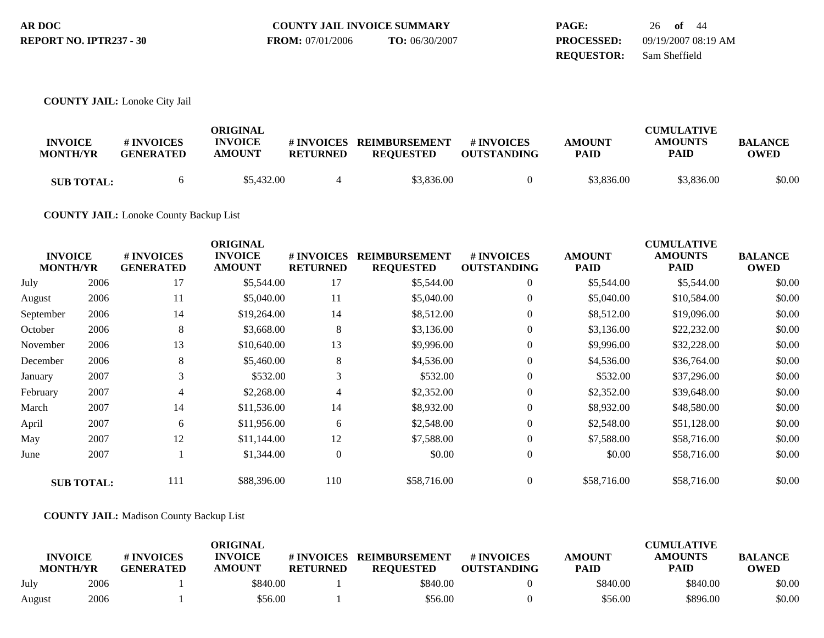| AR DOC                  | <b>COUNTY JAIL INVOICE SUMMARY</b> |                | <b>PAGE:</b>      | 26 of 44            |
|-------------------------|------------------------------------|----------------|-------------------|---------------------|
| REPORT NO. IPTR237 - 30 | <b>FROM:</b> 07/01/2006            | TO: 06/30/2007 | <b>PROCESSED:</b> | 09/19/2007 08:19 AM |
|                         |                                    |                | <b>REOUESTOR:</b> | Sam Sheffield       |

### **COUNTY JAIL:** Lonoke City Jail

| <b>INVOICE</b><br><b>MONTH/YR</b> | # INVOICES<br><b>GENERATED</b> | ORIGINAL<br><b>INVOICE</b><br><b>AMOUNT</b> | # INVOICES<br><b>RETURNED</b> | <b>REIMBURSEMENT</b><br><b>REOUESTED</b> | # INVOICES<br><b>OUTSTANDING</b> | <b>AMOUNT</b><br><b>PAID</b> | <b>CUMULATIVE</b><br><b>AMOUNTS</b><br><b>PAID</b> | <b>BALANCE</b><br>OWED |
|-----------------------------------|--------------------------------|---------------------------------------------|-------------------------------|------------------------------------------|----------------------------------|------------------------------|----------------------------------------------------|------------------------|
| <b>SUB TOTAL:</b>                 | h.                             | \$5,432.00                                  |                               | \$3,836.00                               |                                  | \$3,836.00                   | \$3,836.00                                         | \$0.00                 |

**COUNTY JAIL:** Lonoke County Backup List

|                                   |                   |                                | <b>ORIGINAL</b>                 |                               |                                          |                                  |                              | <b>CUMULATIVE</b>             |                               |
|-----------------------------------|-------------------|--------------------------------|---------------------------------|-------------------------------|------------------------------------------|----------------------------------|------------------------------|-------------------------------|-------------------------------|
| <b>INVOICE</b><br><b>MONTH/YR</b> |                   | # INVOICES<br><b>GENERATED</b> | <b>INVOICE</b><br><b>AMOUNT</b> | # INVOICES<br><b>RETURNED</b> | <b>REIMBURSEMENT</b><br><b>REQUESTED</b> | # INVOICES<br><b>OUTSTANDING</b> | <b>AMOUNT</b><br><b>PAID</b> | <b>AMOUNTS</b><br><b>PAID</b> | <b>BALANCE</b><br><b>OWED</b> |
| July                              | 2006              | 17                             | \$5,544.00                      | 17                            | \$5,544.00                               | $\overline{0}$                   | \$5,544.00                   | \$5,544.00                    | \$0.00                        |
| August                            | 2006              | 11                             | \$5,040.00                      | 11                            | \$5,040.00                               | $\overline{0}$                   | \$5,040.00                   | \$10,584.00                   | \$0.00                        |
| September                         | 2006              | 14                             | \$19,264.00                     | 14                            | \$8,512.00                               | $\overline{0}$                   | \$8,512.00                   | \$19,096.00                   | \$0.00                        |
| October                           | 2006              | 8                              | \$3,668.00                      | 8                             | \$3,136.00                               | $\overline{0}$                   | \$3,136.00                   | \$22,232.00                   | \$0.00                        |
| November                          | 2006              | 13                             | \$10,640.00                     | 13                            | \$9,996.00                               | $\overline{0}$                   | \$9,996.00                   | \$32,228.00                   | \$0.00                        |
| December                          | 2006              | 8                              | \$5,460.00                      | $\,8\,$                       | \$4,536.00                               | $\theta$                         | \$4,536.00                   | \$36,764.00                   | \$0.00                        |
| January                           | 2007              | 3                              | \$532.00                        | 3                             | \$532.00                                 | $\mathbf{0}$                     | \$532.00                     | \$37,296.00                   | \$0.00                        |
| February                          | 2007              | 4                              | \$2,268.00                      | 4                             | \$2,352.00                               | $\overline{0}$                   | \$2,352.00                   | \$39,648.00                   | \$0.00                        |
| March                             | 2007              | 14                             | \$11,536.00                     | 14                            | \$8,932.00                               | $\theta$                         | \$8,932.00                   | \$48,580.00                   | \$0.00                        |
| April                             | 2007              | 6                              | \$11,956.00                     | 6                             | \$2,548.00                               | $\theta$                         | \$2,548.00                   | \$51,128.00                   | \$0.00                        |
| May                               | 2007              | 12                             | \$11,144.00                     | 12                            | \$7,588.00                               | $\overline{0}$                   | \$7,588.00                   | \$58,716.00                   | \$0.00                        |
| June                              | 2007              |                                | \$1,344.00                      | $\boldsymbol{0}$              | \$0.00                                   | $\theta$                         | \$0.00                       | \$58,716.00                   | \$0.00                        |
|                                   | <b>SUB TOTAL:</b> | 111                            | \$88,396.00                     | 110                           | \$58,716.00                              | $\theta$                         | \$58,716.00                  | \$58,716.00                   | \$0.00                        |

### **COUNTY JAIL:** Madison County Backup List

|                                   |      |                                | ORIGINAL                        |                               |                                          |                                  |                              | <b>CUMULATIVE</b>             |                               |
|-----------------------------------|------|--------------------------------|---------------------------------|-------------------------------|------------------------------------------|----------------------------------|------------------------------|-------------------------------|-------------------------------|
| <b>INVOICE</b><br><b>MONTH/YR</b> |      | # INVOICES<br><b>GENERATED</b> | <b>INVOICE</b><br><b>AMOUNT</b> | # INVOICES<br><b>RETURNED</b> | <b>REIMBURSEMENT</b><br><b>REQUESTED</b> | # INVOICES<br><b>OUTSTANDING</b> | <b>AMOUNT</b><br><b>PAID</b> | <b>AMOUNTS</b><br><b>PAID</b> | <b>BALANCE</b><br><b>OWED</b> |
| July                              | 2006 |                                | \$840.00                        |                               | \$840.00                                 |                                  | \$840.00                     | \$840.00                      | \$0.00                        |
| August                            | 2006 |                                | \$56.00                         |                               | \$56.00                                  |                                  | \$56.00                      | \$896.00                      | \$0.00                        |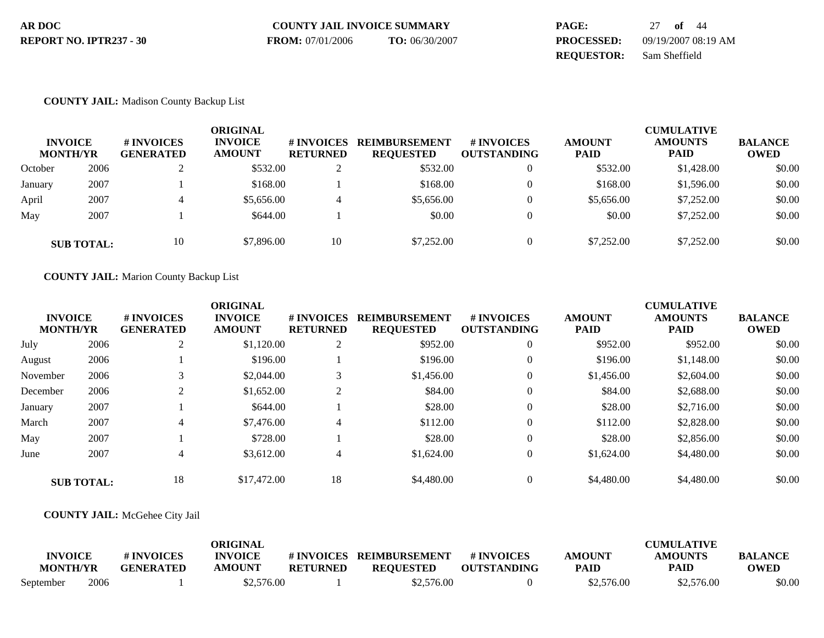| AR DOC                  | <b>COUNTY JAIL INVOICE SUMMARY</b> |                         | PAGE:             | 27 <b>of</b> 44     |
|-------------------------|------------------------------------|-------------------------|-------------------|---------------------|
| REPORT NO. IPTR237 - 30 | <b>FROM:</b> 07/01/2006            | <b>TO:</b> $06/30/2007$ | <b>PROCESSED:</b> | 09/19/2007 08:19 AM |
|                         |                                    |                         | <b>REOUESTOR:</b> | Sam Sheffield       |

### **COUNTY JAIL:** Madison County Backup List

| <b>INVOICE</b><br><b>MONTH/YR</b> |                   | # INVOICES<br><b>GENERATED</b> | <b>ORIGINAL</b><br><b>INVOICE</b><br><b>AMOUNT</b> | # INVOICES<br><b>RETURNED</b> | <b>REIMBURSEMENT</b><br><b>REQUESTED</b> | # INVOICES<br><b>OUTSTANDING</b> | <b>AMOUNT</b><br><b>PAID</b> | <b>CUMULATIVE</b><br><b>AMOUNTS</b><br><b>PAID</b> | <b>BALANCE</b><br><b>OWED</b> |
|-----------------------------------|-------------------|--------------------------------|----------------------------------------------------|-------------------------------|------------------------------------------|----------------------------------|------------------------------|----------------------------------------------------|-------------------------------|
| October                           | 2006              | ∠                              | \$532.00                                           | $\bigcap$<br>∠                | \$532.00                                 | $\theta$                         | \$532.00                     | \$1,428.00                                         | \$0.00                        |
| January                           | 2007              |                                | \$168.00                                           |                               | \$168.00                                 | $\theta$                         | \$168.00                     | \$1,596.00                                         | \$0.00                        |
| April                             | 2007              |                                | \$5,656.00                                         | 4                             | \$5,656.00                               | $\Omega$                         | \$5,656.00                   | \$7,252,00                                         | \$0.00                        |
| May                               | 2007              |                                | \$644.00                                           |                               | \$0.00                                   | $\mathbf{0}$                     | \$0.00                       | \$7,252.00                                         | \$0.00                        |
|                                   | <b>SUB TOTAL:</b> | 10                             | \$7,896.00                                         | 10                            | \$7,252.00                               | $\theta$                         | \$7,252,00                   | \$7,252.00                                         | \$0.00                        |

### **COUNTY JAIL:** Marion County Backup List

|                 |                   |                  | <b>ORIGINAL</b> |                 |                      |                    |               | <b>CUMULATIVE</b> |                |
|-----------------|-------------------|------------------|-----------------|-----------------|----------------------|--------------------|---------------|-------------------|----------------|
| <b>INVOICE</b>  |                   | # INVOICES       | <b>INVOICE</b>  | # INVOICES      | <b>REIMBURSEMENT</b> | <b>#INVOICES</b>   | <b>AMOUNT</b> | <b>AMOUNTS</b>    | <b>BALANCE</b> |
| <b>MONTH/YR</b> |                   | <b>GENERATED</b> | <b>AMOUNT</b>   | <b>RETURNED</b> | <b>REQUESTED</b>     | <b>OUTSTANDING</b> | <b>PAID</b>   | <b>PAID</b>       | <b>OWED</b>    |
| July            | 2006              | ി<br>∠           | \$1,120.00      | 2               | \$952.00             | $\mathbf{0}$       | \$952.00      | \$952.00          | \$0.00         |
| August          | 2006              |                  | \$196.00        |                 | \$196.00             | $\mathbf{0}$       | \$196.00      | \$1,148.00        | \$0.00         |
| November        | 2006              |                  | \$2,044.00      | 3               | \$1,456.00           | $\mathbf{0}$       | \$1,456.00    | \$2,604.00        | \$0.00         |
| December        | 2006              |                  | \$1,652.00      | $\bigcap$<br>∠  | \$84.00              | $\mathbf{0}$       | \$84.00       | \$2,688.00        | \$0.00         |
| January         | 2007              |                  | \$644.00        |                 | \$28.00              | $\theta$           | \$28.00       | \$2,716.00        | \$0.00         |
| March           | 2007              | 4                | \$7,476.00      | 4               | \$112.00             | $\mathbf{0}$       | \$112.00      | \$2,828.00        | \$0.00         |
| May             | 2007              |                  | \$728.00        |                 | \$28.00              | $\theta$           | \$28.00       | \$2,856.00        | \$0.00         |
| June            | 2007              | 4                | \$3,612.00      | 4               | \$1,624.00           | $\mathbf{0}$       | \$1,624.00    | \$4,480.00        | \$0.00         |
|                 | <b>SUB TOTAL:</b> | 18               | \$17,472.00     | 18              | \$4,480.00           | $\mathbf{0}$       | \$4,480.00    | \$4,480.00        | \$0.00         |

### **COUNTY JAIL:** McGehee City Jail

|                 |      |                  | ORIGINAL       |                 |                  |                    |               | <b>CUMULATIVE</b> |                |
|-----------------|------|------------------|----------------|-----------------|------------------|--------------------|---------------|-------------------|----------------|
| <b>INVOICE</b>  |      | # INVOICES       | <b>INVOICE</b> | # INVOICES      | REIMBURSEMENT    | # INVOICES         | <b>AMOUNT</b> | <b>AMOUNTS</b>    | <b>BALANCE</b> |
| <b>MONTH/YR</b> |      | <b>GENERATED</b> | <b>AMOUNT</b>  | <b>RETURNED</b> | <b>REQUESTED</b> | <b>OUTSTANDING</b> | <b>PAID</b>   | PAID              | OWED           |
| September       | 2006 |                  | \$2,576.00     |                 | \$2,576.00       |                    | \$2,576.00    | \$2,576.00        | \$0.00         |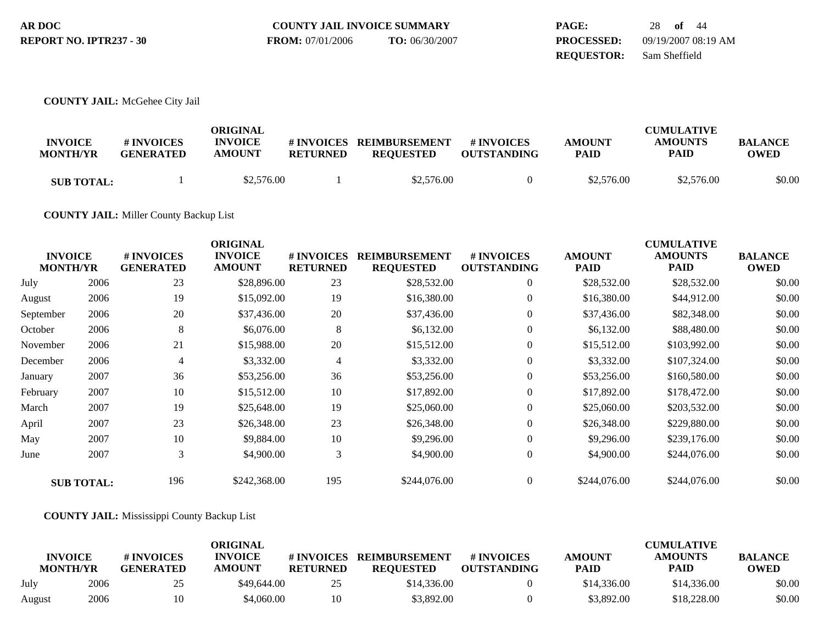| AR DOC                  | <b>COUNTY JAIL INVOICE SUMMARY</b> |                | PAGE:             | 28 of 44            |
|-------------------------|------------------------------------|----------------|-------------------|---------------------|
| REPORT NO. IPTR237 - 30 | <b>FROM:</b> 07/01/2006            | TO: 06/30/2007 | <b>PROCESSED:</b> | 09/19/2007 08:19 AM |
|                         |                                    |                | <b>REOUESTOR:</b> | Sam Sheffield       |

### **COUNTY JAIL:** McGehee City Jail

| <b>INVOICE</b><br><b>MONTH/YR</b> | # INVOICES<br><b>GENERATED</b> | ORIGINAL<br><b>INVOICE</b><br><b>AMOUNT</b> | # INVOICES<br><b>RETURNED</b> | <b>REIMBURSEMENT</b><br><b>REQUESTED</b> | # INVOICES<br><b>OUTSTANDING</b> | <b>AMOUNT</b><br><b>PAID</b> | <b>CUMULATIVE</b><br><b>AMOUNTS</b><br><b>PAID</b> | <b>BALANCE</b><br>OWED |
|-----------------------------------|--------------------------------|---------------------------------------------|-------------------------------|------------------------------------------|----------------------------------|------------------------------|----------------------------------------------------|------------------------|
| <b>SUB TOTAL:</b>                 |                                | \$2,576.00                                  |                               | \$2,576.00                               |                                  | \$2,576.00                   | \$2,576.00                                         | \$0.00                 |

## **COUNTY JAIL:** Miller County Backup List

| <b>INVOICE</b><br><b>MONTH/YR</b> |                   | <b>ORIGINAL</b><br><b>INVOICE</b><br># INVOICES<br><b>AMOUNT</b><br><b>GENERATED</b> |              | <b>REIMBURSEMENT</b><br># INVOICES<br><b>RETURNED</b><br><b>REQUESTED</b> |              | # INVOICES<br><b>AMOUNT</b><br><b>OUTSTANDING</b><br><b>PAID</b> |              | <b>CUMULATIVE</b><br><b>AMOUNTS</b><br>PAID | <b>BALANCE</b><br><b>OWED</b> |
|-----------------------------------|-------------------|--------------------------------------------------------------------------------------|--------------|---------------------------------------------------------------------------|--------------|------------------------------------------------------------------|--------------|---------------------------------------------|-------------------------------|
| July                              | 2006              | 23                                                                                   | \$28,896.00  | 23                                                                        | \$28,532.00  | $\overline{0}$                                                   | \$28,532.00  | \$28,532.00                                 | \$0.00                        |
| August                            | 2006              | 19                                                                                   | \$15,092.00  | 19                                                                        | \$16,380.00  | $\overline{0}$                                                   | \$16,380.00  | \$44,912.00                                 | \$0.00                        |
| September                         | 2006              | 20                                                                                   | \$37,436.00  | 20                                                                        | \$37,436.00  | $\overline{0}$                                                   | \$37,436.00  | \$82,348.00                                 | \$0.00                        |
| October                           | 2006              | 8                                                                                    | \$6,076.00   | 8                                                                         | \$6,132.00   | $\overline{0}$                                                   | \$6,132.00   | \$88,480.00                                 | \$0.00                        |
| November                          | 2006              | 21                                                                                   | \$15,988.00  | 20                                                                        | \$15,512.00  | $\overline{0}$                                                   | \$15,512.00  | \$103,992.00                                | \$0.00                        |
| December                          | 2006              | 4                                                                                    | \$3,332.00   | 4                                                                         | \$3,332.00   | $\Omega$                                                         | \$3,332.00   | \$107,324.00                                | \$0.00                        |
| January                           | 2007              | 36                                                                                   | \$53,256.00  | 36                                                                        | \$53,256.00  | $\overline{0}$                                                   | \$53,256.00  | \$160,580.00                                | \$0.00                        |
| February                          | 2007              | 10                                                                                   | \$15,512.00  | 10                                                                        | \$17,892.00  | $\overline{0}$                                                   | \$17,892.00  | \$178,472.00                                | \$0.00                        |
| March                             | 2007              | 19                                                                                   | \$25,648.00  | 19                                                                        | \$25,060.00  | $\Omega$                                                         | \$25,060.00  | \$203,532.00                                | \$0.00                        |
| April                             | 2007              | 23                                                                                   | \$26,348.00  | 23                                                                        | \$26,348.00  | $\Omega$                                                         | \$26,348.00  | \$229,880.00                                | \$0.00                        |
| May                               | 2007              | 10                                                                                   | \$9,884.00   | 10                                                                        | \$9,296.00   | $\overline{0}$                                                   | \$9,296.00   | \$239,176.00                                | \$0.00                        |
| June                              | 2007              | 3                                                                                    | \$4,900.00   | 3                                                                         | \$4,900.00   | $\mathbf{0}$                                                     | \$4,900.00   | \$244,076.00                                | \$0.00                        |
|                                   | <b>SUB TOTAL:</b> | 196                                                                                  | \$242,368.00 | 195                                                                       | \$244,076.00 | $\Omega$                                                         | \$244,076.00 | \$244,076.00                                | \$0.00                        |

## **COUNTY JAIL:** Mississippi County Backup List

|                                   |      |                                | <b>ORIGINAL</b>                 |                               |                                          |                                  |                              | <b>CUMULATIVE</b>             |                        |
|-----------------------------------|------|--------------------------------|---------------------------------|-------------------------------|------------------------------------------|----------------------------------|------------------------------|-------------------------------|------------------------|
| <b>INVOICE</b><br><b>MONTH/YR</b> |      | # INVOICES<br><b>GENERATED</b> | <b>INVOICE</b><br><b>AMOUNT</b> | # INVOICES<br><b>RETURNED</b> | <b>REIMBURSEMENT</b><br><b>REQUESTED</b> | # INVOICES<br><b>OUTSTANDING</b> | <b>AMOUNT</b><br><b>PAID</b> | <b>AMOUNTS</b><br><b>PAID</b> | <b>BALANCE</b><br>OWED |
| July                              | 2006 | 25                             | \$49,644.00                     | 25                            | \$14,336.00                              |                                  | \$14,336.00                  | \$14,336.00                   | \$0.00                 |
| August                            | 2006 | 10                             | \$4.060.00                      | 10                            | \$3,892.00                               |                                  | \$3.892.00                   | \$18,228,00                   | \$0.00                 |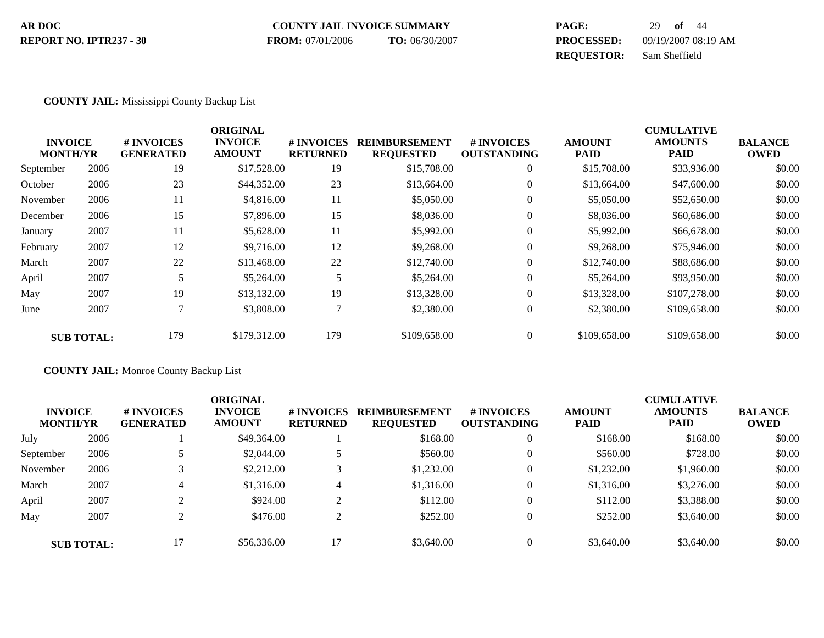#### **COUNTY JAIL INVOICE SUMMARY AR DOC PAGE:** 29 **of** 44 **PROCESSED:** 09/19/2007 08:19 AM **REPORT NO. IPTR237 - 30 FROM:** 07/01/2006 **TO:** 06/30/2007

**REQUESTOR:** Sam Sheffield

#### **COUNTY JAIL:** Mississippi County Backup List

|           |                                   |                                | <b>ORIGINAL</b>                 |                                      |                                          |                                  |                              | <b>CUMULATIVE</b>             |                               |
|-----------|-----------------------------------|--------------------------------|---------------------------------|--------------------------------------|------------------------------------------|----------------------------------|------------------------------|-------------------------------|-------------------------------|
|           | <b>INVOICE</b><br><b>MONTH/YR</b> | # INVOICES<br><b>GENERATED</b> | <b>INVOICE</b><br><b>AMOUNT</b> | <b># INVOICES</b><br><b>RETURNED</b> | <b>REIMBURSEMENT</b><br><b>REQUESTED</b> | # INVOICES<br><b>OUTSTANDING</b> | <b>AMOUNT</b><br><b>PAID</b> | <b>AMOUNTS</b><br><b>PAID</b> | <b>BALANCE</b><br><b>OWED</b> |
| September | 2006                              | 19                             | \$17,528.00                     | 19                                   | \$15,708.00                              | $\overline{0}$                   | \$15,708.00                  | \$33,936.00                   | \$0.00                        |
| October   | 2006                              | 23                             | \$44,352.00                     | 23                                   | \$13,664.00                              | $\overline{0}$                   | \$13,664.00                  | \$47,600.00                   | \$0.00                        |
| November  | 2006                              | 11                             | \$4,816.00                      | 11                                   | \$5,050.00                               | $\overline{0}$                   | \$5,050.00                   | \$52,650.00                   | \$0.00                        |
| December  | 2006                              | 15                             | \$7,896.00                      | 15                                   | \$8,036.00                               | $\overline{0}$                   | \$8,036.00                   | \$60,686.00                   | \$0.00                        |
| January   | 2007                              | 11                             | \$5,628.00                      | 11                                   | \$5,992.00                               | $\mathbf{0}$                     | \$5,992.00                   | \$66,678.00                   | \$0.00                        |
| February  | 2007                              | 12                             | \$9,716.00                      | 12                                   | \$9,268.00                               | $\overline{0}$                   | \$9,268.00                   | \$75,946.00                   | \$0.00                        |
| March     | 2007                              | 22                             | \$13,468.00                     | 22                                   | \$12,740.00                              | $\overline{0}$                   | \$12,740.00                  | \$88,686.00                   | \$0.00                        |
| April     | 2007                              | 5                              | \$5,264.00                      | 5                                    | \$5,264.00                               | $\overline{0}$                   | \$5,264.00                   | \$93,950.00                   | \$0.00                        |
| May       | 2007                              | 19                             | \$13,132.00                     | 19                                   | \$13,328.00                              | $\overline{0}$                   | \$13,328.00                  | \$107,278.00                  | \$0.00                        |
| June      | 2007                              |                                | \$3,808.00                      | $\mathcal{L}$                        | \$2,380.00                               | $\overline{0}$                   | \$2,380.00                   | \$109,658.00                  | \$0.00                        |
|           | <b>SUB TOTAL:</b>                 | 179                            | \$179,312.00                    | 179                                  | \$109,658.00                             | $\theta$                         | \$109,658.00                 | \$109,658.00                  | \$0.00                        |

**COUNTY JAIL:** Monroe County Backup List

| <b>INVOICE</b><br><b>MONTH/YR</b> |                   | <b># INVOICES</b><br><b>GENERATED</b> | <b>ORIGINAL</b><br><b>INVOICE</b><br><b>AMOUNT</b> | # INVOICES<br><b>RETURNED</b> | <b>REIMBURSEMENT</b><br><b>REQUESTED</b> | # INVOICES<br><b>OUTSTANDING</b> | <b>AMOUNT</b><br><b>PAID</b> | <b>CUMULATIVE</b><br><b>AMOUNTS</b><br><b>PAID</b> | <b>BALANCE</b><br><b>OWED</b> |
|-----------------------------------|-------------------|---------------------------------------|----------------------------------------------------|-------------------------------|------------------------------------------|----------------------------------|------------------------------|----------------------------------------------------|-------------------------------|
| July                              | 2006              |                                       | \$49,364.00                                        |                               | \$168.00                                 | $\theta$                         | \$168.00                     | \$168.00                                           | \$0.00                        |
| September                         | 2006              |                                       | \$2,044.00                                         |                               | \$560.00                                 |                                  | \$560.00                     | \$728.00                                           | \$0.00                        |
| November                          | 2006              |                                       | \$2,212.00                                         |                               | \$1,232.00                               | $\theta$                         | \$1,232.00                   | \$1,960.00                                         | \$0.00                        |
| March                             | 2007              | 4                                     | \$1,316.00                                         | 4                             | \$1,316.00                               | $\overline{0}$                   | \$1,316.00                   | \$3,276.00                                         | \$0.00                        |
| April                             | 2007              |                                       | \$924.00                                           |                               | \$112.00                                 |                                  | \$112.00                     | \$3,388.00                                         | \$0.00                        |
| May                               | 2007              |                                       | \$476.00                                           | ∠                             | \$252.00                                 |                                  | \$252.00                     | \$3,640.00                                         | \$0.00                        |
|                                   | <b>SUB TOTAL:</b> | 17                                    | \$56,336.00                                        |                               | \$3,640.00                               |                                  | \$3,640.00                   | \$3,640.00                                         | \$0.00                        |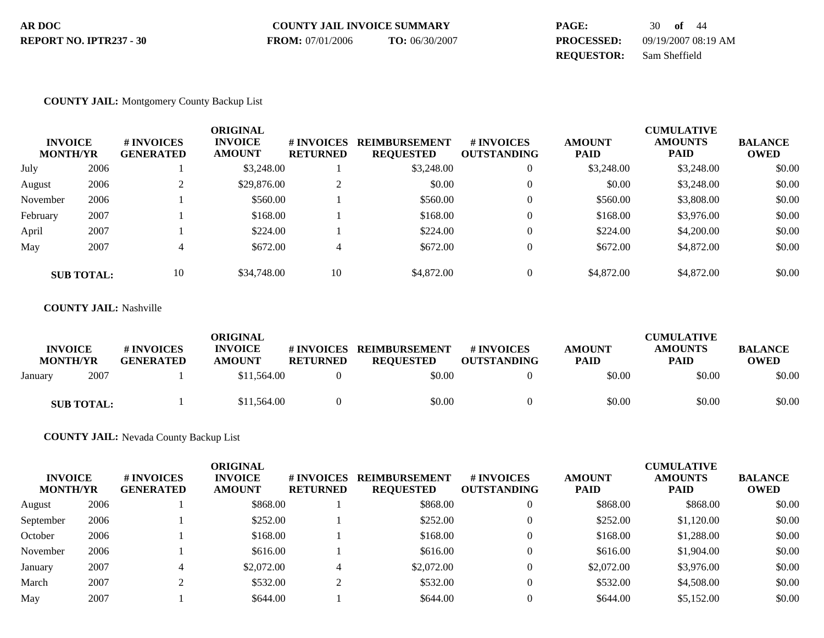| AR DOC                  | <b>COUNTY JAIL INVOICE SUMMARY</b> |                | PAGE:             | 30 of $44$          |
|-------------------------|------------------------------------|----------------|-------------------|---------------------|
| REPORT NO. IPTR237 - 30 | <b>FROM:</b> 07/01/2006            | TO: 06/30/2007 | <b>PROCESSED:</b> | 09/19/2007 08:19 AM |
|                         |                                    |                | <b>REOUESTOR:</b> | Sam Sheffield       |

### **COUNTY JAIL:** Montgomery County Backup List

| <b>INVOICE</b><br><b>MONTH/YR</b> |                   | <b># INVOICES</b><br><b>GENERATED</b> | <b>ORIGINAL</b><br><b>INVOICE</b><br><b>AMOUNT</b> | # INVOICES<br><b>RETURNED</b> | <b>REIMBURSEMENT</b><br><b>REQUESTED</b> | <b># INVOICES</b><br><b>OUTSTANDING</b> | <b>AMOUNT</b><br><b>PAID</b> | <b>CUMULATIVE</b><br><b>AMOUNTS</b><br><b>PAID</b> | <b>BALANCE</b><br><b>OWED</b> |
|-----------------------------------|-------------------|---------------------------------------|----------------------------------------------------|-------------------------------|------------------------------------------|-----------------------------------------|------------------------------|----------------------------------------------------|-------------------------------|
| July                              | 2006              |                                       | \$3,248.00                                         |                               | \$3,248.00                               | $\boldsymbol{0}$                        | \$3,248.00                   | \$3,248.00                                         | \$0.00                        |
| August                            | 2006              |                                       | \$29,876.00                                        | ◠<br>∠                        | \$0.00                                   | $\mathbf{0}$                            | \$0.00                       | \$3,248.00                                         | \$0.00                        |
| November                          | 2006              |                                       | \$560.00                                           |                               | \$560.00                                 | $\overline{0}$                          | \$560.00                     | \$3,808.00                                         | \$0.00                        |
| February                          | 2007              |                                       | \$168.00                                           |                               | \$168.00                                 | $\mathbf{0}$                            | \$168.00                     | \$3,976.00                                         | \$0.00                        |
| April                             | 2007              |                                       | \$224.00                                           |                               | \$224.00                                 | $\overline{0}$                          | \$224.00                     | \$4,200.00                                         | \$0.00                        |
| May                               | 2007              | 4                                     | \$672.00                                           | 4                             | \$672.00                                 | $\overline{0}$                          | \$672.00                     | \$4,872.00                                         | \$0.00                        |
|                                   | <b>SUB TOTAL:</b> | 10                                    | \$34,748.00                                        | 10                            | \$4,872.00                               | $\overline{0}$                          | \$4,872.00                   | \$4,872.00                                         | \$0.00                        |

#### **COUNTY JAIL:** Nashville

| <b>INVOICE</b><br><b>MONTH/YR</b> | # INVOICES<br><b>GENERATED</b> | <b>ORIGINAL</b><br><b>INVOICE</b><br><b>AMOUNT</b> | # INVOICES<br><b>RETURNED</b> | <b>REIMBURSEMENT</b><br><b>REOUESTED</b> | <b>#INVOICES</b><br><b>OUTSTANDING</b> | <b>AMOUNT</b><br><b>PAID</b> | <b>CUMULATIVE</b><br><b>AMOUNTS</b><br><b>PAID</b> | <b>BALANCE</b><br><b>OWED</b> |
|-----------------------------------|--------------------------------|----------------------------------------------------|-------------------------------|------------------------------------------|----------------------------------------|------------------------------|----------------------------------------------------|-------------------------------|
| 2007<br>January                   |                                | \$11,564.00                                        |                               | \$0.00                                   |                                        | \$0.00                       | \$0.00                                             | \$0.00                        |
| <b>SUB TOTAL:</b>                 |                                | \$11,564.00                                        |                               | \$0.00                                   |                                        | \$0.00                       | \$0.00                                             | \$0.00                        |

## **COUNTY JAIL:** Nevada County Backup List

| <b>INVOICE</b><br><b>MONTH/YR</b> |      | # INVOICES<br><b>GENERATED</b> | ORIGINAL<br><b>INVOICE</b><br><b>AMOUNT</b> | # INVOICES<br><b>RETURNED</b> | <b>REIMBURSEMENT</b><br><b>REQUESTED</b> | # INVOICES<br><b>OUTSTANDING</b> | <b>AMOUNT</b><br><b>PAID</b> | <b>CUMULATIVE</b><br><b>AMOUNTS</b><br><b>PAID</b> | <b>BALANCE</b><br><b>OWED</b> |
|-----------------------------------|------|--------------------------------|---------------------------------------------|-------------------------------|------------------------------------------|----------------------------------|------------------------------|----------------------------------------------------|-------------------------------|
| August                            | 2006 |                                | \$868.00                                    |                               | \$868.00                                 |                                  | \$868.00                     | \$868.00                                           | \$0.00                        |
| September                         | 2006 |                                | \$252.00                                    |                               | \$252.00                                 |                                  | \$252.00                     | \$1,120.00                                         | \$0.00                        |
| October                           | 2006 |                                | \$168.00                                    |                               | \$168.00                                 |                                  | \$168.00                     | \$1,288.00                                         | \$0.00                        |
| November                          | 2006 |                                | \$616.00                                    |                               | \$616.00                                 |                                  | \$616.00                     | \$1,904.00                                         | \$0.00                        |
| January                           | 2007 | 4                              | \$2,072.00                                  | 4                             | \$2,072.00                               |                                  | \$2,072.00                   | \$3,976.00                                         | \$0.00                        |
| March                             | 2007 |                                | \$532.00                                    | $\sim$                        | \$532.00                                 |                                  | \$532.00                     | \$4,508.00                                         | \$0.00                        |
| May                               | 2007 |                                | \$644.00                                    |                               | \$644.00                                 |                                  | \$644.00                     | \$5,152.00                                         | \$0.00                        |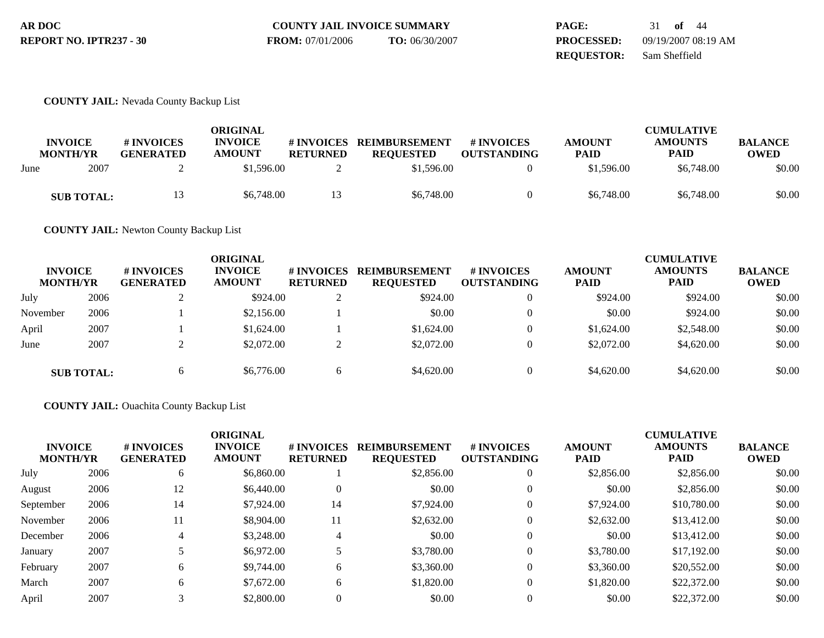| AR DOC                  | <b>COUNTY JAIL INVOICE SUMMARY</b> |                | PAGE:             | 31 of 44            |
|-------------------------|------------------------------------|----------------|-------------------|---------------------|
| REPORT NO. IPTR237 - 30 | <b>FROM:</b> 07/01/2006            | TO: 06/30/2007 | <b>PROCESSED:</b> | 09/19/2007 08:19 AM |
|                         |                                    |                | <b>REOUESTOR:</b> | Sam Sheffield       |

### **COUNTY JAIL:** Nevada County Backup List

|                                   |                   |                                | <b>ORIGINAL</b>                 |                               |                                          |                                        |                              | <b>CUMULATIVE</b>             |                               |
|-----------------------------------|-------------------|--------------------------------|---------------------------------|-------------------------------|------------------------------------------|----------------------------------------|------------------------------|-------------------------------|-------------------------------|
| <b>INVOICE</b><br><b>MONTH/YR</b> |                   | # INVOICES<br><b>GENERATED</b> | <b>INVOICE</b><br><b>AMOUNT</b> | # INVOICES<br><b>RETURNED</b> | <b>REIMBURSEMENT</b><br><b>REQUESTED</b> | <b>#INVOICES</b><br><b>OUTSTANDING</b> | <b>AMOUNT</b><br><b>PAID</b> | <b>AMOUNTS</b><br><b>PAID</b> | <b>BALANCE</b><br><b>OWED</b> |
| June                              | 2007              |                                | \$1,596.00                      |                               | \$1,596.00                               |                                        | \$1,596.00                   | \$6,748.00                    | \$0.00                        |
|                                   | <b>SUB TOTAL:</b> | 13.                            | \$6,748.00                      | 13                            | \$6,748.00                               |                                        | \$6,748.00                   | \$6,748.00                    | \$0.00                        |

**COUNTY JAIL:** Newton County Backup List

| <b>INVOICE</b><br><b>MONTH/YR</b> |                   | <b>#INVOICES</b><br><b>GENERATED</b> | ORIGINAL<br><b>INVOICE</b><br><b>AMOUNT</b> | <b># INVOICES</b><br><b>RETURNED</b> | <b>REIMBURSEMENT</b><br><b>REQUESTED</b> | <b># INVOICES</b><br><b>OUTSTANDING</b> | <b>AMOUNT</b><br><b>PAID</b> | <b>CUMULATIVE</b><br><b>AMOUNTS</b><br><b>PAID</b> | <b>BALANCE</b><br><b>OWED</b> |
|-----------------------------------|-------------------|--------------------------------------|---------------------------------------------|--------------------------------------|------------------------------------------|-----------------------------------------|------------------------------|----------------------------------------------------|-------------------------------|
| July                              | 2006              |                                      | \$924.00                                    |                                      | \$924.00                                 |                                         | \$924.00                     | \$924.00                                           | \$0.00                        |
| November                          | 2006              |                                      | \$2,156.00                                  |                                      | \$0.00                                   |                                         | \$0.00                       | \$924.00                                           | \$0.00                        |
| April                             | 2007              |                                      | \$1,624.00                                  |                                      | \$1,624.00                               |                                         | \$1,624.00                   | \$2,548.00                                         | \$0.00                        |
| June                              | 2007              |                                      | \$2,072.00                                  | ◠                                    | \$2,072.00                               | $\Omega$                                | \$2,072.00                   | \$4,620.00                                         | \$0.00                        |
|                                   | <b>SUB TOTAL:</b> | b                                    | \$6,776.00                                  | O                                    | \$4,620.00                               | $\Omega$                                | \$4,620.00                   | \$4,620.00                                         | \$0.00                        |

## **COUNTY JAIL:** Ouachita County Backup List

| <b>INVOICE</b><br><b>MONTH/YR</b> |      | # INVOICES<br><b>GENERATED</b> | <b>ORIGINAL</b><br><b>INVOICE</b><br><b>AMOUNT</b> | # INVOICES<br><b>RETURNED</b> | <b>REIMBURSEMENT</b><br><b>REQUESTED</b> | # INVOICES<br><b>OUTSTANDING</b> | <b>AMOUNT</b><br><b>PAID</b> | <b>CUMULATIVE</b><br><b>AMOUNTS</b><br><b>PAID</b> | <b>BALANCE</b><br><b>OWED</b> |
|-----------------------------------|------|--------------------------------|----------------------------------------------------|-------------------------------|------------------------------------------|----------------------------------|------------------------------|----------------------------------------------------|-------------------------------|
| July                              | 2006 | 6                              | \$6,860.00                                         |                               | \$2,856.00                               | $\overline{0}$                   | \$2,856.00                   | \$2,856.00                                         | \$0.00                        |
| August                            | 2006 | 12                             | \$6,440.00                                         | 0                             | \$0.00                                   | $\Omega$                         | \$0.00                       | \$2,856.00                                         | \$0.00                        |
| September                         | 2006 | 14                             | \$7,924.00                                         | 14                            | \$7,924.00                               | $\theta$                         | \$7,924.00                   | \$10,780.00                                        | \$0.00                        |
| November                          | 2006 | 11                             | \$8,904.00                                         | 11                            | \$2,632.00                               | $\Omega$                         | \$2,632.00                   | \$13,412.00                                        | \$0.00                        |
| December                          | 2006 | 4                              | \$3,248.00                                         | 4                             | \$0.00                                   | $\overline{0}$                   | \$0.00                       | \$13,412.00                                        | \$0.00                        |
| January                           | 2007 |                                | \$6,972.00                                         |                               | \$3,780.00                               | $\theta$                         | \$3,780.00                   | \$17,192.00                                        | \$0.00                        |
| February                          | 2007 | 6                              | \$9,744.00                                         | 6                             | \$3,360.00                               | $\Omega$                         | \$3,360.00                   | \$20,552.00                                        | \$0.00                        |
| March                             | 2007 | 6                              | \$7,672.00                                         | 6                             | \$1,820.00                               | $\mathbf{0}$                     | \$1,820.00                   | \$22,372.00                                        | \$0.00                        |
| April                             | 2007 |                                | \$2,800.00                                         | 0                             | \$0.00                                   |                                  | \$0.00                       | \$22,372.00                                        | \$0.00                        |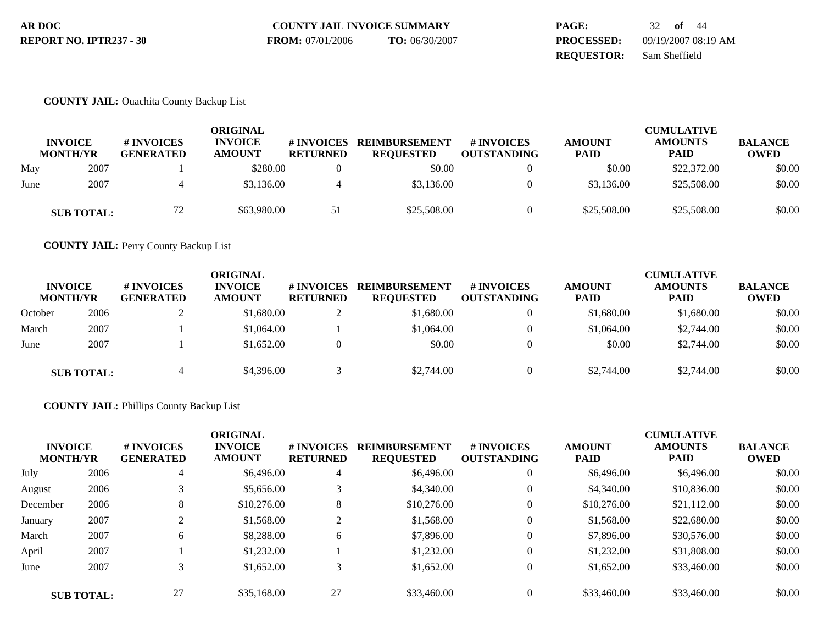| AR DOC                  | <b>COUNTY JAIL INVOICE SUMMARY</b> |                | <b>PAGE:</b>      | 32 <b>of</b> 44     |
|-------------------------|------------------------------------|----------------|-------------------|---------------------|
| REPORT NO. IPTR237 - 30 | <b>FROM:</b> 07/01/2006            | TO: 06/30/2007 | <b>PROCESSED:</b> | 09/19/2007 08:19 AM |
|                         |                                    |                | <b>REOUESTOR:</b> | Sam Sheffield       |

### **COUNTY JAIL:** Ouachita County Backup List

| <b>INVOICE</b><br><b>MONTH/YR</b> |                   | # INVOICES<br><b>GENERATED</b> | ORIGINAL<br><b>INVOICE</b><br><b>AMOUNT</b> |    | <b>REIMBURSEMENT</b><br># INVOICES<br># INVOICES<br><b>RETURNED</b><br><b>REQUESTED</b><br><b>OUTSTANDING</b> |  | <b>AMOUNT</b><br><b>PAID</b> | <b>CUMULATIVE</b><br><b>AMOUNTS</b><br><b>PAID</b> | <b>BALANCE</b><br><b>OWED</b> |  |
|-----------------------------------|-------------------|--------------------------------|---------------------------------------------|----|---------------------------------------------------------------------------------------------------------------|--|------------------------------|----------------------------------------------------|-------------------------------|--|
| May                               | 2007              |                                | \$280.00                                    |    | \$0.00                                                                                                        |  | \$0.00                       | \$22,372.00                                        | \$0.00                        |  |
| June                              | 2007              |                                | \$3,136.00                                  |    | \$3,136.00                                                                                                    |  | \$3,136.00                   | \$25,508.00                                        | \$0.00                        |  |
|                                   | <b>SUB TOTAL:</b> | 72                             | \$63,980.00                                 | 51 | \$25,508.00                                                                                                   |  | \$25,508.00                  | \$25,508.00                                        | \$0.00                        |  |

**COUNTY JAIL:** Perry County Backup List

| <b>INVOICE</b><br><b>MONTH/YR</b> |                   | ORIGINAL<br><b>INVOICE</b><br># INVOICES<br># INVOICES<br><b>AMOUNT</b><br><b>RETURNED</b><br><b>GENERATED</b> |            |   | <b>REIMBURSEMENT</b><br><b>REQUESTED</b> | # INVOICES<br><b>OUTSTANDING</b> | <b>AMOUNT</b><br><b>PAID</b> | <b>CUMULATIVE</b><br><b>AMOUNTS</b><br><b>PAID</b> | <b>BALANCE</b><br><b>OWED</b> |
|-----------------------------------|-------------------|----------------------------------------------------------------------------------------------------------------|------------|---|------------------------------------------|----------------------------------|------------------------------|----------------------------------------------------|-------------------------------|
| October                           | 2006              |                                                                                                                | \$1,680.00 |   | \$1,680.00                               |                                  | \$1,680.00                   | \$1,680.00                                         | \$0.00                        |
| March                             | 2007              |                                                                                                                | \$1,064.00 |   | \$1,064.00                               |                                  | \$1,064.00                   | \$2,744.00                                         | \$0.00                        |
| June                              | 2007              |                                                                                                                | \$1,652.00 | 0 | \$0.00                                   | $\Omega$                         | \$0.00                       | \$2,744.00                                         | \$0.00                        |
|                                   | <b>SUB TOTAL:</b> | 4                                                                                                              | \$4,396.00 |   | \$2,744.00                               |                                  | \$2,744.00                   | \$2,744.00                                         | \$0.00                        |

## **COUNTY JAIL:** Phillips County Backup List

| <b>INVOICE</b><br><b>MONTH/YR</b> |                   | # INVOICES<br><b>GENERATED</b> | <b>ORIGINAL</b><br><b>INVOICE</b><br><b>AMOUNT</b> | # INVOICES<br><b>RETURNED</b> | <b>REIMBURSEMENT</b><br><b>REQUESTED</b> | # INVOICES<br><b>OUTSTANDING</b> | <b>AMOUNT</b><br><b>PAID</b> | <b>CUMULATIVE</b><br><b>AMOUNTS</b><br>PAID | <b>BALANCE</b><br><b>OWED</b> |
|-----------------------------------|-------------------|--------------------------------|----------------------------------------------------|-------------------------------|------------------------------------------|----------------------------------|------------------------------|---------------------------------------------|-------------------------------|
| July                              | 2006              | 4                              | \$6,496.00                                         | 4                             | \$6,496.00                               | $\overline{0}$                   | \$6,496.00                   | \$6,496.00                                  | \$0.00                        |
| August                            | 2006              |                                | \$5,656.00                                         | 3                             | \$4,340.00                               | $\mathbf{0}$                     | \$4,340.00                   | \$10,836.00                                 | \$0.00                        |
| December                          | 2006              | 8                              | \$10,276.00                                        | 8                             | \$10,276.00                              | $\theta$                         | \$10,276.00                  | \$21,112.00                                 | \$0.00                        |
| January                           | 2007              |                                | \$1,568.00                                         | ◠<br>∠                        | \$1,568.00                               | $\overline{0}$                   | \$1,568.00                   | \$22,680.00                                 | \$0.00                        |
| March                             | 2007              | 6                              | \$8,288,00                                         | 6                             | \$7,896.00                               | $\theta$                         | \$7,896.00                   | \$30,576.00                                 | \$0.00                        |
| April                             | 2007              |                                | \$1,232.00                                         |                               | \$1,232.00                               | $\overline{0}$                   | \$1,232.00                   | \$31,808.00                                 | \$0.00                        |
| June                              | 2007              | 3                              | \$1,652.00                                         | 3                             | \$1,652.00                               | $\theta$                         | \$1,652.00                   | \$33,460.00                                 | \$0.00                        |
|                                   | <b>SUB TOTAL:</b> | 27                             | \$35,168,00                                        | 27                            | \$33,460.00                              | $\Omega$                         | \$33,460.00                  | \$33,460.00                                 | \$0.00                        |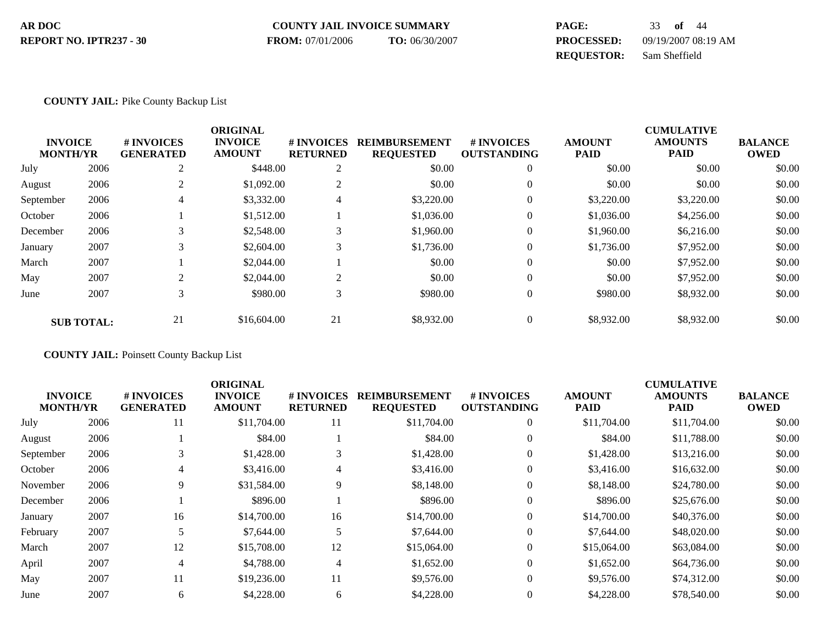| AR DOC                  | <b>COUNTY JAIL INVOICE SUMMARY</b> |                | <b>PAGE:</b>      | 33 <b>of</b> 44     |
|-------------------------|------------------------------------|----------------|-------------------|---------------------|
| REPORT NO. IPTR237 - 30 | <b>FROM:</b> 07/01/2006            | TO: 06/30/2007 | <b>PROCESSED:</b> | 09/19/2007 08:19 AM |
|                         |                                    |                | <b>REOUESTOR:</b> | Sam Sheffield       |

### **COUNTY JAIL:** Pike County Backup List

|                 |                   |                  | <b>ORIGINAL</b> |                 |                      |                    |               | <b>CUMULATIVE</b> |                |
|-----------------|-------------------|------------------|-----------------|-----------------|----------------------|--------------------|---------------|-------------------|----------------|
| <b>INVOICE</b>  |                   | # INVOICES       | <b>INVOICE</b>  | # INVOICES      | <b>REIMBURSEMENT</b> | <b>#INVOICES</b>   | <b>AMOUNT</b> | <b>AMOUNTS</b>    | <b>BALANCE</b> |
| <b>MONTH/YR</b> |                   | <b>GENERATED</b> | <b>AMOUNT</b>   | <b>RETURNED</b> | <b>REQUESTED</b>     | <b>OUTSTANDING</b> | <b>PAID</b>   | <b>PAID</b>       | <b>OWED</b>    |
| July            | 2006              | $\overline{c}$   | \$448.00        | $\overline{2}$  | \$0.00               | $\mathbf{0}$       | \$0.00        | \$0.00            | \$0.00         |
| August          | 2006              | $\overline{c}$   | \$1,092.00      | 2               | \$0.00               | $\mathbf{0}$       | \$0.00        | \$0.00            | \$0.00         |
| September       | 2006              | 4                | \$3,332.00      | 4               | \$3,220.00           | $\mathbf{0}$       | \$3,220.00    | \$3,220.00        | \$0.00         |
| October         | 2006              |                  | \$1,512.00      |                 | \$1,036.00           | $\mathbf{0}$       | \$1,036.00    | \$4,256.00        | \$0.00         |
| December        | 2006              | 3                | \$2,548.00      | 3               | \$1,960.00           | $\mathbf{0}$       | \$1,960.00    | \$6,216.00        | \$0.00         |
| January         | 2007              | 3                | \$2,604.00      | 3               | \$1,736.00           | $\mathbf{0}$       | \$1,736.00    | \$7,952.00        | \$0.00         |
| March           | 2007              |                  | \$2,044.00      |                 | \$0.00               | $\Omega$           | \$0.00        | \$7,952.00        | \$0.00         |
| May             | 2007              | $\mathfrak{D}$   | \$2,044.00      | $\overline{c}$  | \$0.00               | $\theta$           | \$0.00        | \$7,952.00        | \$0.00         |
| June            | 2007              | 3                | \$980.00        | 3               | \$980.00             | $\mathbf{0}$       | \$980.00      | \$8,932.00        | \$0.00         |
|                 | <b>SUB TOTAL:</b> | 21               | \$16,604.00     | 21              | \$8,932.00           | $\Omega$           | \$8,932.00    | \$8,932.00        | \$0.00         |

**COUNTY JAIL:** Poinsett County Backup List

|                                   |                                | <b>ORIGINAL</b>                 |                                     |                                                                                                                                                                      |                                         |                              | <b>CUMULATIVE</b>             |                               |
|-----------------------------------|--------------------------------|---------------------------------|-------------------------------------|----------------------------------------------------------------------------------------------------------------------------------------------------------------------|-----------------------------------------|------------------------------|-------------------------------|-------------------------------|
| <b>INVOICE</b><br><b>MONTH/YR</b> | # INVOICES<br><b>GENERATED</b> | <b>INVOICE</b><br><b>AMOUNT</b> | <b>#INVOICES</b><br><b>RETURNED</b> | <b>REIMBURSEMENT</b><br><b>REQUESTED</b>                                                                                                                             | <b># INVOICES</b><br><b>OUTSTANDING</b> | <b>AMOUNT</b><br><b>PAID</b> | <b>AMOUNTS</b><br><b>PAID</b> | <b>BALANCE</b><br><b>OWED</b> |
| 2006                              | 11                             |                                 | 11                                  | \$11,704.00                                                                                                                                                          | $\mathbf{0}$                            | \$11,704.00                  | \$11,704.00                   | \$0.00                        |
| 2006                              |                                |                                 |                                     | \$84.00                                                                                                                                                              | $\theta$                                | \$84.00                      | \$11,788.00                   | \$0.00                        |
| 2006                              |                                |                                 | 3                                   | \$1,428.00                                                                                                                                                           | $\theta$                                | \$1,428.00                   | \$13,216.00                   | \$0.00                        |
| 2006                              | 4                              |                                 | $\overline{4}$                      | \$3,416.00                                                                                                                                                           | $\mathbf{0}$                            | \$3,416.00                   | \$16,632.00                   | \$0.00                        |
| 2006                              | 9                              |                                 | 9                                   | \$8,148.00                                                                                                                                                           | $\mathbf{0}$                            | \$8,148.00                   | \$24,780.00                   | \$0.00                        |
| 2006                              |                                |                                 |                                     | \$896.00                                                                                                                                                             | $\Omega$                                | \$896.00                     | \$25,676.00                   | \$0.00                        |
| 2007                              | 16                             |                                 | 16                                  | \$14,700.00                                                                                                                                                          | $\theta$                                | \$14,700.00                  | \$40,376.00                   | \$0.00                        |
| 2007                              |                                |                                 | 5                                   | \$7,644.00                                                                                                                                                           | $\mathbf{0}$                            | \$7,644.00                   | \$48,020.00                   | \$0.00                        |
| 2007                              | 12                             |                                 | 12                                  | \$15,064.00                                                                                                                                                          | $\Omega$                                | \$15,064.00                  | \$63,084.00                   | \$0.00                        |
| 2007                              | 4                              |                                 | $\overline{4}$                      | \$1,652.00                                                                                                                                                           | $\theta$                                | \$1,652.00                   | \$64,736.00                   | \$0.00                        |
| 2007                              | 11                             |                                 | 11                                  | \$9,576.00                                                                                                                                                           | $\Omega$                                | \$9,576.00                   | \$74,312.00                   | \$0.00                        |
| 2007                              | 6                              |                                 | 6                                   | \$4,228.00                                                                                                                                                           | $\Omega$                                | \$4,228.00                   | \$78,540.00                   | \$0.00                        |
|                                   |                                |                                 |                                     | \$11,704.00<br>\$84.00<br>\$1,428.00<br>\$3,416.00<br>\$31,584.00<br>\$896.00<br>\$14,700.00<br>\$7,644.00<br>\$15,708.00<br>\$4,788.00<br>\$19,236.00<br>\$4,228.00 |                                         |                              |                               |                               |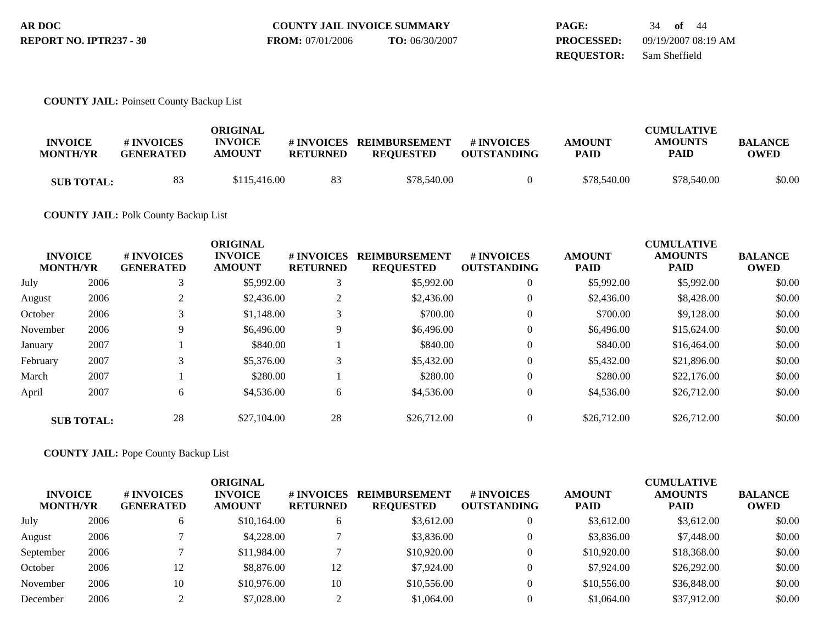| AR DOC                  | <b>COUNTY JAIL INVOICE SUMMARY</b> |                | <b>PAGE:</b>      | 34 <b>of</b> 44     |
|-------------------------|------------------------------------|----------------|-------------------|---------------------|
| REPORT NO. IPTR237 - 30 | <b>FROM:</b> 07/01/2006            | TO: 06/30/2007 | <b>PROCESSED:</b> | 09/19/2007 08:19 AM |
|                         |                                    |                | <b>REOUESTOR:</b> | Sam Sheffield       |

### **COUNTY JAIL:** Poinsett County Backup List

| <b>INVOICE</b><br><b>MONTH/YR</b> | # INVOICES<br><b>GENERATED</b> | ORIGINAL<br><b>INVOICE</b><br><b>AMOUNT</b> | <b>RETURNED</b> | #INVOICES REIMBURSEMENT<br><b>REOUESTED</b> | # INVOICES<br><b>OUTSTANDING</b> | <b>AMOUNT</b><br><b>PAID</b> | <b>CUMULATIVE</b><br><b>AMOUNTS</b><br>PAID | <b>BALANCE</b><br><b>OWED</b> |
|-----------------------------------|--------------------------------|---------------------------------------------|-----------------|---------------------------------------------|----------------------------------|------------------------------|---------------------------------------------|-------------------------------|
| <b>SUB TOTAL:</b>                 | 83                             | \$115,416.00                                | 83              | \$78,540.00                                 |                                  | \$78,540.00                  | \$78,540.00                                 | \$0.00                        |

## **COUNTY JAIL:** Polk County Backup List

| <b>INVOICE</b><br><b>MONTH/YR</b> |                   | # INVOICES<br><b>GENERATED</b> | <b>ORIGINAL</b><br><b>INVOICE</b><br><b>AMOUNT</b> | # INVOICES<br><b>RETURNED</b> | <b>REIMBURSEMENT</b><br><b>REQUESTED</b> | <b>#INVOICES</b><br><b>OUTSTANDING</b> | <b>AMOUNT</b><br><b>PAID</b> | <b>CUMULATIVE</b><br><b>AMOUNTS</b><br><b>PAID</b> | <b>BALANCE</b><br><b>OWED</b> |
|-----------------------------------|-------------------|--------------------------------|----------------------------------------------------|-------------------------------|------------------------------------------|----------------------------------------|------------------------------|----------------------------------------------------|-------------------------------|
| July                              | 2006              |                                | \$5,992.00                                         | 3                             | \$5,992.00                               | $\overline{0}$                         | \$5,992.00                   | \$5,992.00                                         | \$0.00                        |
| August                            | 2006              |                                | \$2,436.00                                         | 2                             | \$2,436.00                               | $\mathbf{0}$                           | \$2,436.00                   | \$8,428.00                                         | \$0.00                        |
| October                           | 2006              |                                | \$1,148.00                                         | 3                             | \$700.00                                 | $\theta$                               | \$700.00                     | \$9,128.00                                         | \$0.00                        |
| November                          | 2006              | 9                              | \$6,496.00                                         | 9                             | \$6,496.00                               | $\theta$                               | \$6,496.00                   | \$15,624.00                                        | \$0.00                        |
| January                           | 2007              |                                | \$840.00                                           |                               | \$840.00                                 | $\Omega$                               | \$840.00                     | \$16,464.00                                        | \$0.00                        |
| February                          | 2007              | 3                              | \$5,376.00                                         | 3                             | \$5,432.00                               | $\Omega$                               | \$5,432.00                   | \$21,896.00                                        | \$0.00                        |
| March                             | 2007              |                                | \$280.00                                           |                               | \$280.00                                 | $\Omega$                               | \$280.00                     | \$22,176.00                                        | \$0.00                        |
| April                             | 2007              | 6                              | \$4,536.00                                         | 6                             | \$4,536.00                               | $\overline{0}$                         | \$4,536.00                   | \$26,712.00                                        | \$0.00                        |
|                                   | <b>SUB TOTAL:</b> | 28                             | \$27,104.00                                        | 28                            | \$26,712.00                              | $\Omega$                               | \$26,712.00                  | \$26,712.00                                        | \$0.00                        |

**COUNTY JAIL:** Pope County Backup List

| <b>INVOICE</b><br><b>MONTH/YR</b> |      | # INVOICES<br><b>GENERATED</b> | ORIGINAL<br><b>INVOICE</b><br><b>AMOUNT</b> | # INVOICES<br><b>RETURNED</b> | <b>REIMBURSEMENT</b><br><b>REQUESTED</b> | # INVOICES<br><b>OUTSTANDING</b> | <b>AMOUNT</b><br><b>PAID</b> | <b>CUMULATIVE</b><br><b>AMOUNTS</b><br><b>PAID</b> | <b>BALANCE</b><br><b>OWED</b> |
|-----------------------------------|------|--------------------------------|---------------------------------------------|-------------------------------|------------------------------------------|----------------------------------|------------------------------|----------------------------------------------------|-------------------------------|
| July                              | 2006 | O                              | \$10,164.00                                 |                               | \$3,612.00                               |                                  | \$3,612.00                   | \$3,612.00                                         | \$0.00                        |
| August                            | 2006 |                                | \$4,228.00                                  |                               | \$3,836.00                               |                                  | \$3,836.00                   | \$7,448.00                                         | \$0.00                        |
| September                         | 2006 |                                | \$11,984.00                                 |                               | \$10,920.00                              |                                  | \$10,920.00                  | \$18,368.00                                        | \$0.00                        |
| October                           | 2006 | 12                             | \$8,876.00                                  | 12                            | \$7,924.00                               |                                  | \$7,924.00                   | \$26,292.00                                        | \$0.00                        |
| November                          | 2006 | 10                             | \$10,976.00                                 | 10                            | \$10,556.00                              |                                  | \$10,556.00                  | \$36,848.00                                        | \$0.00                        |
| December                          | 2006 |                                | \$7,028.00                                  | $\sim$                        | \$1,064.00                               |                                  | \$1,064.00                   | \$37,912.00                                        | \$0.00                        |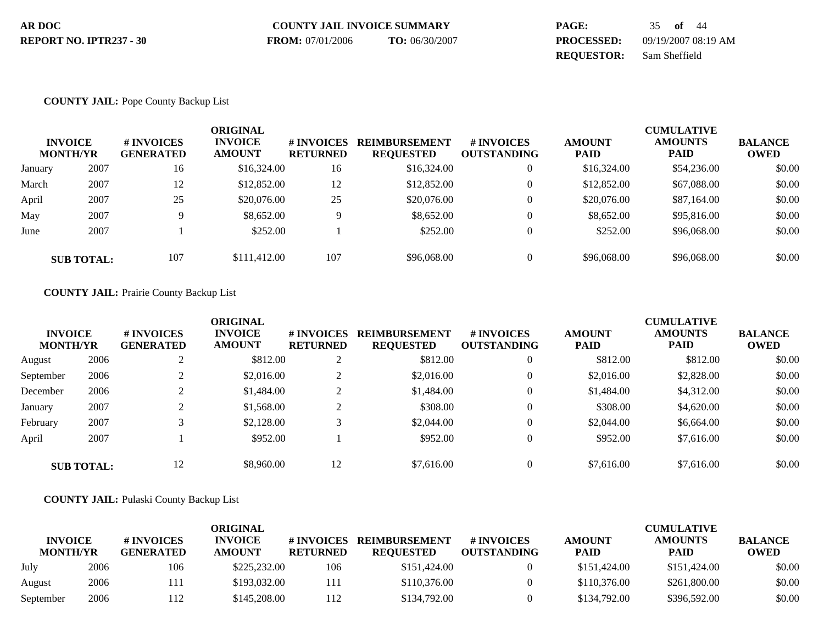| AR DOC                  | <b>COUNTY JAIL INVOICE SUMMARY</b> |                | <b>PAGE:</b>      | 35 <b>of</b> 44     |
|-------------------------|------------------------------------|----------------|-------------------|---------------------|
| REPORT NO. IPTR237 - 30 | <b>FROM:</b> 07/01/2006            | TO: 06/30/2007 | <b>PROCESSED:</b> | 09/19/2007 08:19 AM |
|                         |                                    |                | <b>REOUESTOR:</b> | Sam Sheffield       |

### **COUNTY JAIL:** Pope County Backup List

|         | <b>INVOICE</b><br><b>MONTH/YR</b> | # INVOICES<br><b>GENERATED</b> | <b>ORIGINAL</b><br><b>INVOICE</b><br><b>AMOUNT</b> | # INVOICES<br><b>RETURNED</b> | <b>REIMBURSEMENT</b><br><b>REQUESTED</b> | <b>#INVOICES</b><br><b>OUTSTANDING</b> | <b>AMOUNT</b><br><b>PAID</b> | <b>CUMULATIVE</b><br><b>AMOUNTS</b><br><b>PAID</b> | <b>BALANCE</b><br><b>OWED</b> |
|---------|-----------------------------------|--------------------------------|----------------------------------------------------|-------------------------------|------------------------------------------|----------------------------------------|------------------------------|----------------------------------------------------|-------------------------------|
| January | 2007                              | 16                             | \$16,324.00                                        | 16                            | \$16,324.00                              | $\overline{0}$                         | \$16,324.00                  | \$54,236.00                                        | \$0.00                        |
| March   | 2007                              | 12                             | \$12,852.00                                        | 12                            | \$12,852.00                              | $\mathbf{0}$                           | \$12,852.00                  | \$67,088.00                                        | \$0.00                        |
| April   | 2007                              | 25                             | \$20,076.00                                        | 25                            | \$20,076.00                              | $\mathbf{0}$                           | \$20,076.00                  | \$87,164.00                                        | \$0.00                        |
| May     | 2007                              |                                | \$8,652.00                                         | 9                             | \$8,652.00                               | $\mathbf{0}$                           | \$8,652.00                   | \$95,816.00                                        | \$0.00                        |
| June    | 2007                              |                                | \$252.00                                           |                               | \$252.00                                 | $\Omega$                               | \$252.00                     | \$96,068.00                                        | \$0.00                        |
|         | <b>SUB TOTAL:</b>                 | 107                            | \$111,412.00                                       | 107                           | \$96,068.00                              | $\mathbf{0}$                           | \$96,068.00                  | \$96,068,00                                        | \$0.00                        |

## **COUNTY JAIL:** Prairie County Backup List

| <b>INVOICE</b><br><b>MONTH/YR</b> |                   | <b># INVOICES</b><br><b>GENERATED</b> | <b>ORIGINAL</b><br><b>INVOICE</b><br><b>AMOUNT</b> | <b>#INVOICES</b><br><b>RETURNED</b> | <b>REIMBURSEMENT</b><br><b>REQUESTED</b> | <b>#INVOICES</b><br><b>OUTSTANDING</b> | <b>AMOUNT</b><br><b>PAID</b> | <b>CUMULATIVE</b><br><b>AMOUNTS</b><br><b>PAID</b> | <b>BALANCE</b><br><b>OWED</b> |
|-----------------------------------|-------------------|---------------------------------------|----------------------------------------------------|-------------------------------------|------------------------------------------|----------------------------------------|------------------------------|----------------------------------------------------|-------------------------------|
| August                            | 2006              |                                       | \$812.00                                           | $\sim$<br>∠                         | \$812.00                                 | $\mathbf{0}$                           | \$812.00                     | \$812.00                                           | \$0.00                        |
| September                         | 2006              |                                       | \$2,016.00                                         | $\sim$<br>∠                         | \$2,016.00                               | $\overline{0}$                         | \$2,016.00                   | \$2,828.00                                         | \$0.00                        |
| December                          | 2006              |                                       | \$1,484.00                                         | $\sim$<br>∠                         | \$1,484.00                               | $\theta$                               | \$1,484.00                   | \$4,312.00                                         | \$0.00                        |
| January                           | 2007              |                                       | \$1,568.00                                         | $\sim$<br>∠                         | \$308.00                                 | $\theta$                               | \$308.00                     | \$4,620.00                                         | \$0.00                        |
| February                          | 2007              |                                       | \$2,128,00                                         | 3                                   | \$2,044.00                               | $\theta$                               | \$2,044.00                   | \$6,664.00                                         | \$0.00                        |
| April                             | 2007              |                                       | \$952.00                                           |                                     | \$952.00                                 | $\overline{0}$                         | \$952.00                     | \$7,616.00                                         | \$0.00                        |
|                                   | <b>SUB TOTAL:</b> | 12                                    | \$8,960,00                                         | 12                                  | \$7,616.00                               | $\Omega$                               | \$7,616.00                   | \$7,616.00                                         | \$0.00                        |

### **COUNTY JAIL:** Pulaski County Backup List

| <b>INVOICE</b><br><b>MONTH/YR</b> |      | # INVOICES<br><b>GENERATED</b> | ORIGINAL<br><b>INVOICE</b><br><b>AMOUNT</b> | # INVOICES<br><b>RETURNED</b> | <b>REIMBURSEMENT</b><br><b>REQUESTED</b> | <b>#INVOICES</b><br><b>OUTSTANDING</b> | <b>AMOUNT</b><br><b>PAID</b> | <b>CUMULATIVE</b><br><b>AMOUNTS</b><br><b>PAID</b> | <b>BALANCE</b><br><b>OWED</b> |
|-----------------------------------|------|--------------------------------|---------------------------------------------|-------------------------------|------------------------------------------|----------------------------------------|------------------------------|----------------------------------------------------|-------------------------------|
| July                              | 2006 | 106                            | \$225,232.00                                | 106                           | \$151,424.00                             |                                        | \$151,424.00                 | \$151,424.00                                       | \$0.00                        |
| August                            | 2006 | 111                            | \$193,032.00                                | 111                           | \$110,376.00                             |                                        | \$110,376.00                 | \$261,800.00                                       | \$0.00                        |
| September                         | 2006 | 112                            | \$145,208.00                                | 112                           | \$134,792.00                             |                                        | \$134,792.00                 | \$396,592.00                                       | \$0.00                        |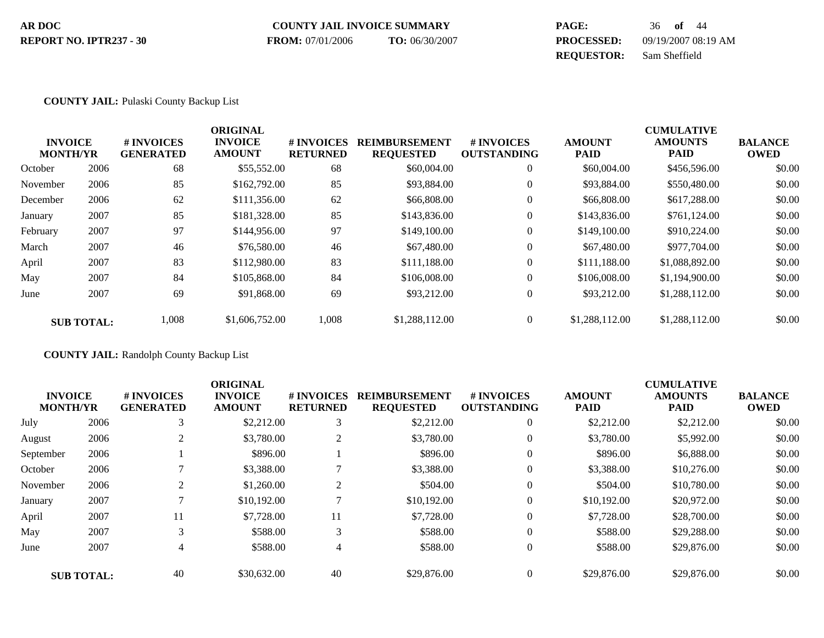| AR DOC                         | <b>COUNTY JAIL INVOICE SUMMARY</b> |                | PAGE:             | $36$ of $44$        |
|--------------------------------|------------------------------------|----------------|-------------------|---------------------|
| <b>REPORT NO. IPTR237 - 30</b> | <b>FROM:</b> 07/01/2006            | TO: 06/30/2007 | <b>PROCESSED:</b> | 09/19/2007 08:19 AM |
|                                |                                    |                | <b>REOUESTOR:</b> | Sam Sheffield       |

### **COUNTY JAIL:** Pulaski County Backup List

|          |                   |                  | <b>ORIGINAL</b> |                 |                      |                    |                | <b>CUMULATIVE</b> |                |
|----------|-------------------|------------------|-----------------|-----------------|----------------------|--------------------|----------------|-------------------|----------------|
|          | <b>INVOICE</b>    | # INVOICES       | <b>INVOICE</b>  | # INVOICES      | <b>REIMBURSEMENT</b> | <b>#INVOICES</b>   | <b>AMOUNT</b>  | <b>AMOUNTS</b>    | <b>BALANCE</b> |
|          | <b>MONTH/YR</b>   | <b>GENERATED</b> | <b>AMOUNT</b>   | <b>RETURNED</b> | <b>REQUESTED</b>     | <b>OUTSTANDING</b> | <b>PAID</b>    | <b>PAID</b>       | <b>OWED</b>    |
| October  | 2006              | 68               | \$55,552.00     | 68              | \$60,004.00          | $\overline{0}$     | \$60,004.00    | \$456,596.00      | \$0.00         |
| November | 2006              | 85               | \$162,792.00    | 85              | \$93,884.00          | $\mathbf{0}$       | \$93,884.00    | \$550,480.00      | \$0.00         |
| December | 2006              | 62               | \$111,356.00    | 62              | \$66,808,00          | $\mathbf{0}$       | \$66,808.00    | \$617,288.00      | \$0.00         |
| January  | 2007              | 85               | \$181,328,00    | 85              | \$143,836.00         | $\overline{0}$     | \$143,836.00   | \$761,124.00      | \$0.00         |
| February | 2007              | 97               | \$144,956.00    | 97              | \$149,100.00         | $\mathbf{0}$       | \$149,100.00   | \$910,224.00      | \$0.00         |
| March    | 2007              | 46               | \$76,580.00     | 46              | \$67,480.00          | $\mathbf{0}$       | \$67,480.00    | \$977,704.00      | \$0.00         |
| April    | 2007              | 83               | \$112,980.00    | 83              | \$111.188.00         | $\mathbf{0}$       | \$111,188.00   | \$1,088,892.00    | \$0.00         |
| May      | 2007              | 84               | \$105,868.00    | 84              | \$106,008.00         | $\theta$           | \$106,008.00   | \$1,194,900.00    | \$0.00         |
| June     | 2007              | 69               | \$91,868,00     | 69              | \$93,212.00          | $\mathbf{0}$       | \$93,212.00    | \$1,288,112.00    | \$0.00         |
|          | <b>SUB TOTAL:</b> | 1,008            | \$1,606,752.00  | 1,008           | \$1,288,112.00       | $\overline{0}$     | \$1,288,112.00 | \$1,288,112.00    | \$0.00         |

**COUNTY JAIL:** Randolph County Backup List

|           |                   |                  | <b>ORIGINAL</b> |                 |                      |                    |               | <b>CUMULATIVE</b> |                |
|-----------|-------------------|------------------|-----------------|-----------------|----------------------|--------------------|---------------|-------------------|----------------|
|           | <b>INVOICE</b>    | # INVOICES       | <b>INVOICE</b>  | # INVOICES      | <b>REIMBURSEMENT</b> | # INVOICES         | <b>AMOUNT</b> | <b>AMOUNTS</b>    | <b>BALANCE</b> |
|           | <b>MONTH/YR</b>   | <b>GENERATED</b> | <b>AMOUNT</b>   | <b>RETURNED</b> | <b>REQUESTED</b>     | <b>OUTSTANDING</b> | <b>PAID</b>   | <b>PAID</b>       | <b>OWED</b>    |
| July      | 2006              | 3                | \$2,212.00      | 3               | \$2,212.00           | $\theta$           | \$2,212.00    | \$2,212.00        | \$0.00         |
| August    | 2006              |                  | \$3,780.00      | 2               | \$3,780.00           | $\theta$           | \$3,780.00    | \$5,992.00        | \$0.00         |
| September | 2006              |                  | \$896.00        |                 | \$896.00             | $\theta$           | \$896.00      | \$6,888.00        | \$0.00         |
| October   | 2006              |                  | \$3,388.00      |                 | \$3,388.00           | $\boldsymbol{0}$   | \$3,388.00    | \$10,276.00       | \$0.00         |
| November  | 2006              | 2                | \$1,260.00      | 2               | \$504.00             | $\boldsymbol{0}$   | \$504.00      | \$10,780.00       | \$0.00         |
| January   | 2007              |                  | \$10,192.00     |                 | \$10,192.00          | $\boldsymbol{0}$   | \$10,192.00   | \$20,972.00       | \$0.00         |
| April     | 2007              | 11               | \$7,728.00      | 11              | \$7,728.00           | $\theta$           | \$7,728.00    | \$28,700.00       | \$0.00         |
| May       | 2007              |                  | \$588.00        | 3               | \$588.00             | $\theta$           | \$588.00      | \$29,288.00       | \$0.00         |
| June      | 2007              | 4                | \$588.00        | 4               | \$588.00             | $\theta$           | \$588.00      | \$29,876.00       | \$0.00         |
|           | <b>SUB TOTAL:</b> | 40               | \$30,632.00     | 40              | \$29,876.00          | $\Omega$           | \$29,876.00   | \$29,876.00       | \$0.00         |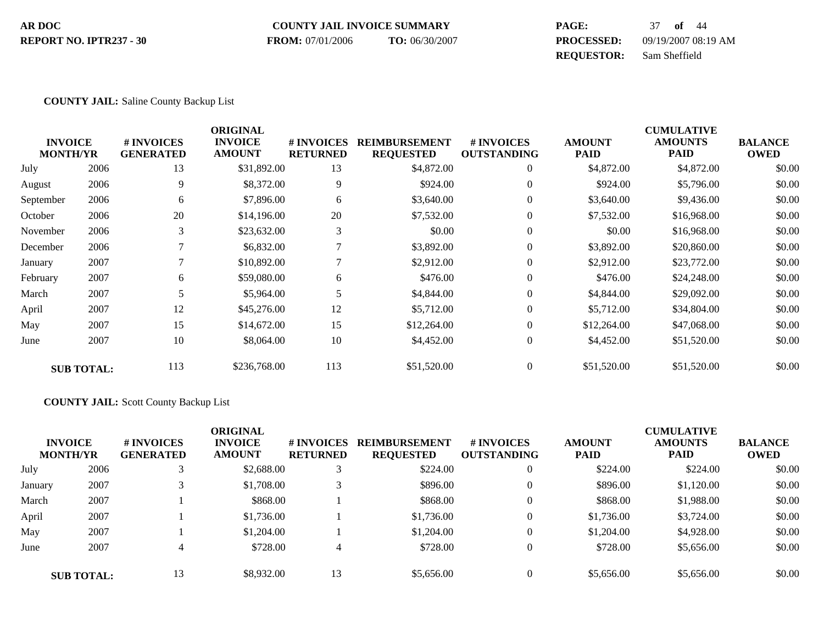#### **COUNTY JAIL INVOICE SUMMARY AR DOC PAGE:** 37 **of** 44 **PROCESSED:** 09/19/2007 08:19 AM **REQUESTOR:** Sam Sheffield **REPORT NO. IPTR237 - 30 FROM:** 07/01/2006 **TO:** 06/30/2007

#### **COUNTY JAIL:** Saline County Backup List

| <b>INVOICE</b><br><b>MONTH/YR</b> |                   | # INVOICES<br><b>GENERATED</b> | <b>ORIGINAL</b><br><b>INVOICE</b><br><b>AMOUNT</b> | <b>#INVOICES</b><br><b>RETURNED</b> | <b>REIMBURSEMENT</b><br><b>REQUESTED</b> | <b>#INVOICES</b><br><b>OUTSTANDING</b> | <b>AMOUNT</b><br><b>PAID</b> | <b>CUMULATIVE</b><br><b>AMOUNTS</b><br><b>PAID</b> | <b>BALANCE</b><br><b>OWED</b> |
|-----------------------------------|-------------------|--------------------------------|----------------------------------------------------|-------------------------------------|------------------------------------------|----------------------------------------|------------------------------|----------------------------------------------------|-------------------------------|
| July                              | 2006              | 13                             | \$31,892.00                                        | 13                                  | \$4,872.00                               | $\theta$                               | \$4,872.00                   | \$4,872.00                                         | \$0.00                        |
| August                            | 2006              | 9                              | \$8,372.00                                         | 9                                   | \$924.00                                 | $\theta$                               | \$924.00                     | \$5,796.00                                         | \$0.00                        |
| September                         | 2006              | 6                              | \$7,896.00                                         | 6                                   | \$3,640.00                               | $\mathbf{0}$                           | \$3,640.00                   | \$9,436.00                                         | \$0.00                        |
| October                           | 2006              | 20                             | \$14,196.00                                        | 20                                  | \$7,532.00                               | $\theta$                               | \$7,532.00                   | \$16,968.00                                        | \$0.00                        |
| November                          | 2006              | 3                              | \$23,632.00                                        | 3                                   | \$0.00                                   | $\overline{0}$                         | \$0.00                       | \$16,968.00                                        | \$0.00                        |
| December                          | 2006              |                                | \$6,832.00                                         |                                     | \$3,892.00                               | $\overline{0}$                         | \$3,892.00                   | \$20,860.00                                        | \$0.00                        |
| January                           | 2007              |                                | \$10,892.00                                        |                                     | \$2,912.00                               | $\theta$                               | \$2,912.00                   | \$23,772.00                                        | \$0.00                        |
| February                          | 2007              | 6                              | \$59,080.00                                        | 6                                   | \$476.00                                 | $\overline{0}$                         | \$476.00                     | \$24,248.00                                        | \$0.00                        |
| March                             | 2007              | 5                              | \$5,964.00                                         | 5                                   | \$4,844.00                               | $\theta$                               | \$4,844.00                   | \$29,092.00                                        | \$0.00                        |
| April                             | 2007              | 12                             | \$45,276.00                                        | 12                                  | \$5,712.00                               | $\mathbf{0}$                           | \$5,712.00                   | \$34,804.00                                        | \$0.00                        |
| May                               | 2007              | 15                             | \$14,672.00                                        | 15                                  | \$12,264.00                              | $\mathbf{0}$                           | \$12,264.00                  | \$47,068.00                                        | \$0.00                        |
| June                              | 2007              | 10                             | \$8,064.00                                         | 10                                  | \$4,452.00                               | $\overline{0}$                         | \$4,452.00                   | \$51,520.00                                        | \$0.00                        |
|                                   | <b>SUB TOTAL:</b> | 113                            | \$236,768.00                                       | 113                                 | \$51,520.00                              | $\Omega$                               | \$51,520.00                  | \$51,520.00                                        | \$0.00                        |

#### **COUNTY JAIL:** Scott County Backup List

|         | <b>INVOICE</b><br><b>MONTH/YR</b> | # INVOICES<br><b>GENERATED</b> | <b>ORIGINAL</b><br><b>INVOICE</b><br><b>AMOUNT</b> | # INVOICES<br><b>RETURNED</b> | <b>REIMBURSEMENT</b><br><b>REQUESTED</b> | # INVOICES<br><b>OUTSTANDING</b> | <b>AMOUNT</b><br><b>PAID</b> | <b>CUMULATIVE</b><br><b>AMOUNTS</b><br><b>PAID</b> | <b>BALANCE</b><br><b>OWED</b> |
|---------|-----------------------------------|--------------------------------|----------------------------------------------------|-------------------------------|------------------------------------------|----------------------------------|------------------------------|----------------------------------------------------|-------------------------------|
| July    | 2006                              | 3                              | \$2,688.00                                         | 3                             | \$224.00                                 | $\theta$                         | \$224.00                     | \$224.00                                           | \$0.00                        |
| January | 2007                              |                                | \$1,708.00                                         |                               | \$896.00                                 | 0                                | \$896.00                     | \$1,120.00                                         | \$0.00                        |
| March   | 2007                              |                                | \$868.00                                           |                               | \$868.00                                 | $\theta$                         | \$868.00                     | \$1,988.00                                         | \$0.00                        |
| April   | 2007                              |                                | \$1,736.00                                         |                               | \$1,736.00                               | $\theta$                         | \$1,736.00                   | \$3,724.00                                         | \$0.00                        |
| May     | 2007                              |                                | \$1,204.00                                         |                               | \$1,204.00                               | $\theta$                         | \$1,204.00                   | \$4,928.00                                         | \$0.00                        |
| June    | 2007                              |                                | \$728.00                                           | 4                             | \$728.00                                 | 0                                | \$728.00                     | \$5,656.00                                         | \$0.00                        |
|         | <b>SUB TOTAL:</b>                 | 13                             | \$8,932.00                                         | 13                            | \$5,656.00                               | $\theta$                         | \$5,656.00                   | \$5,656.00                                         | \$0.00                        |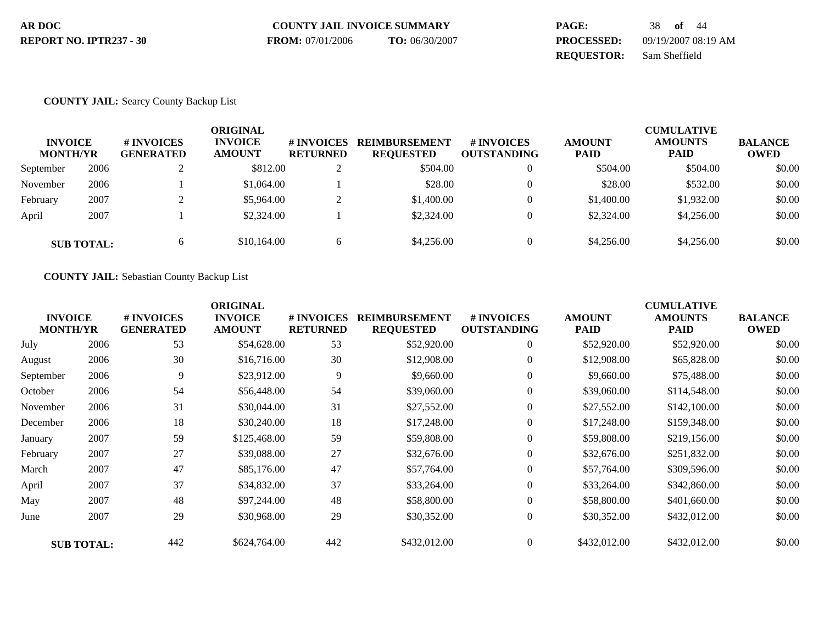| AR DOC                  | <b>COUNTY JAIL INVOICE SUMMARY</b> |                | PAGE:             | 38 <b>of</b> 44     |
|-------------------------|------------------------------------|----------------|-------------------|---------------------|
| REPORT NO. IPTR237 - 30 | <b>FROM:</b> 07/01/2006            | TO: 06/30/2007 | <b>PROCESSED:</b> | 09/19/2007 08:19 AM |
|                         |                                    |                | <b>REOUESTOR:</b> | Sam Sheffield       |

## **COUNTY JAIL:** Searcy County Backup List

| <b>INVOICE</b><br><b>MONTH/YR</b> |                   | # INVOICES<br><b>GENERATED</b> | ORIGINAL<br><b>INVOICE</b><br><b>AMOUNT</b> | # INVOICES<br><b>RETURNED</b> | <b>REIMBURSEMENT</b><br><b>REQUESTED</b> | # INVOICES<br><b>OUTSTANDING</b> | <b>AMOUNT</b><br><b>PAID</b> | <b>CUMULATIVE</b><br><b>AMOUNTS</b><br><b>PAID</b> | <b>BALANCE</b><br><b>OWED</b> |
|-----------------------------------|-------------------|--------------------------------|---------------------------------------------|-------------------------------|------------------------------------------|----------------------------------|------------------------------|----------------------------------------------------|-------------------------------|
| September                         | 2006              |                                | \$812.00                                    | ◠<br>∠                        | \$504.00                                 | $\theta$                         | \$504.00                     | \$504.00                                           | \$0.00                        |
| November                          | 2006              |                                | \$1,064.00                                  |                               | \$28.00                                  | $\theta$                         | \$28.00                      | \$532.00                                           | \$0.00                        |
| February                          | 2007              |                                | \$5,964.00                                  | ∠                             | \$1,400.00                               | $\Omega$                         | \$1,400.00                   | \$1,932.00                                         | \$0.00                        |
| April                             | 2007              |                                | \$2,324.00                                  |                               | \$2,324.00                               | $\Omega$                         | \$2,324.00                   | \$4,256.00                                         | \$0.00                        |
|                                   | <b>SUB TOTAL:</b> | 6                              | \$10,164.00                                 | <sub>0</sub>                  | \$4,256.00                               | $\Omega$                         | \$4,256.00                   | \$4,256.00                                         | \$0.00                        |

**COUNTY JAIL:** Sebastian County Backup List

| <b>INVOICE</b><br><b>MONTH/YR</b> |                   | # INVOICES<br><b>GENERATED</b> | <b>ORIGINAL</b><br><b>INVOICE</b><br><b>AMOUNT</b> | # INVOICES<br><b>RETURNED</b> | <b>REIMBURSEMENT</b><br><b>REQUESTED</b> | <b># INVOICES</b><br><b>OUTSTANDING</b> | <b>AMOUNT</b><br>PAID | <b>CUMULATIVE</b><br><b>AMOUNTS</b><br><b>PAID</b> | <b>BALANCE</b><br><b>OWED</b> |
|-----------------------------------|-------------------|--------------------------------|----------------------------------------------------|-------------------------------|------------------------------------------|-----------------------------------------|-----------------------|----------------------------------------------------|-------------------------------|
| July                              | 2006              | 53                             | \$54,628.00                                        | 53                            | \$52,920.00                              | $\overline{0}$                          | \$52,920.00           | \$52,920.00                                        | \$0.00                        |
| August                            | 2006              | 30                             | \$16,716.00                                        | 30                            | \$12,908.00                              | $\overline{0}$                          | \$12,908.00           | \$65,828.00                                        | \$0.00                        |
| September                         | 2006              | 9                              | \$23,912.00                                        | 9                             | \$9,660.00                               | $\overline{0}$                          | \$9,660.00            | \$75,488.00                                        | \$0.00                        |
| October                           | 2006              | 54                             | \$56,448.00                                        | 54                            | \$39,060.00                              | $\overline{0}$                          | \$39,060.00           | \$114,548.00                                       | \$0.00                        |
| November                          | 2006              | 31                             | \$30,044.00                                        | 31                            | \$27,552.00                              | $\overline{0}$                          | \$27,552.00           | \$142,100.00                                       | \$0.00                        |
| December                          | 2006              | 18                             | \$30,240.00                                        | 18                            | \$17,248.00                              | $\overline{0}$                          | \$17,248.00           | \$159,348.00                                       | \$0.00                        |
| January                           | 2007              | 59                             | \$125,468.00                                       | 59                            | \$59,808.00                              | $\overline{0}$                          | \$59,808.00           | \$219,156.00                                       | \$0.00                        |
| February                          | 2007              | 27                             | \$39,088.00                                        | 27                            | \$32,676.00                              | $\overline{0}$                          | \$32,676.00           | \$251,832.00                                       | \$0.00                        |
| March                             | 2007              | 47                             | \$85,176.00                                        | 47                            | \$57,764.00                              | $\overline{0}$                          | \$57,764.00           | \$309,596.00                                       | \$0.00                        |
| April                             | 2007              | 37                             | \$34,832.00                                        | 37                            | \$33,264.00                              | $\overline{0}$                          | \$33,264.00           | \$342,860.00                                       | \$0.00                        |
| May                               | 2007              | 48                             | \$97,244.00                                        | 48                            | \$58,800.00                              | $\overline{0}$                          | \$58,800.00           | \$401,660.00                                       | \$0.00                        |
| June                              | 2007              | 29                             | \$30,968.00                                        | 29                            | \$30,352.00                              | $\boldsymbol{0}$                        | \$30,352.00           | \$432,012.00                                       | \$0.00                        |
|                                   | <b>SUB TOTAL:</b> | 442                            | \$624,764.00                                       | 442                           | \$432,012.00                             | $\overline{0}$                          | \$432,012.00          | \$432,012.00                                       | \$0.00                        |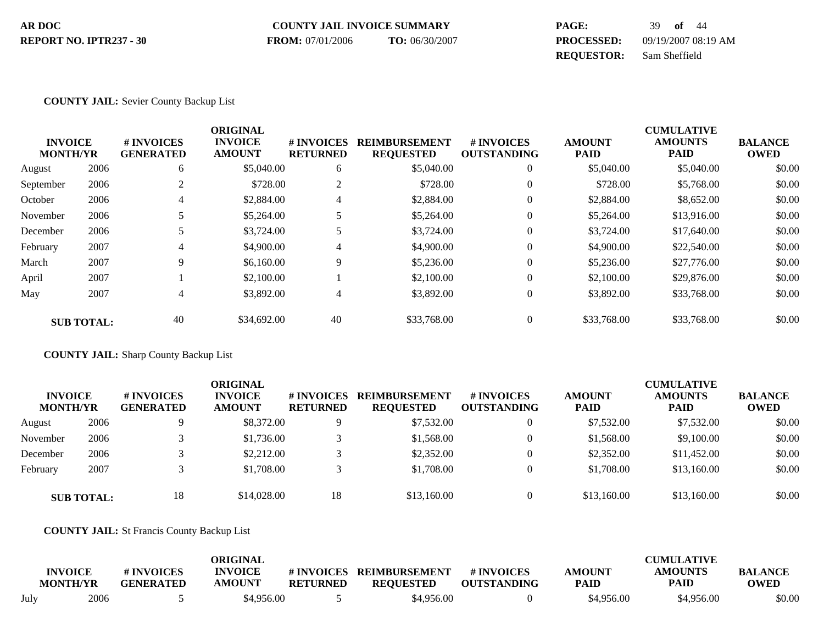| AR DOC                  | <b>COUNTY JAIL INVOICE SUMMARY</b> |                | <b>PAGE:</b>      | 39 of 44            |
|-------------------------|------------------------------------|----------------|-------------------|---------------------|
| REPORT NO. IPTR237 - 30 | <b>FROM:</b> 07/01/2006            | TO: 06/30/2007 | <b>PROCESSED:</b> | 09/19/2007 08:19 AM |
|                         |                                    |                | <b>REOUESTOR:</b> | Sam Sheffield       |

### **COUNTY JAIL:** Sevier County Backup List

|                 |                   |                   | <b>ORIGINAL</b> |                 |                      |                    |               | <b>CUMULATIVE</b> |                |
|-----------------|-------------------|-------------------|-----------------|-----------------|----------------------|--------------------|---------------|-------------------|----------------|
| <b>INVOICE</b>  |                   | <b># INVOICES</b> | <b>INVOICE</b>  | # INVOICES      | <b>REIMBURSEMENT</b> | <b>#INVOICES</b>   | <b>AMOUNT</b> | <b>AMOUNTS</b>    | <b>BALANCE</b> |
| <b>MONTH/YR</b> |                   | <b>GENERATED</b>  | <b>AMOUNT</b>   | <b>RETURNED</b> | <b>REQUESTED</b>     | <b>OUTSTANDING</b> | <b>PAID</b>   | <b>PAID</b>       | <b>OWED</b>    |
| August          | 2006              | 6                 | \$5,040.00      | 6               | \$5,040.00           | $\overline{0}$     | \$5,040.00    | \$5,040.00        | \$0.00         |
| September       | 2006              |                   | \$728.00        | 2               | \$728.00             | $\theta$           | \$728.00      | \$5,768.00        | \$0.00         |
| October         | 2006              | 4                 | \$2,884.00      | 4               | \$2,884.00           | $\mathbf{0}$       | \$2,884.00    | \$8,652.00        | \$0.00         |
| November        | 2006              |                   | \$5,264.00      | 5               | \$5,264.00           | $\mathbf{0}$       | \$5,264.00    | \$13,916.00       | \$0.00         |
| December        | 2006              |                   | \$3,724.00      |                 | \$3,724.00           | $\theta$           | \$3,724.00    | \$17,640.00       | \$0.00         |
| February        | 2007              | 4                 | \$4,900.00      | 4               | \$4,900.00           | $\theta$           | \$4,900.00    | \$22,540.00       | \$0.00         |
| March           | 2007              | 9                 | \$6,160.00      | 9               | \$5,236.00           | $\theta$           | \$5,236.00    | \$27,776.00       | \$0.00         |
| April           | 2007              |                   | \$2,100.00      |                 | \$2,100.00           | $\theta$           | \$2,100.00    | \$29,876.00       | \$0.00         |
| May             | 2007              | 4                 | \$3,892.00      | 4               | \$3,892.00           | $\theta$           | \$3,892.00    | \$33,768.00       | \$0.00         |
|                 | <b>SUB TOTAL:</b> | 40                | \$34,692.00     | 40              | \$33,768.00          | $\theta$           | \$33,768.00   | \$33,768.00       | \$0.00         |

**COUNTY JAIL:** Sharp County Backup List

| <b>INVOICE</b><br><b>MONTH/YR</b> |                   | # INVOICES<br><b>GENERATED</b> | <b>ORIGINAL</b><br><b>INVOICE</b><br><b>AMOUNT</b> | # INVOICES<br><b>RETURNED</b> | <b>REIMBURSEMENT</b><br><b>REQUESTED</b> | <b>#INVOICES</b><br><b>OUTSTANDING</b> | <b>AMOUNT</b><br><b>PAID</b> | <b>CUMULATIVE</b><br><b>AMOUNTS</b><br><b>PAID</b> | <b>BALANCE</b><br><b>OWED</b> |
|-----------------------------------|-------------------|--------------------------------|----------------------------------------------------|-------------------------------|------------------------------------------|----------------------------------------|------------------------------|----------------------------------------------------|-------------------------------|
| August                            | 2006              |                                | \$8,372.00                                         | Q                             | \$7,532.00                               |                                        | \$7,532.00                   | \$7,532.00                                         | \$0.00                        |
| November                          | 2006              |                                | \$1,736.00                                         |                               | \$1,568.00                               |                                        | \$1,568.00                   | \$9,100.00                                         | \$0.00                        |
| December                          | 2006              |                                | \$2,212.00                                         |                               | \$2,352.00                               |                                        | \$2,352.00                   | \$11,452.00                                        | \$0.00                        |
| February                          | 2007              |                                | \$1,708.00                                         |                               | \$1,708.00                               |                                        | \$1,708.00                   | \$13,160.00                                        | \$0.00                        |
|                                   | <b>SUB TOTAL:</b> | 18                             | \$14,028,00                                        | 18                            | \$13,160.00                              |                                        | \$13,160.00                  | \$13,160.00                                        | \$0.00                        |

**COUNTY JAIL:** St Francis County Backup List

|      | <b>INVOICE</b><br><b>MONTH/YR</b> | # INVOICES<br><b>GENERATED</b> | <b>ORIGINAL</b><br><b>INVOICE</b><br><b>AMOUNT</b> | # INVOICES<br><b>RETURNED</b> | <b>REIMBURSEMENT</b><br><b>REQUESTED</b> | # INVOICES<br><b>OUTSTANDING</b> | <b>AMOUNT</b><br><b>PAID</b> | <b>CUMULATIVE</b><br><b>AMOUNTS</b><br><b>PAID</b> | <b>BALANCE</b><br><b>OWED</b> |
|------|-----------------------------------|--------------------------------|----------------------------------------------------|-------------------------------|------------------------------------------|----------------------------------|------------------------------|----------------------------------------------------|-------------------------------|
| July | 2006                              |                                | \$4.956.00                                         |                               | \$4,956.00                               |                                  | \$4.956.00                   | \$4,956.00                                         | \$0.00                        |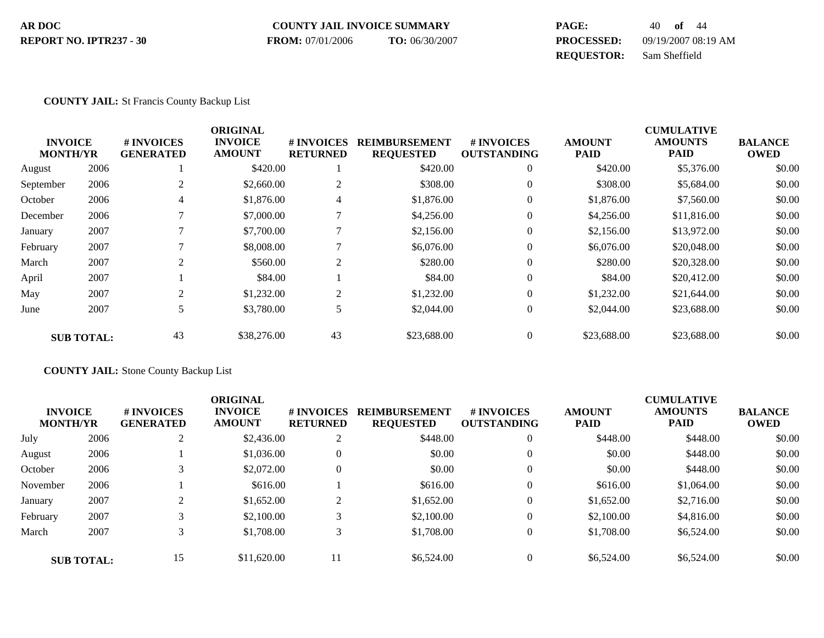#### **COUNTY JAIL INVOICE SUMMARY AR DOC PAGE:** 40 **of** 44 **PROCESSED:** 09/19/2007 08:19 AM **REQUESTOR:** Sam Sheffield **REPORT NO. IPTR237 - 30 FROM:** 07/01/2006 **TO:** 06/30/2007

#### **COUNTY JAIL:** St Francis County Backup List

|           |                                   |                                | <b>ORIGINAL</b>                 |                               |                                          |                                  |                              | <b>CUMULATIVE</b>             |                               |
|-----------|-----------------------------------|--------------------------------|---------------------------------|-------------------------------|------------------------------------------|----------------------------------|------------------------------|-------------------------------|-------------------------------|
|           | <b>INVOICE</b><br><b>MONTH/YR</b> | # INVOICES<br><b>GENERATED</b> | <b>INVOICE</b><br><b>AMOUNT</b> | # INVOICES<br><b>RETURNED</b> | <b>REIMBURSEMENT</b><br><b>REQUESTED</b> | # INVOICES<br><b>OUTSTANDING</b> | <b>AMOUNT</b><br><b>PAID</b> | <b>AMOUNTS</b><br><b>PAID</b> | <b>BALANCE</b><br><b>OWED</b> |
| August    | 2006                              |                                | \$420.00                        |                               | \$420.00                                 | $\mathbf{0}$                     | \$420.00                     | \$5,376.00                    | \$0.00                        |
| September | 2006                              | 2                              | \$2,660.00                      | $\overline{c}$                | \$308.00                                 | $\mathbf{0}$                     | \$308.00                     | \$5,684.00                    | \$0.00                        |
| October   | 2006                              | 4                              | \$1,876.00                      | 4                             | \$1,876.00                               | $\mathbf{0}$                     | \$1,876.00                   | \$7,560.00                    | \$0.00                        |
| December  | 2006                              |                                | \$7,000.00                      | ⇁                             | \$4,256.00                               | $\mathbf{0}$                     | \$4,256.00                   | \$11,816.00                   | \$0.00                        |
| January   | 2007                              |                                | \$7,700.00                      | 7                             | \$2,156.00                               | $\overline{0}$                   | \$2,156.00                   | \$13,972.00                   | \$0.00                        |
| February  | 2007                              |                                | \$8,008.00                      |                               | \$6,076.00                               | $\overline{0}$                   | \$6,076.00                   | \$20,048.00                   | \$0.00                        |
| March     | 2007                              | $\overline{2}$                 | \$560.00                        | $\overline{2}$                | \$280.00                                 | $\mathbf{0}$                     | \$280.00                     | \$20,328.00                   | \$0.00                        |
| April     | 2007                              |                                | \$84.00                         |                               | \$84.00                                  | $\mathbf{0}$                     | \$84.00                      | \$20,412.00                   | \$0.00                        |
| May       | 2007                              | $\overline{c}$                 | \$1,232.00                      | 2                             | \$1,232.00                               | $\overline{0}$                   | \$1,232.00                   | \$21,644.00                   | \$0.00                        |
| June      | 2007                              | 5                              | \$3,780.00                      | 5                             | \$2,044.00                               | $\overline{0}$                   | \$2,044.00                   | \$23,688.00                   | \$0.00                        |
|           | <b>SUB TOTAL:</b>                 | 43                             | \$38,276.00                     | 43                            | \$23,688,00                              | $\theta$                         | \$23,688.00                  | \$23,688.00                   | \$0.00                        |

**COUNTY JAIL:** Stone County Backup List

|                                   |      |                                | <b>ORIGINAL</b>                 |                               |                                          |                                  |                              | <b>CUMULATIVE</b>             |                               |
|-----------------------------------|------|--------------------------------|---------------------------------|-------------------------------|------------------------------------------|----------------------------------|------------------------------|-------------------------------|-------------------------------|
| <b>INVOICE</b><br><b>MONTH/YR</b> |      | # INVOICES<br><b>GENERATED</b> | <b>INVOICE</b><br><b>AMOUNT</b> | # INVOICES<br><b>RETURNED</b> | <b>REIMBURSEMENT</b><br><b>REQUESTED</b> | # INVOICES<br><b>OUTSTANDING</b> | <b>AMOUNT</b><br><b>PAID</b> | <b>AMOUNTS</b><br><b>PAID</b> | <b>BALANCE</b><br><b>OWED</b> |
| July                              | 2006 | $\bigcap$<br>∠                 | \$2,436.00                      | 2                             | \$448.00                                 | $\boldsymbol{0}$                 | \$448.00                     | \$448.00                      | \$0.00                        |
| August                            | 2006 |                                | \$1,036.00                      | $\overline{0}$                | \$0.00                                   | $\overline{0}$                   | \$0.00                       | \$448.00                      | \$0.00                        |
| October                           | 2006 |                                | \$2,072.00                      | $\overline{0}$                | \$0.00                                   | $\theta$                         | \$0.00                       | \$448.00                      | \$0.00                        |
| November                          | 2006 |                                | \$616.00                        |                               | \$616.00                                 | $\theta$                         | \$616.00                     | \$1,064.00                    | \$0.00                        |
| January                           | 2007 |                                | \$1,652.00                      | ി<br>∠                        | \$1,652.00                               | $\overline{0}$                   | \$1,652.00                   | \$2,716.00                    | \$0.00                        |
| February                          | 2007 |                                | \$2,100.00                      |                               | \$2,100.00                               | $\boldsymbol{0}$                 | \$2,100.00                   | \$4,816.00                    | \$0.00                        |
| March                             | 2007 |                                | \$1,708.00                      |                               | \$1,708.00                               | $\theta$                         | \$1,708.00                   | \$6,524.00                    | \$0.00                        |
| <b>SUB TOTAL:</b>                 |      | 15                             | \$11,620.00                     | 11                            | \$6,524.00                               | $\theta$                         | \$6,524.00                   | \$6,524.00                    | \$0.00                        |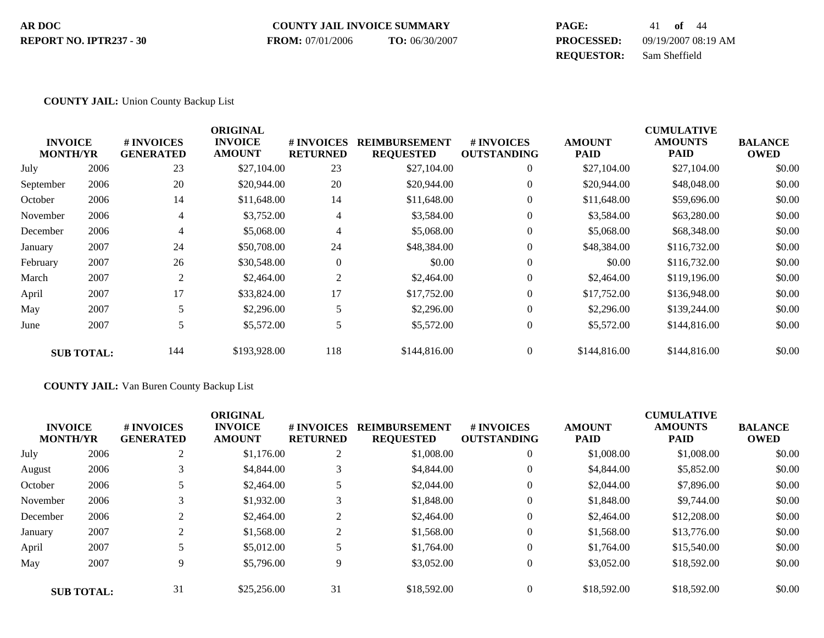#### **COUNTY JAIL INVOICE SUMMARY AR DOC PAGE:** 41 **of** 44 **PROCESSED:** 09/19/2007 08:19 AM **REPORT NO. IPTR237 - 30 FROM:** 07/01/2006 **TO:** 06/30/2007

**REQUESTOR:** Sam Sheffield

#### **COUNTY JAIL:** Union County Backup List

| <b>INVOICE</b><br><b>MONTH/YR</b> |                   | # INVOICES<br><b>GENERATED</b> | <b>ORIGINAL</b><br><b>INVOICE</b><br><b>AMOUNT</b> | # INVOICES<br><b>RETURNED</b> | <b>REIMBURSEMENT</b><br><b>REQUESTED</b> | # INVOICES<br><b>OUTSTANDING</b> | <b>AMOUNT</b><br><b>PAID</b> | <b>CUMULATIVE</b><br><b>AMOUNTS</b><br><b>PAID</b> | <b>BALANCE</b><br><b>OWED</b> |
|-----------------------------------|-------------------|--------------------------------|----------------------------------------------------|-------------------------------|------------------------------------------|----------------------------------|------------------------------|----------------------------------------------------|-------------------------------|
| July                              | 2006              | 23                             | \$27,104.00                                        | 23                            | \$27,104.00                              | $\overline{0}$                   | \$27,104.00                  | \$27,104.00                                        | \$0.00                        |
| September                         | 2006              | 20                             | \$20,944.00                                        | 20                            | \$20,944.00                              | $\mathbf{0}$                     | \$20,944.00                  | \$48,048.00                                        | \$0.00                        |
| October                           | 2006              | 14                             | \$11,648.00                                        | 14                            | \$11,648.00                              | $\boldsymbol{0}$                 | \$11,648.00                  | \$59,696.00                                        | \$0.00                        |
| November                          | 2006              | 4                              | \$3,752.00                                         | $\overline{4}$                | \$3,584.00                               | $\mathbf{0}$                     | \$3,584.00                   | \$63,280.00                                        | \$0.00                        |
| December                          | 2006              | 4                              | \$5,068.00                                         | 4                             | \$5,068.00                               | $\mathbf{0}$                     | \$5,068.00                   | \$68,348.00                                        | \$0.00                        |
| January                           | 2007              | 24                             | \$50,708.00                                        | 24                            | \$48,384.00                              | $\Omega$                         | \$48,384.00                  | \$116,732.00                                       | \$0.00                        |
| February                          | 2007              | 26                             | \$30,548.00                                        | $\boldsymbol{0}$              | \$0.00                                   | $\mathbf{0}$                     | \$0.00                       | \$116,732.00                                       | \$0.00                        |
| March                             | 2007              | 2                              | \$2,464.00                                         | $\overline{2}$                | \$2,464.00                               | $\Omega$                         | \$2,464.00                   | \$119,196.00                                       | \$0.00                        |
| April                             | 2007              | 17                             | \$33,824.00                                        | 17                            | \$17,752.00                              | $\mathbf{0}$                     | \$17,752.00                  | \$136,948.00                                       | \$0.00                        |
| May                               | 2007              | 5                              | \$2,296.00                                         | 5                             | \$2,296.00                               | $\Omega$                         | \$2,296.00                   | \$139,244.00                                       | \$0.00                        |
| June                              | 2007              | 5                              | \$5,572.00                                         | 5                             | \$5,572.00                               | $\boldsymbol{0}$                 | \$5,572.00                   | \$144,816.00                                       | \$0.00                        |
|                                   | <b>SUB TOTAL:</b> | 144                            | \$193,928.00                                       | 118                           | \$144,816.00                             | $\mathbf{0}$                     | \$144,816.00                 | \$144,816.00                                       | \$0.00                        |

**COUNTY JAIL:** Van Buren County Backup List

| <b>INVOICE</b><br><b>MONTH/YR</b> |                   | # INVOICES<br><b>GENERATED</b> | <b>ORIGINAL</b><br><b>INVOICE</b><br><b>AMOUNT</b> | # INVOICES<br><b>RETURNED</b> | <b>REIMBURSEMENT</b><br><b>REQUESTED</b> | # INVOICES<br><b>OUTSTANDING</b> | <b>AMOUNT</b><br><b>PAID</b> | <b>CUMULATIVE</b><br><b>AMOUNTS</b><br><b>PAID</b> | <b>BALANCE</b><br><b>OWED</b> |
|-----------------------------------|-------------------|--------------------------------|----------------------------------------------------|-------------------------------|------------------------------------------|----------------------------------|------------------------------|----------------------------------------------------|-------------------------------|
| July                              | 2006              | 2                              | \$1,176.00                                         | $\overline{c}$                | \$1,008.00                               | $\overline{0}$                   | \$1,008.00                   | \$1,008.00                                         | \$0.00                        |
| August                            | 2006              |                                | \$4,844.00                                         |                               | \$4,844.00                               | $\overline{0}$                   | \$4,844.00                   | \$5,852.00                                         | \$0.00                        |
| October                           | 2006              |                                | \$2,464.00                                         | 5                             | \$2,044.00                               | $\overline{0}$                   | \$2,044.00                   | \$7,896.00                                         | \$0.00                        |
| November                          | 2006              |                                | \$1,932.00                                         | 3                             | \$1,848.00                               | $\overline{0}$                   | \$1,848.00                   | \$9,744.00                                         | \$0.00                        |
| December                          | 2006              |                                | \$2,464.00                                         | $\overline{c}$                | \$2,464.00                               | $\overline{0}$                   | \$2,464.00                   | \$12,208.00                                        | \$0.00                        |
| January                           | 2007              | ി                              | \$1,568.00                                         | $\overline{2}$                | \$1,568.00                               | $\overline{0}$                   | \$1,568.00                   | \$13,776.00                                        | \$0.00                        |
| April                             | 2007              |                                | \$5,012.00                                         | 5                             | \$1,764.00                               | $\overline{0}$                   | \$1,764.00                   | \$15,540.00                                        | \$0.00                        |
| May                               | 2007              | 9                              | \$5,796.00                                         | 9                             | \$3,052.00                               | $\overline{0}$                   | \$3,052.00                   | \$18,592.00                                        | \$0.00                        |
|                                   | <b>SUB TOTAL:</b> | 31                             | \$25,256.00                                        | 31                            | \$18,592.00                              | $\overline{0}$                   | \$18,592.00                  | \$18,592.00                                        | \$0.00                        |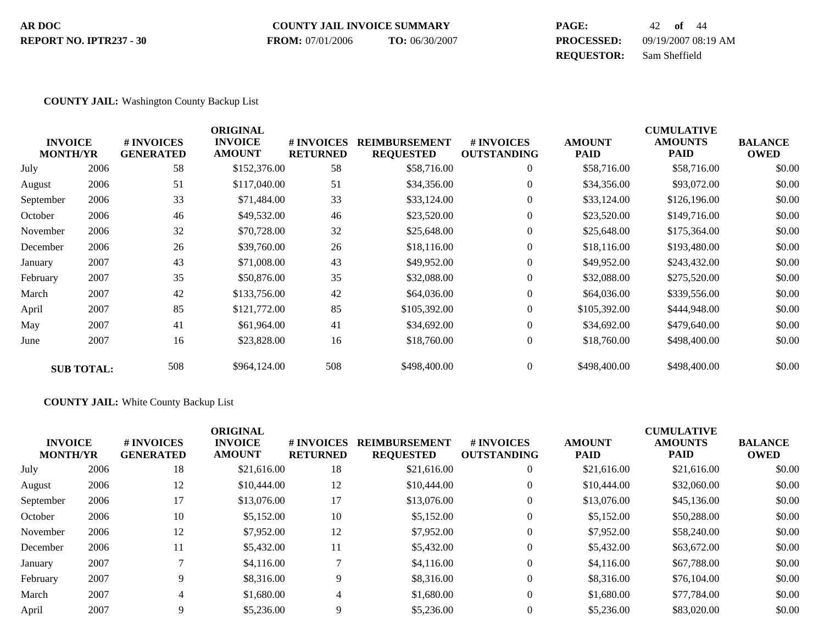#### **COUNTY JAIL INVOICE SUMMARY AR DOC PAGE:** 42 **of** 44

**REPORT NO. IPTR237 - 30**

**FROM:** 07/01/2006 **TO:** 06/30/2007

**PROCESSED:** 09/19/2007 08:19 AM **REQUESTOR:** Sam Sheffield

#### **COUNTY JAIL:** Washington County Backup List

|           | <b>INVOICE</b><br><b>MONTH/YR</b> | # INVOICES<br><b>GENERATED</b> | <b>ORIGINAL</b><br><b>INVOICE</b><br><b>AMOUNT</b> | <b>#INVOICES</b><br><b>RETURNED</b> | <b>REIMBURSEMENT</b><br><b>REQUESTED</b> | <b># INVOICES</b><br><b>OUTSTANDING</b> | <b>AMOUNT</b><br>PAID | <b>CUMULATIVE</b><br><b>AMOUNTS</b><br>PAID | <b>BALANCE</b><br><b>OWED</b> |
|-----------|-----------------------------------|--------------------------------|----------------------------------------------------|-------------------------------------|------------------------------------------|-----------------------------------------|-----------------------|---------------------------------------------|-------------------------------|
| July      | 2006                              | 58                             | \$152,376.00                                       | 58                                  | \$58,716.00                              | $\overline{0}$                          | \$58,716.00           | \$58,716.00                                 | \$0.00                        |
| August    | 2006                              | 51                             | \$117,040.00                                       | 51                                  | \$34,356.00                              | $\overline{0}$                          | \$34,356.00           | \$93,072.00                                 | \$0.00                        |
| September | 2006                              | 33                             | \$71,484.00                                        | 33                                  | \$33,124.00                              | $\overline{0}$                          | \$33,124.00           | \$126,196.00                                | \$0.00                        |
| October   | 2006                              | 46                             | \$49,532.00                                        | 46                                  | \$23,520.00                              | $\overline{0}$                          | \$23,520.00           | \$149,716.00                                | \$0.00                        |
| November  | 2006                              | 32                             | \$70,728.00                                        | 32                                  | \$25,648.00                              | $\overline{0}$                          | \$25,648.00           | \$175,364.00                                | \$0.00                        |
| December  | 2006                              | 26                             | \$39,760.00                                        | 26                                  | \$18,116.00                              | $\theta$                                | \$18,116.00           | \$193,480.00                                | \$0.00                        |
| January   | 2007                              | 43                             | \$71,008.00                                        | 43                                  | \$49,952.00                              | $\overline{0}$                          | \$49,952.00           | \$243,432.00                                | \$0.00                        |
| February  | 2007                              | 35                             | \$50,876.00                                        | 35                                  | \$32,088.00                              | $\overline{0}$                          | \$32,088.00           | \$275,520.00                                | \$0.00                        |
| March     | 2007                              | 42                             | \$133,756.00                                       | 42                                  | \$64,036.00                              | $\theta$                                | \$64,036.00           | \$339,556.00                                | \$0.00                        |
| April     | 2007                              | 85                             | \$121,772.00                                       | 85                                  | \$105,392.00                             | $\overline{0}$                          | \$105,392.00          | \$444,948.00                                | \$0.00                        |
| May       | 2007                              | 41                             | \$61,964.00                                        | 41                                  | \$34,692.00                              | $\overline{0}$                          | \$34,692.00           | \$479,640.00                                | \$0.00                        |
| June      | 2007                              | 16                             | \$23,828.00                                        | 16                                  | \$18,760.00                              | $\overline{0}$                          | \$18,760.00           | \$498,400.00                                | \$0.00                        |
|           | <b>SUB TOTAL:</b>                 | 508                            | \$964,124.00                                       | 508                                 | \$498,400.00                             | $\theta$                                | \$498,400.00          | \$498,400.00                                | \$0.00                        |

#### **COUNTY JAIL:** White County Backup List

| <b>INVOICE</b><br><b>MONTH/YR</b> |      | # INVOICES<br><b>GENERATED</b> | <b>ORIGINAL</b><br><b>INVOICE</b><br><b>AMOUNT</b> | # INVOICES<br><b>RETURNED</b> | <b>REIMBURSEMENT</b><br><b>REQUESTED</b> | <b>#INVOICES</b><br><b>OUTSTANDING</b> | <b>AMOUNT</b><br><b>PAID</b> | <b>CUMULATIVE</b><br><b>AMOUNTS</b><br><b>PAID</b> | <b>BALANCE</b><br><b>OWED</b> |
|-----------------------------------|------|--------------------------------|----------------------------------------------------|-------------------------------|------------------------------------------|----------------------------------------|------------------------------|----------------------------------------------------|-------------------------------|
| July                              | 2006 | 18                             | \$21,616.00                                        | 18                            | \$21,616.00                              | $\overline{0}$                         | \$21,616.00                  | \$21,616.00                                        | \$0.00                        |
| August                            | 2006 | 12                             | \$10,444.00                                        | 12                            | \$10,444.00                              | $\overline{0}$                         | \$10,444.00                  | \$32,060.00                                        | \$0.00                        |
| September                         | 2006 | 17                             | \$13,076.00                                        | 17                            | \$13,076.00                              | $\overline{0}$                         | \$13,076.00                  | \$45,136.00                                        | \$0.00                        |
| October                           | 2006 | 10                             | \$5,152.00                                         | 10                            | \$5,152.00                               | $\theta$                               | \$5,152.00                   | \$50,288.00                                        | \$0.00                        |
| November                          | 2006 | 12                             | \$7,952.00                                         | 12                            | \$7,952.00                               | $\theta$                               | \$7,952.00                   | \$58,240.00                                        | \$0.00                        |
| December                          | 2006 | 11                             | \$5,432.00                                         | 11                            | \$5,432.00                               | $\theta$                               | \$5,432.00                   | \$63,672.00                                        | \$0.00                        |
| January                           | 2007 |                                | \$4.116.00                                         |                               | \$4,116.00                               | $\theta$                               | \$4,116.00                   | \$67,788.00                                        | \$0.00                        |
| February                          | 2007 | 9                              | \$8,316.00                                         | 9                             | \$8,316.00                               | $\theta$                               | \$8,316.00                   | \$76,104.00                                        | \$0.00                        |
| March                             | 2007 | 4                              | \$1,680.00                                         | $\overline{4}$                | \$1,680.00                               | $\theta$                               | \$1,680.00                   | \$77,784.00                                        | \$0.00                        |
| April                             | 2007 | 9                              | \$5,236.00                                         | 9                             | \$5,236.00                               | $\theta$                               | \$5,236.00                   | \$83,020.00                                        | \$0.00                        |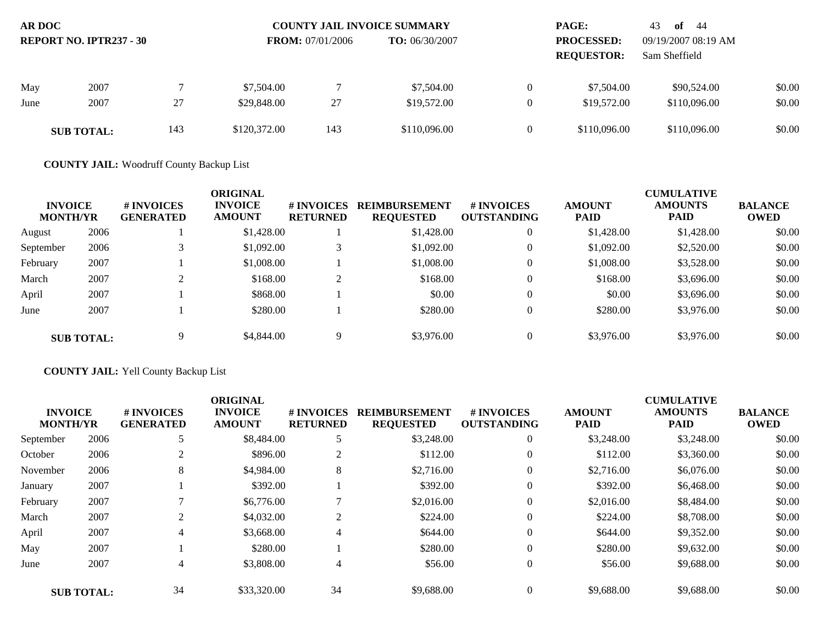| AR DOC<br><b>REPORT NO. IPTR237 - 30</b> |                   |     |              | <b>COUNTY JAIL INVOICE SUMMARY</b><br><b>TO:</b> $06/30/2007$<br><b>FROM:</b> 07/01/2006 |              |  | <b>PAGE:</b><br><b>PROCESSED:</b><br><b>REQUESTOR:</b> | 43<br>- 44<br>of<br>09/19/2007 08:19 AM<br>Sam Sheffield |        |
|------------------------------------------|-------------------|-----|--------------|------------------------------------------------------------------------------------------|--------------|--|--------------------------------------------------------|----------------------------------------------------------|--------|
| May                                      | 2007              |     | \$7,504.00   |                                                                                          | \$7,504.00   |  | \$7,504.00                                             | \$90,524.00                                              | \$0.00 |
| June                                     | 2007              | 27  | \$29,848.00  | 27                                                                                       | \$19,572.00  |  | \$19,572.00                                            | \$110,096.00                                             | \$0.00 |
|                                          | <b>SUB TOTAL:</b> | 143 | \$120,372.00 | 143                                                                                      | \$110,096.00 |  | \$110,096.00                                           | \$110,096.00                                             | \$0.00 |

**COUNTY JAIL:** Woodruff County Backup List

| <b>INVOICE</b><br><b>MONTH/YR</b> |                   | # INVOICES<br><b>GENERATED</b> | ORIGINAL<br><b>INVOICE</b><br><b>AMOUNT</b> | # INVOICES<br><b>RETURNED</b> | <b>REIMBURSEMENT</b><br><b>REQUESTED</b> | # INVOICES<br><b>OUTSTANDING</b> | <b>AMOUNT</b><br><b>PAID</b> | <b>CUMULATIVE</b><br><b>AMOUNTS</b><br><b>PAID</b> | <b>BALANCE</b><br><b>OWED</b> |
|-----------------------------------|-------------------|--------------------------------|---------------------------------------------|-------------------------------|------------------------------------------|----------------------------------|------------------------------|----------------------------------------------------|-------------------------------|
| August                            | 2006              |                                | \$1,428.00                                  |                               | \$1,428.00                               |                                  | \$1,428.00                   | \$1,428.00                                         | \$0.00                        |
| September                         | 2006              |                                | \$1,092.00                                  |                               | \$1,092.00                               |                                  | \$1,092.00                   | \$2,520.00                                         | \$0.00                        |
| February                          | 2007              |                                | \$1,008.00                                  |                               | \$1,008.00                               |                                  | \$1,008.00                   | \$3,528.00                                         | \$0.00                        |
| March                             | 2007              | $\sim$                         | \$168.00                                    | $\sim$                        | \$168.00                                 |                                  | \$168.00                     | \$3,696.00                                         | \$0.00                        |
| April                             | 2007              |                                | \$868.00                                    |                               | \$0.00                                   |                                  | \$0.00                       | \$3,696.00                                         | \$0.00                        |
| June                              | 2007              |                                | \$280.00                                    |                               | \$280.00                                 |                                  | \$280.00                     | \$3,976.00                                         | \$0.00                        |
|                                   | <b>SUB TOTAL:</b> |                                | \$4,844.00                                  | Q                             | \$3,976.00                               |                                  | \$3,976.00                   | \$3,976.00                                         | \$0.00                        |

**COUNTY JAIL:** Yell County Backup List

|                                   |                   |                                | <b>ORIGINAL</b>                 |                               |                                          |                                        |                              | <b>CUMULATIVE</b>             |                               |
|-----------------------------------|-------------------|--------------------------------|---------------------------------|-------------------------------|------------------------------------------|----------------------------------------|------------------------------|-------------------------------|-------------------------------|
| <b>INVOICE</b><br><b>MONTH/YR</b> |                   | # INVOICES<br><b>GENERATED</b> | <b>INVOICE</b><br><b>AMOUNT</b> | # INVOICES<br><b>RETURNED</b> | <b>REIMBURSEMENT</b><br><b>REQUESTED</b> | <b>#INVOICES</b><br><b>OUTSTANDING</b> | <b>AMOUNT</b><br><b>PAID</b> | <b>AMOUNTS</b><br><b>PAID</b> | <b>BALANCE</b><br><b>OWED</b> |
| September                         | 2006              | 5                              | \$8,484.00                      | 5                             | \$3,248.00                               | $\overline{0}$                         | \$3,248.00                   | \$3,248.00                    | \$0.00                        |
| October                           | 2006              |                                | \$896.00                        | 2                             | \$112.00                                 | $\overline{0}$                         | \$112.00                     | \$3,360.00                    | \$0.00                        |
| November                          | 2006              | 8                              | \$4,984.00                      | 8                             | \$2,716.00                               | $\overline{0}$                         | \$2,716.00                   | \$6,076.00                    | \$0.00                        |
| January                           | 2007              |                                | \$392.00                        |                               | \$392.00                                 | $\overline{0}$                         | \$392.00                     | \$6,468.00                    | \$0.00                        |
| February                          | 2007              |                                | \$6,776.00                      | ⇁                             | \$2,016.00                               | $\overline{0}$                         | \$2,016.00                   | \$8,484.00                    | \$0.00                        |
| March                             | 2007              | $\overline{c}$                 | \$4,032.00                      | $\overline{2}$                | \$224.00                                 | $\overline{0}$                         | \$224.00                     | \$8,708.00                    | \$0.00                        |
| April                             | 2007              | 4                              | \$3,668.00                      | 4                             | \$644.00                                 | $\overline{0}$                         | \$644.00                     | \$9,352.00                    | \$0.00                        |
| May                               | 2007              |                                | \$280.00                        |                               | \$280.00                                 | $\theta$                               | \$280.00                     | \$9,632.00                    | \$0.00                        |
| June                              | 2007              | 4                              | \$3,808.00                      | 4                             | \$56.00                                  | $\overline{0}$                         | \$56.00                      | \$9,688.00                    | \$0.00                        |
|                                   | <b>SUB TOTAL:</b> | 34                             | \$33,320.00                     | 34                            | \$9,688.00                               | $\overline{0}$                         | \$9,688.00                   | \$9,688.00                    | \$0.00                        |